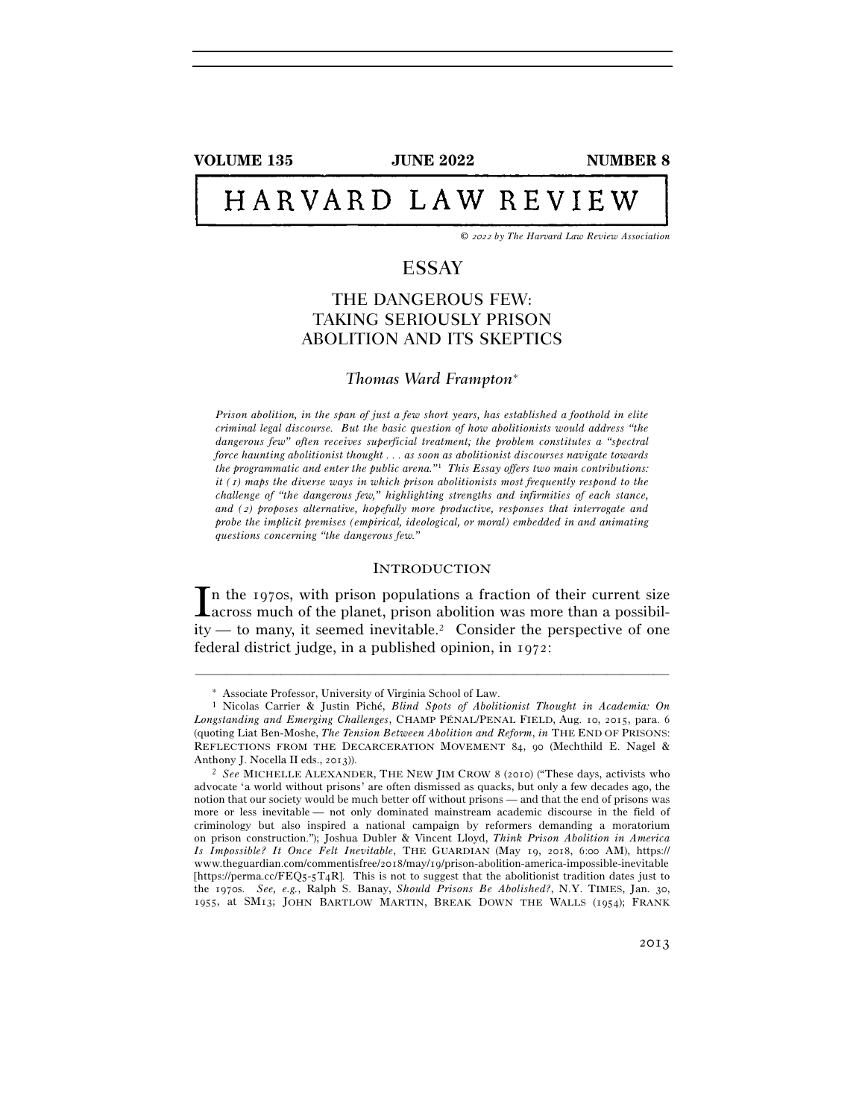**VOLUME 135 JUNE 2022 NUMBER 8** 

# HARVARD LAW REVIEW

*©* 2022 *by The Harvard Law Review Association* 

# ESSAY

# THE DANGEROUS FEW: TAKING SERIOUSLY PRISON ABOLITION AND ITS SKEPTICS

# *Thomas Ward Frampton*<sup>∗</sup>

*Prison abolition, in the span of just a few short years, has established a foothold in elite criminal legal discourse. But the basic question of how abolitionists would address "the dangerous few" often receives superficial treatment; the problem constitutes a "spectral force haunting abolitionist thought . . . as soon as abolitionist discourses navigate towards the programmatic and enter the public arena."*1 *This Essay offers two main contributions: it (*1*) maps the diverse ways in which prison abolitionists most frequently respond to the challenge of "the dangerous few," highlighting strengths and infirmities of each stance, and (*2*) proposes alternative, hopefully more productive, responses that interrogate and probe the implicit premises (empirical, ideological, or moral) embedded in and animating questions concerning "the dangerous few."* 

#### **INTRODUCTION**

n the 1970s, with prison populations a fraction of their current size In the 1970s, with prison populations a fraction of their current size<br>across much of the planet, prison abolition was more than a possibil $ity$ — to many, it seemed inevitable.<sup>2</sup> Consider the perspective of one federal district judge, in a published opinion, in 1972:

<sup>∗</sup> Associate Professor, University of Virginia School of Law. 1 Nicolas Carrier & Justin Piché, *Blind Spots of Abolitionist Thought in Academia: On Longstanding and Emerging Challenges*, CHAMP PÉNAL/PENAL FIELD, Aug. 10, 2015, para. 6 (quoting Liat Ben-Moshe, *The Tension Between Abolition and Reform*, *in* THE END OF PRISONS: REFLECTIONS FROM THE DECARCERATION MOVEMENT 84, 90 (Mechthild E. Nagel & Anthony J. Nocella II eds., <sup>2013</sup>)). 2 *See* MICHELLE ALEXANDER, THE NEW JIM CROW <sup>8</sup> (2010) ("These days, activists who

advocate 'a world without prisons' are often dismissed as quacks, but only a few decades ago, the notion that our society would be much better off without prisons — and that the end of prisons was more or less inevitable — not only dominated mainstream academic discourse in the field of criminology but also inspired a national campaign by reformers demanding a moratorium on prison construction."); Joshua Dubler & Vincent Lloyd, *Think Prison Abolition in America Is Impossible? It Once Felt Inevitable*, THE GUARDIAN (May 19, 2018, 6:00 AM), https:// www.theguardian.com/commentisfree/2018/may/19/prison-abolition-america-impossible-inevitable [https://perma.cc/FEQ5-5T4R]. This is not to suggest that the abolitionist tradition dates just to the 1970s. *See, e.g.*, Ralph S. Banay, *Should Prisons Be Abolished?*, N.Y. TIMES, Jan. 30, 1955, at SM13; JOHN BARTLOW MARTIN, BREAK DOWN THE WALLS (1954); FRANK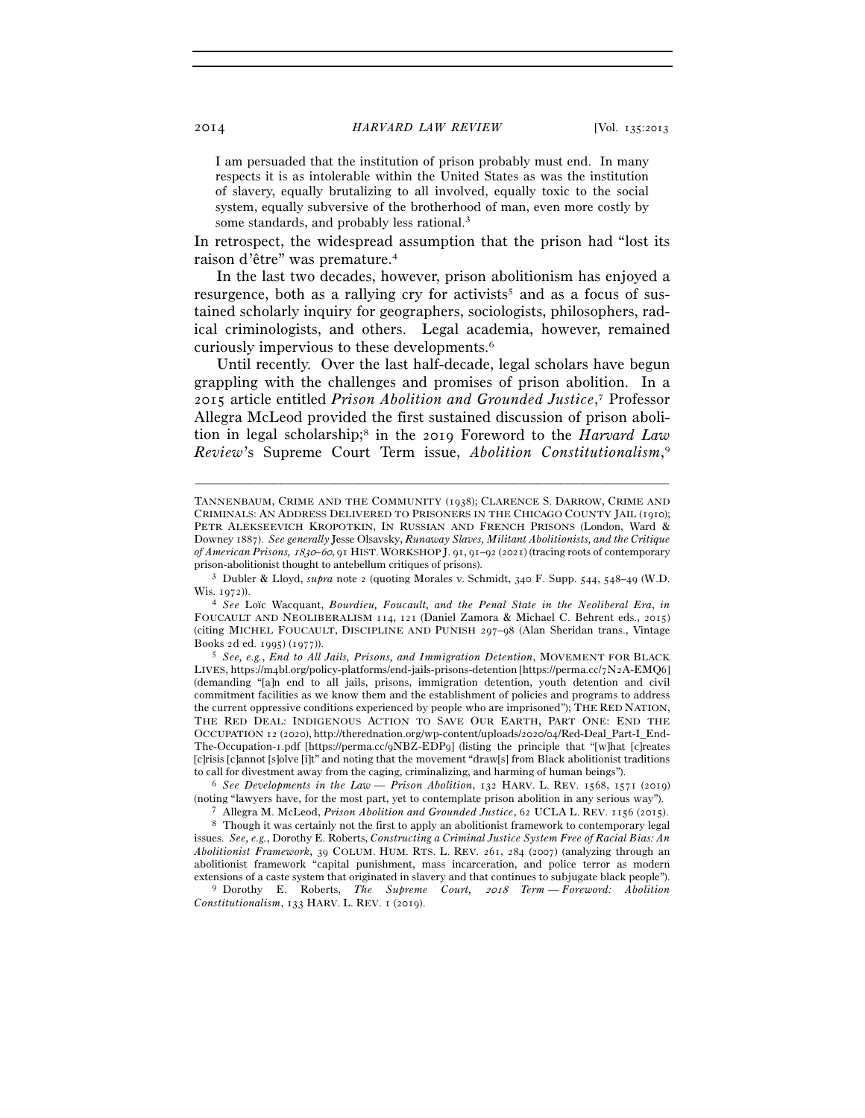I am persuaded that the institution of prison probably must end. In many respects it is as intolerable within the United States as was the institution of slavery, equally brutalizing to all involved, equally toxic to the social system, equally subversive of the brotherhood of man, even more costly by some standards, and probably less rational.<sup>3</sup>

In retrospect, the widespread assumption that the prison had "lost its raison d'être" was premature.4

In the last two decades, however, prison abolitionism has enjoyed a resurgence, both as a rallying cry for activists<sup>5</sup> and as a focus of sustained scholarly inquiry for geographers, sociologists, philosophers, radical criminologists, and others. Legal academia, however, remained curiously impervious to these developments.6

Until recently. Over the last half-decade, legal scholars have begun grappling with the challenges and promises of prison abolition. In a 2015 article entitled *Prison Abolition and Grounded Justice*, 7 Professor Allegra McLeod provided the first sustained discussion of prison abolition in legal scholarship;8 in the 2019 Foreword to the *Harvard Law Review*'s Supreme Court Term issue, *Abolition Constitutionalism*, 9

–––––––––––––––––––––––––––––––––––––––––––––––––––––––––––––

LIVES, https://m4bl.org/policy-platforms/end-jails-prisons-detention [https://perma.cc/7N2A-EMQ6] (demanding "[a]n end to all jails, prisons, immigration detention, youth detention and civil commitment facilities as we know them and the establishment of policies and programs to address the current oppressive conditions experienced by people who are imprisoned"); THE RED NATION, THE RED DEAL: INDIGENOUS ACTION TO SAVE OUR EARTH, PART ONE: END THE OCCUPATION 12 (2020), http://therednation.org/wp-content/uploads/2020/04/Red-Deal\_Part-I\_End-The-Occupation-1.pdf [https://perma.cc/9NBZ-EDP9] (listing the principle that "[w]hat [c]reates [c]risis [c]annot [s]olve [i]t" and noting that the movement "draw[s] from Black abolitionist traditions to call for divestment away from the caging, criminalizing, and harming of human beings"). 6 *See Developments in the Law — Prison Abolition*, 132 HARV. L. REV. 1568, 1571 (2019)

% (noting "lawyers have, for the most part, yet to contemplate prison abolition in any serious way").<br>
T Allegra M. McLeod, *Prison Abolition and Grounded Justice*, 62 UCLA L. REV. 1156 (2015).<br>
<sup>8</sup> Though it was certainl issues. *See, e.g.*, Dorothy E. Roberts, *Constructing a Criminal Justice System Free of Racial Bias: An Abolitionist Framework*, 39 COLUM. HUM. RTS. L. REV. 261, 284 (2007) (analyzing through an abolitionist framework "capital punishment, mass incarceration, and police terror as modern

extensions of a caste system that originated in slavery and that continues to subjugate black people"). 9 Dorothy E. Roberts, *The Supreme Court,* 2018 *Term* — *Foreword: Abolition Constitutionalism*, 133 HARV. L. REV. 1 (2019).

TANNENBAUM, CRIME AND THE COMMUNITY (1938); CLARENCE S. DARROW, CRIME AND CRIMINALS: AN ADDRESS DELIVERED TO PRISONERS IN THE CHICAGO COUNTY JAIL (1910); PETR ALEKSEEVICH KROPOTKIN, IN RUSSIAN AND FRENCH PRISONS (London, Ward & Downey 1887). *See generally* Jesse Olsavsky, *Runaway Slaves, Militant Abolitionists, and the Critique of American Prisons,* 1830*–*60, 91 HIST.WORKSHOP J. 91, 91–92 (2021) (tracing roots of contemporary

prison-abolitionist thought to antebellum critiques of prisons). 3 Dubler & Lloyd, *supra* note 2 (quoting Morales v. Schmidt, 340 F. Supp. 544, 548–49 (W.D.

Wis. <sup>1972</sup>)). 4 *See* Loïc Wacquant, *Bourdieu, Foucault, and the Penal State in the Neoliberal Era*, *in* FOUCAULT AND NEOLIBERALISM 114, 121 (Daniel Zamora & Michael C. Behrent eds., 2015) (citing MICHEL FOUCAULT, DISCIPLINE AND PUNISH 297–98 (Alan Sheridan trans., Vintage Books 2d ed. 1995) (<sup>1977</sup>)). 5 *See, e.g.*, *End to All Jails, Prisons, and Immigration Detention*, MOVEMENT FOR BLACK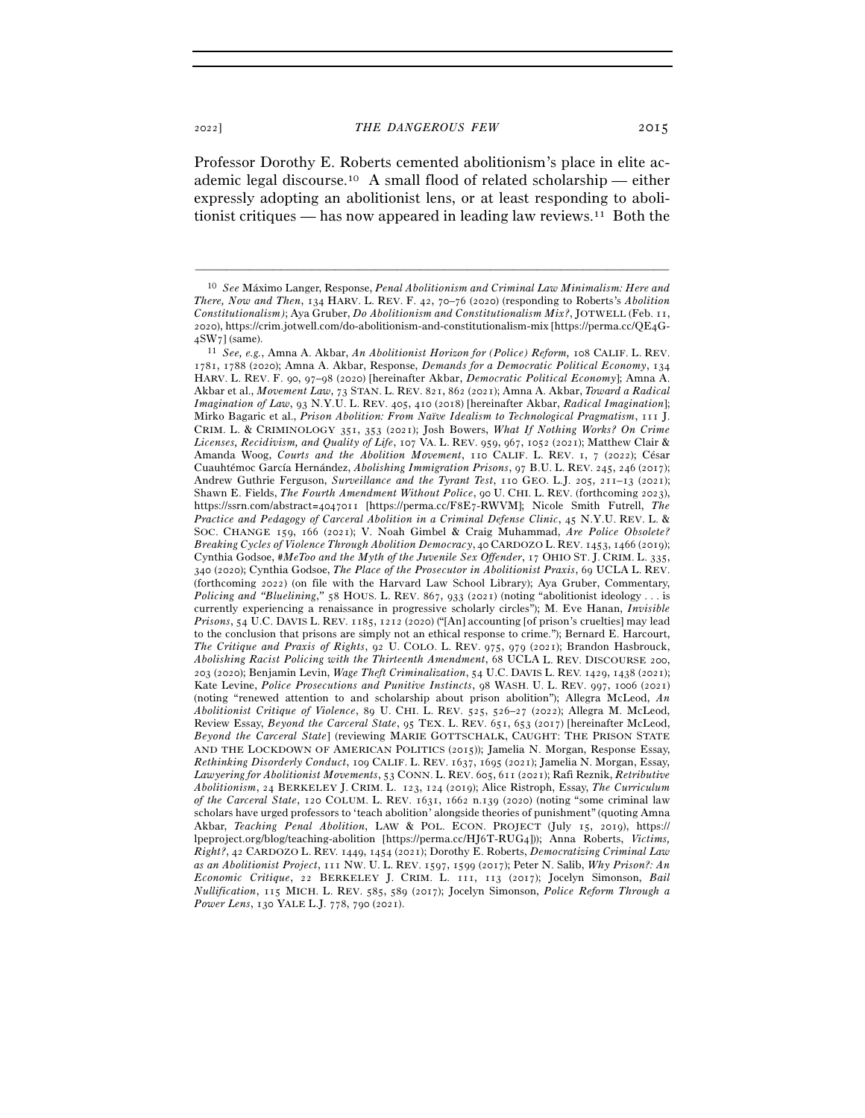Professor Dorothy E. Roberts cemented abolitionism's place in elite academic legal discourse.10 A small flood of related scholarship — either expressly adopting an abolitionist lens, or at least responding to abolitionist critiques — has now appeared in leading law reviews.<sup>11</sup> Both the

<sup>10</sup> *See* Máximo Langer, Response, *Penal Abolitionism and Criminal Law Minimalism: Here and There, Now and Then*, 134 HARV. L. REV. F. 42, 70–76 (2020) (responding to Roberts's *Abolition Constitutionalism)*; Aya Gruber, *Do Abolitionism and Constitutionalism Mix?*, JOTWELL (Feb. 11, 2020), https://crim.jotwell.com/do-abolitionism-and-constitutionalism-mix [https://perma.cc/QE4G-4SW7] (same).

<sup>4</sup>SW<sup>7</sup>] (same). 11 *See, e.g.*, Amna A. Akbar, *An Abolitionist Horizon for (Police) Reform,* 108 CALIF. L. REV. 1781, 1788 (2020); Amna A. Akbar, Response, *Demands for a Democratic Political Economy*, 134 HARV. L. REV. F. 90, 97–98 (2020) [hereinafter Akbar, *Democratic Political Economy*]; Amna A. Akbar et al., *Movement Law*, 73 STAN. L. REV. 821, 862 (2021); Amna A. Akbar, *Toward a Radical Imagination of Law*, 93 N.Y.U. L. REV. 405, 410 (2018) [hereinafter Akbar, *Radical Imagination*]; Mirko Bagaric et al., *Prison Abolition: From Naïve Idealism to Technological Pragmatism*, 111 J. CRIM. L. & CRIMINOLOGY 351, 353 (2021); Josh Bowers, *What If Nothing Works? On Crime Licenses, Recidivism, and Quality of Life*, 107 VA. L. REV. 959, 967, 1052 (2021); Matthew Clair & Amanda Woog, *Courts and the Abolition Movement*, 110 CALIF. L. REV. 1, 7 (2022); César Cuauhtémoc García Hernández, *Abolishing Immigration Prisons*, 97 B.U. L. REV. 245, 246 (2017); Andrew Guthrie Ferguson, *Surveillance and the Tyrant Test*, 110 GEO. L.J. 205, 211–13 (2021); Shawn E. Fields, *The Fourth Amendment Without Police*, 90 U. CHI. L. REV. (forthcoming 2023), https://ssrn.com/abstract=4047011 [https://perma.cc/F8E7-RWVM]; Nicole Smith Futrell, *The Practice and Pedagogy of Carceral Abolition in a Criminal Defense Clinic*, 45 N.Y.U. REV. L. & SOC. CHANGE 159, 166 (2021); V. Noah Gimbel & Craig Muhammad, *Are Police Obsolete? Breaking Cycles of Violence Through Abolition Democracy*, 40 CARDOZO L. REV. 1453, 1466 (2019); Cynthia Godsoe, *#MeToo and the Myth of the Juvenile Sex Offender*, 17 OHIO ST. J. CRIM. L. 335, 340 (2020); Cynthia Godsoe, *The Place of the Prosecutor in Abolitionist Praxis*, 69 UCLA L. REV. (forthcoming 2022) (on file with the Harvard Law School Library); Aya Gruber, Commentary, *Policing and "Bluelining,"* 58 HOUS. L. REV. 867, 933 (2021) (noting "abolitionist ideology . . . is currently experiencing a renaissance in progressive scholarly circles"); M. Eve Hanan, *Invisible Prisons*, 54 U.C. DAVIS L. REV. 1185, 1212 (2020) ("[An] accounting [of prison's cruelties] may lead to the conclusion that prisons are simply not an ethical response to crime."); Bernard E. Harcourt, *The Critique and Praxis of Rights*, 92 U. COLO. L. REV. 975, 979 (2021); Brandon Hasbrouck, *Abolishing Racist Policing with the Thirteenth Amendment*, 68 UCLA L. REV. DISCOURSE 200, 203 (2020); Benjamin Levin, *Wage Theft Criminalization*, 54 U.C. DAVIS L. REV. 1429, 1438 (2021); Kate Levine, *Police Prosecutions and Punitive Instincts*, 98 WASH. U. L. REV. 997, 1006 (2021) (noting "renewed attention to and scholarship about prison abolition"); Allegra McLeod, *An Abolitionist Critique of Violence*, 89 U. CHI. L. REV. 525, 526–27 (2022); Allegra M. McLeod, Review Essay, *Beyond the Carceral State*, 95 TEX. L. REV. 651, 653 (2017) [hereinafter McLeod, *Beyond the Carceral State*] (reviewing MARIE GOTTSCHALK, CAUGHT: THE PRISON STATE AND THE LOCKDOWN OF AMERICAN POLITICS (2015)); Jamelia N. Morgan, Response Essay, *Rethinking Disorderly Conduct*, 109 CALIF. L. REV. 1637, 1695 (2021); Jamelia N. Morgan, Essay, *Lawyering for Abolitionist Movements*, 53 CONN. L. REV. 605, 611 (2021); Rafi Reznik, *Retributive Abolitionism*, 24 BERKELEY J. CRIM. L. 123, 124 (2019); Alice Ristroph, Essay, *The Curriculum of the Carceral State*, 120 COLUM. L. REV. 1631, 1662 n.139 (2020) (noting "some criminal law scholars have urged professors to 'teach abolition' alongside theories of punishment" (quoting Amna Akbar, *Teaching Penal Abolition*, LAW & POL. ECON. PROJECT (July 15, 2019), https:// lpeproject.org/blog/teaching-abolition [https://perma.cc/HJ6T-RUG4])); Anna Roberts, *Victims, Right?*, 42 CARDOZO L. REV. 1449, 1454 (2021); Dorothy E. Roberts, *Democratizing Criminal Law as an Abolitionist Project*, 111 NW. U. L. REV. 1597, 1599 (2017); Peter N. Salib, *Why Prison?: An Economic Critique*, 22 BERKELEY J. CRIM. L. 111, 113 (2017); Jocelyn Simonson, *Bail Nullification*, 115 MICH. L. REV. 585, 589 (2017); Jocelyn Simonson, *Police Reform Through a Power Lens*, 130 YALE L.J. 778, 790 (2021).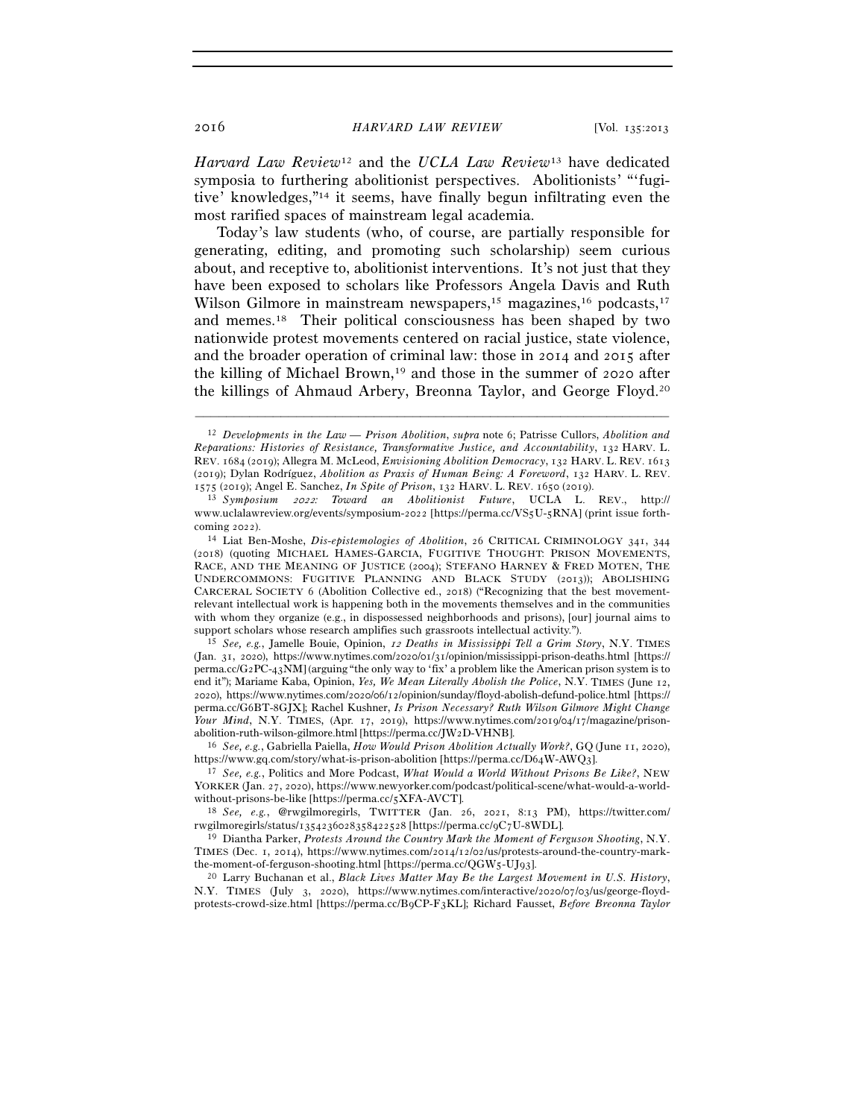*Harvard Law Review*12 and the *UCLA Law Review*13 have dedicated symposia to furthering abolitionist perspectives. Abolitionists' "'fugitive' knowledges,"14 it seems, have finally begun infiltrating even the most rarified spaces of mainstream legal academia.

Today's law students (who, of course, are partially responsible for generating, editing, and promoting such scholarship) seem curious about, and receptive to, abolitionist interventions. It's not just that they have been exposed to scholars like Professors Angela Davis and Ruth Wilson Gilmore in mainstream newspapers,<sup>15</sup> magazines,<sup>16</sup> podcasts,<sup>17</sup> and memes.18 Their political consciousness has been shaped by two nationwide protest movements centered on racial justice, state violence, and the broader operation of criminal law: those in 2014 and 2015 after the killing of Michael Brown,<sup>19</sup> and those in the summer of 2020 after the killings of Ahmaud Arbery, Breonna Taylor, and George Floyd.20

–––––––––––––––––––––––––––––––––––––––––––––––––––––––––––––

(Jan. 31, 2020), https://www.nytimes.com/2020/01/31/opinion/mississippi-prison-deaths.html [https:// perma.cc/G2PC-43NM] (arguing "the only way to 'fix' a problem like the American prison system is to end it"); Mariame Kaba, Opinion, *Yes, We Mean Literally Abolish the Police*, N.Y. TIMES (June 12, 2020), https://www.nytimes.com/2020/06/12/opinion/sunday/floyd-abolish-defund-police.html [https:// perma.cc/G6BT-8GJX]; Rachel Kushner, *Is Prison Necessary? Ruth Wilson Gilmore Might Change Your Mind*, N.Y. TIMES, (Apr. 17, 2019), https://www.nytimes.com/2019/04/17/magazine/prisonabolition-ruth-wilson-gilmore.html [https://perma.cc/JW<sup>2</sup>D-VHNB]. 16 *See, e.g.*, Gabriella Paiella, *How Would Prison Abolition Actually Work?*, GQ (June 11, 2020),

https://www.gq.com/story/what-is-prison-abolition [https://perma.cc/D64W-AWQ<sup>3</sup>]. 17 *See, e.g.*, Politics and More Podcast, *What Would a World Without Prisons Be Like?*, NEW

YORKER (Jan. 27, 2020), https://www.newyorker.com/podcast/political-scene/what-would-a-worldwithout-prisons-be-like [https://perma.cc/5XFA-AVCT].<br><sup>18</sup> *See, e.g.*, @rwgilmoregirls, TWITTER (Jan. 26, 2021, 8:13 PM), https://twitter.com/

rwgilmoregirls/status/1354236028358422528 [https://perma.cc/9C7U-8WDL]. 19 Diantha Parker, *Protests Around the Country Mark the Moment of Ferguson Shooting*, N.Y.

TIMES (Dec. 1, 2014), https://www.nytimes.com/2014/12/02/us/protests-around-the-country-markthe-moment-of-ferguson-shooting.html [https://perma.cc/QGW5-UJ<sup>93</sup>]. 20 Larry Buchanan et al., *Black Lives Matter May Be the Largest Movement in U.S. History*,

N.Y. TIMES (July 3, 2020), https://www.nytimes.com/interactive/2020/07/03/us/george-floydprotests-crowd-size.html [https://perma.cc/B9CP-F3KL]; Richard Fausset, *Before Breonna Taylor* 

<sup>12</sup> *Developments in the Law — Prison Abolition*, *supra* note 6; Patrisse Cullors, *Abolition and Reparations: Histories of Resistance, Transformative Justice, and Accountability*, 132 HARV. L. REV. 1684 (2019); Allegra M. McLeod, *Envisioning Abolition Democracy*, 132 HARV. L. REV. 1613 (2019); Dylan Rodríguez, *Abolition as Praxis of Human Being: A Foreword*, 132 HARV. L. REV. <sup>1575</sup> (2019); Angel E. Sanchez, *In Spite of Prison*, 132 HARV. L. REV. 1650 (<sup>2019</sup>). 13 *Symposium* 2022*: Toward an Abolitionist Future*, UCLA L. REV., http://

www.uclalawreview.org/events/symposium-2022 [https://perma.cc/VS5U-5RNA] (print issue forthcoming 2022).<br><sup>14</sup> Liat Ben-Moshe, *Dis-epistemologies of Abolition*, 26 CRITICAL CRIMINOLOGY 341, 344

<sup>(</sup>2018) (quoting MICHAEL HAMES-GARCIA, FUGITIVE THOUGHT: PRISON MOVEMENTS, RACE, AND THE MEANING OF JUSTICE (2004); STEFANO HARNEY & FRED MOTEN, THE UNDERCOMMONS: FUGITIVE PLANNING AND BLACK STUDY (2013)); ABOLISHING CARCERAL SOCIETY 6 (Abolition Collective ed., 2018) ("Recognizing that the best movementrelevant intellectual work is happening both in the movements themselves and in the communities with whom they organize (e.g., in dispossessed neighborhoods and prisons), [our] journal aims to support scholars whose research amplifies such grassroots intellectual activity."). 15 *See, e.g.*, Jamelle Bouie, Opinion, 12 *Deaths in Mississippi Tell a Grim Story*, N.Y. TIMES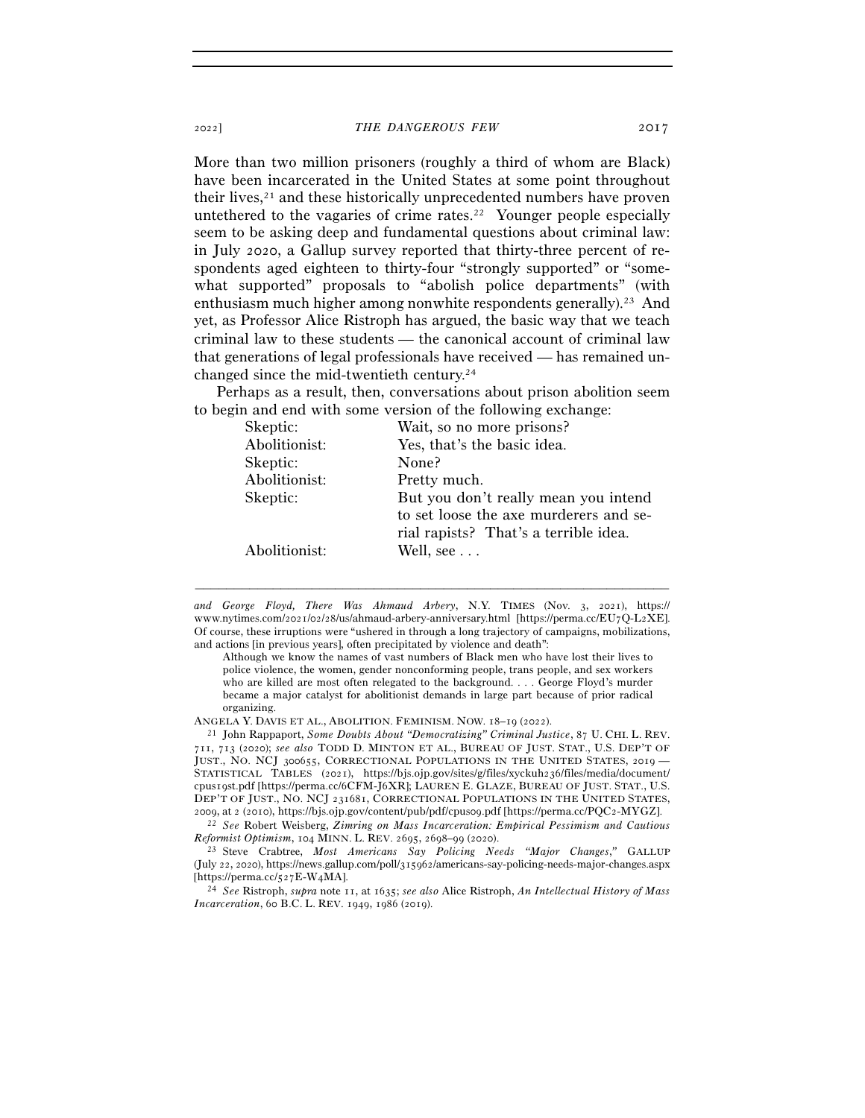More than two million prisoners (roughly a third of whom are Black) have been incarcerated in the United States at some point throughout their lives, $2<sup>1</sup>$  and these historically unprecedented numbers have proven untethered to the vagaries of crime rates.<sup>22</sup> Younger people especially seem to be asking deep and fundamental questions about criminal law:

in July 2020, a Gallup survey reported that thirty-three percent of respondents aged eighteen to thirty-four "strongly supported" or "somewhat supported" proposals to "abolish police departments" (with enthusiasm much higher among nonwhite respondents generally).<sup>23</sup> And yet, as Professor Alice Ristroph has argued, the basic way that we teach criminal law to these students — the canonical account of criminal law that generations of legal professionals have received — has remained unchanged since the mid-twentieth century.24

Perhaps as a result, then, conversations about prison abolition seem to begin and end with some version of the following exchange:

| Skeptic:      | Wait, so no more prisons?              |
|---------------|----------------------------------------|
| Abolitionist: | Yes, that's the basic idea.            |
| Skeptic:      | None?                                  |
| Abolitionist: | Pretty much.                           |
| Skeptic:      | But you don't really mean you intend   |
|               | to set loose the axe murderers and se- |
|               | rial rapists? That's a terrible idea.  |
| Abolitionist: | Well, see                              |
|               |                                        |

*and George Floyd, There Was Ahmaud Arbery*, N.Y. TIMES (Nov. 3, 2021), https:// www.nytimes.com/2021/02/28/us/ahmaud-arbery-anniversary.html [https://perma.cc/EU7Q-L2XE]. Of course, these irruptions were "ushered in through a long trajectory of campaigns, mobilizations, and actions [in previous years], often precipitated by violence and death":

–––––––––––––––––––––––––––––––––––––––––––––––––––––––––––––

Although we know the names of vast numbers of Black men who have lost their lives to police violence, the women, gender nonconforming people, trans people, and sex workers who are killed are most often relegated to the background. . . . George Floyd's murder became a major catalyst for abolitionist demands in large part because of prior radical organizing.

ANGELA Y. DAVIS ET AL., ABOLITION. FEMINISM. NOW. 18–19 (<sup>2022</sup>). 21 John Rappaport, *Some Doubts About "Democratizing" Criminal Justice*, 87 U. CHI. L. REV. 711, 713 (2020); *see also* TODD D. MINTON ET AL., BUREAU OF JUST. STAT., U.S. DEP'T OF JUST., NO. NCJ 300655, CORRECTIONAL POPULATIONS IN THE UNITED STATES, 2019 — STATISTICAL TABLES (2021), https://bjs.ojp.gov/sites/g/files/xyckuh236/files/media/document/ cpus19st.pdf [https://perma.cc/6CFM-J6XR]; LAUREN E. GLAZE, BUREAU OF JUST. STAT., U.S. DEP'T OF JUST., NO. NCJ 231681, CORRECTIONAL POPULATIONS IN THE UNITED STATES,

2009, at <sup>2</sup> (2010), https://bjs.ojp.gov/content/pub/pdf/cpus09.pdf [https://perma.cc/PQC<sup>2</sup>-MYGZ]. 22 *See* Robert Weisberg, *Zimring on Mass Incarceration: Empirical Pessimism and Cautious Reformist Optimism*, 104 MINN. L. REV. 2695, 2698–99 (<sup>2020</sup>). 23 Steve Crabtree, *Most Americans Say Policing Needs "Major Changes*,*"* GALLUP

(July 22, 2020), https://news.gallup.com/poll/315962/americans-say-policing-needs-major-changes.aspx [https://perma.cc/527E-W<sup>4</sup>MA]. 24 *See* Ristroph, *supra* note 11, at 1635; *see also* Alice Ristroph, *An Intellectual History of Mass* 

*Incarceration*, 60 B.C. L. REV. 1949, 1986 (2019).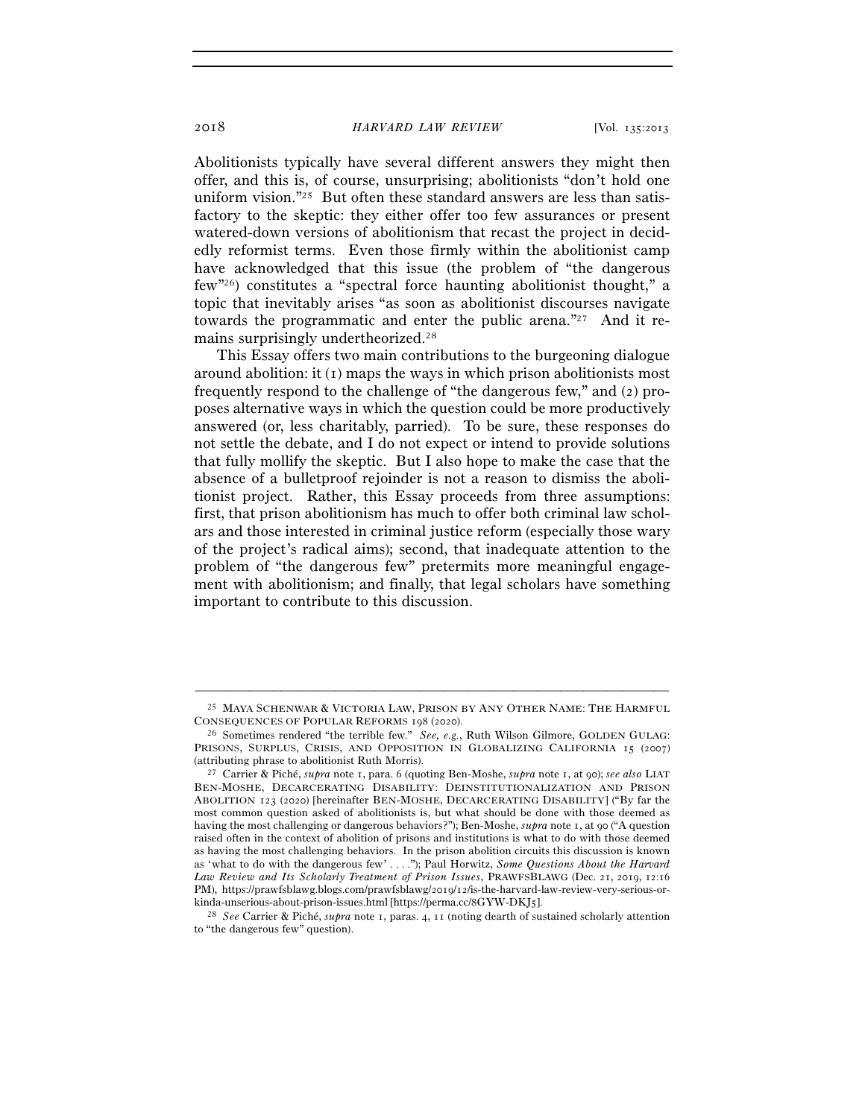Abolitionists typically have several different answers they might then offer, and this is, of course, unsurprising; abolitionists "don't hold one uniform vision."<sup>25</sup> But often these standard answers are less than satisfactory to the skeptic: they either offer too few assurances or present watered-down versions of abolitionism that recast the project in decidedly reformist terms. Even those firmly within the abolitionist camp have acknowledged that this issue (the problem of "the dangerous few"26) constitutes a "spectral force haunting abolitionist thought," a topic that inevitably arises "as soon as abolitionist discourses navigate towards the programmatic and enter the public arena."27 And it remains surprisingly undertheorized.28

This Essay offers two main contributions to the burgeoning dialogue around abolition: it (1) maps the ways in which prison abolitionists most frequently respond to the challenge of "the dangerous few," and (2) proposes alternative ways in which the question could be more productively answered (or, less charitably, parried). To be sure, these responses do not settle the debate, and I do not expect or intend to provide solutions that fully mollify the skeptic. But I also hope to make the case that the absence of a bulletproof rejoinder is not a reason to dismiss the abolitionist project. Rather, this Essay proceeds from three assumptions: first, that prison abolitionism has much to offer both criminal law scholars and those interested in criminal justice reform (especially those wary of the project's radical aims); second, that inadequate attention to the problem of "the dangerous few" pretermits more meaningful engagement with abolitionism; and finally, that legal scholars have something important to contribute to this discussion.

<sup>–––––––––––––––––––––––––––––––––––––––––––––––––––––––––––––</sup> 25 MAYA SCHENWAR & VICTORIA LAW, PRISON BY ANY OTHER NAME: THE HARMFUL CONSEQUENCES OF POPULAR REFORMS 198 (2020). 26 Sometimes rendered "the terrible few." *See, e.g.*, Ruth Wilson Gilmore, GOLDEN GULAG:

PRISONS, SURPLUS, CRISIS, AND OPPOSITION IN GLOBALIZING CALIFORNIA 15 (2007) (attributing phrase to abolitionist Ruth Morris). 27 Carrier & Piché, *supra* note 1, para. 6 (quoting Ben-Moshe, *supra* note 1, at 90); *see also* LIAT

BEN-MOSHE, DECARCERATING DISABILITY: DEINSTITUTIONALIZATION AND PRISON ABOLITION 123 (2020) [hereinafter BEN-MOSHE, DECARCERATING DISABILITY] ("By far the most common question asked of abolitionists is, but what should be done with those deemed as having the most challenging or dangerous behaviors?"); Ben-Moshe, *supra* note 1, at 90 ("A question raised often in the context of abolition of prisons and institutions is what to do with those deemed as having the most challenging behaviors. In the prison abolition circuits this discussion is known as 'what to do with the dangerous few' . . . ."); Paul Horwitz, *Some Questions About the Harvard Law Review and Its Scholarly Treatment of Prison Issues*, PRAWFSBLAWG (Dec. 21, 2019, 12:16 PM), https://prawfsblawg.blogs.com/prawfsblawg/2019/12/is-the-harvard-law-review-very-serious-orkinda-unserious-about-prison-issues.html [https://perma.cc/8GYW-DKJ<sup>5</sup>]. 28 *See* Carrier & Piché, *supra* note 1, paras. 4, 11 (noting dearth of sustained scholarly attention

to "the dangerous few" question).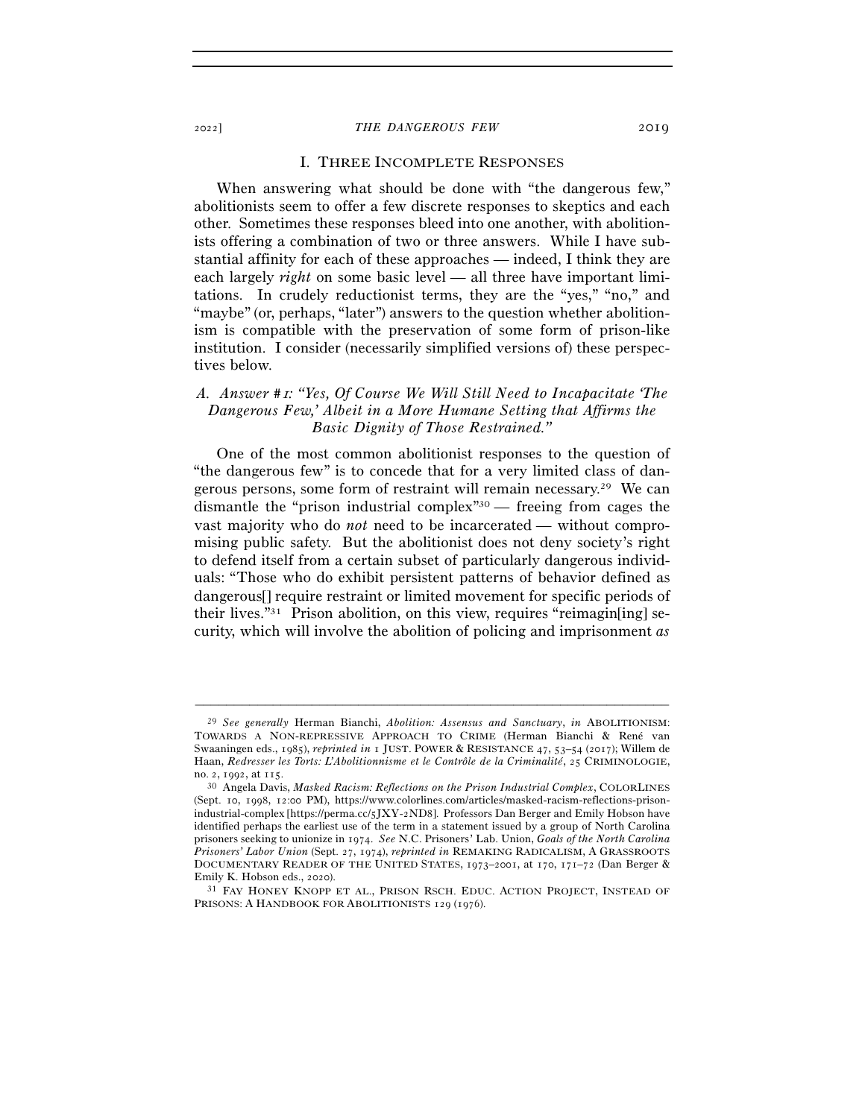#### I. THREE INCOMPLETE RESPONSES

When answering what should be done with "the dangerous few," abolitionists seem to offer a few discrete responses to skeptics and each other. Sometimes these responses bleed into one another, with abolitionists offering a combination of two or three answers. While I have substantial affinity for each of these approaches — indeed, I think they are each largely *right* on some basic level — all three have important limitations. In crudely reductionist terms, they are the "yes," "no," and "maybe" (or, perhaps, "later") answers to the question whether abolitionism is compatible with the preservation of some form of prison-like institution. I consider (necessarily simplified versions of) these perspectives below.

# *A. Answer #*1*: "Yes, Of Course We Will Still Need to Incapacitate 'The Dangerous Few,' Albeit in a More Humane Setting that Affirms the Basic Dignity of Those Restrained."*

One of the most common abolitionist responses to the question of "the dangerous few" is to concede that for a very limited class of dangerous persons, some form of restraint will remain necessary.29 We can dismantle the "prison industrial complex"30 — freeing from cages the vast majority who do *not* need to be incarcerated — without compromising public safety. But the abolitionist does not deny society's right to defend itself from a certain subset of particularly dangerous individuals: "Those who do exhibit persistent patterns of behavior defined as dangerous[] require restraint or limited movement for specific periods of their lives."31 Prison abolition, on this view, requires "reimagin[ing] security, which will involve the abolition of policing and imprisonment *as* 

<sup>29</sup> *See generally* Herman Bianchi, *Abolition: Assensus and Sanctuary*, *in* ABOLITIONISM: TOWARDS A NON-REPRESSIVE APPROACH TO CRIME (Herman Bianchi & René van Swaaningen eds., 1985), *reprinted in* 1 JUST. POWER & RESISTANCE 47, 53–54 (2017); Willem de Haan, *Redresser les Torts: L'Abolitionnisme et le Contrôle de la Criminalité*, 25 CRIMINOLOGIE, no. <sup>2</sup>, <sup>1992</sup>, at <sup>115</sup>. 30 Angela Davis, *Masked Racism: Reflections on the Prison Industrial Complex*, COLORLINES

<sup>(</sup>Sept. 10, 1998, 12:00 PM), https://www.colorlines.com/articles/masked-racism-reflections-prisonindustrial-complex [https://perma.cc/5JXY-2ND8]. Professors Dan Berger and Emily Hobson have identified perhaps the earliest use of the term in a statement issued by a group of North Carolina prisoners seeking to unionize in 1974. *See* N.C. Prisoners' Lab. Union, *Goals of the North Carolina Prisoners' Labor Union* (Sept. 27, 1974), *reprinted in* REMAKING RADICALISM, A GRASSROOTS DOCUMENTARY READER OF THE UNITED STATES, 1973–2001, at 170, 171–72 (Dan Berger & Emily K. Hobson eds., 2020).<br><sup>31</sup> FAY HONEY KNOPP ET AL., PRISON RSCH. EDUC. ACTION PROJECT, INSTEAD OF

PRISONS: A HANDBOOK FOR ABOLITIONISTS 129 (1976).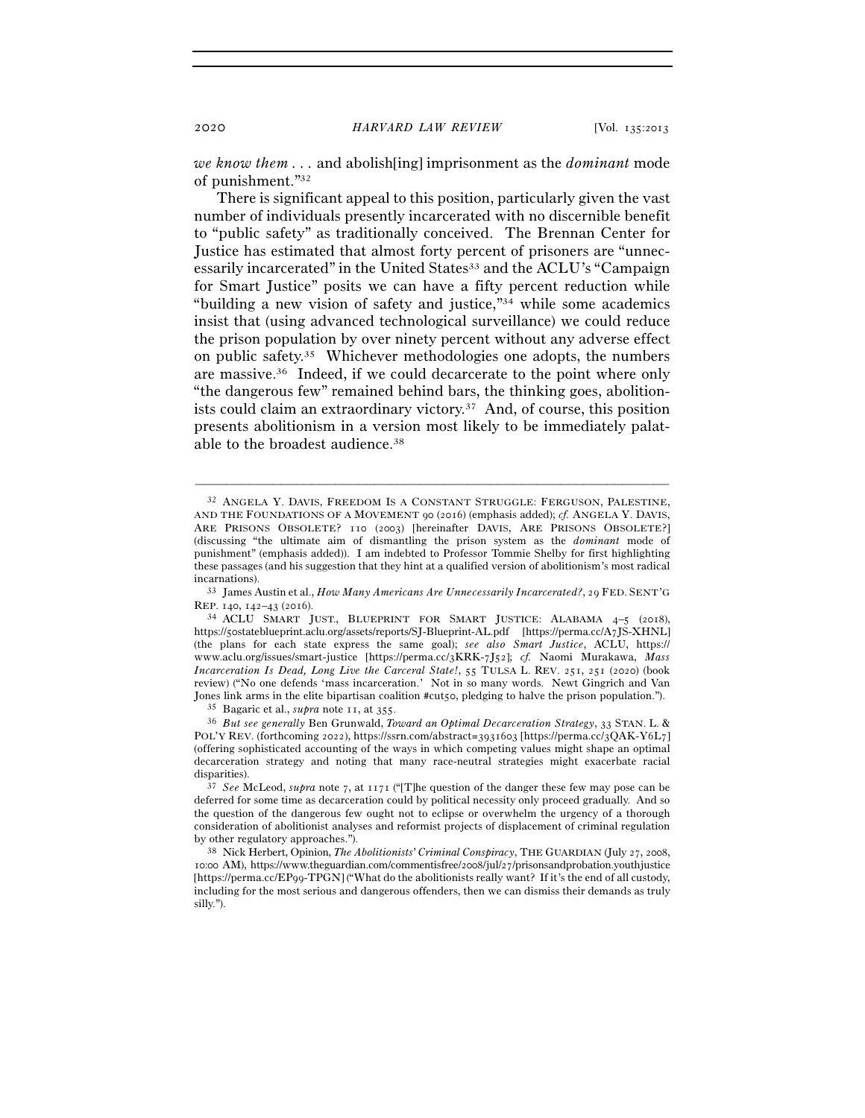*we know them . . .* and abolish[ing] imprisonment as the *dominant* mode of punishment."32

There is significant appeal to this position, particularly given the vast number of individuals presently incarcerated with no discernible benefit to "public safety" as traditionally conceived. The Brennan Center for Justice has estimated that almost forty percent of prisoners are "unnecessarily incarcerated" in the United States<sup>33</sup> and the ACLU's "Campaign" for Smart Justice" posits we can have a fifty percent reduction while "building a new vision of safety and justice,"34 while some academics insist that (using advanced technological surveillance) we could reduce the prison population by over ninety percent without any adverse effect on public safety.35 Whichever methodologies one adopts, the numbers are massive.36 Indeed, if we could decarcerate to the point where only "the dangerous few" remained behind bars, the thinking goes, abolitionists could claim an extraordinary victory.37 And, of course, this position presents abolitionism in a version most likely to be immediately palatable to the broadest audience.38

<sup>32</sup> ANGELA Y. DAVIS, FREEDOM IS A CONSTANT STRUGGLE: FERGUSON, PALESTINE, AND THE FOUNDATIONS OF A MOVEMENT 90 (2016) (emphasis added); *cf.* ANGELA Y. DAVIS, ARE PRISONS OBSOLETE? 110 (2003) [hereinafter DAVIS, ARE PRISONS OBSOLETE?] (discussing "the ultimate aim of dismantling the prison system as the *dominant* mode of punishment" (emphasis added)). I am indebted to Professor Tommie Shelby for first highlighting these passages (and his suggestion that they hint at a qualified version of abolitionism's most radical incarnations). 33 James Austin et al., *How Many Americans Are Unnecessarily Incarcerated?*, 29 FED. SENT'G

REP. 140, 142–43 (2016).<br><sup>34</sup> ACLU SMART JUST., BLUEPRINT FOR SMART JUSTICE: ALABAMA 4–5 (2018),

https://50stateblueprint.aclu.org/assets/reports/SJ-Blueprint-AL.pdf [https://perma.cc/A7JS-XHNL] (the plans for each state express the same goal); *see also Smart Justice*, ACLU, https:// www.aclu.org/issues/smart-justice [https://perma.cc/3KRK-7J52]; *cf.* Naomi Murakawa, *Mass Incarceration Is Dead, Long Live the Carceral State!*, 55 TULSA L. REV. 251, 251 (2020) (book review) ("No one defends 'mass incarceration.' Not in so many words. Newt Gingrich and Van Jones link arms in the elite bipartisan coalition #cut50, pledging to halve the prison population.").<br><sup>35</sup> Bagaric et al., *supra* note 11, at 355.<br><sup>36</sup> But see generally Ben Grunwald, *Toward an Optimal Decarceration Stra* 

POL'Y REV. (forthcoming 2022), https://ssrn.com/abstract=3931603 [https://perma.cc/3QAK-Y6L7] (offering sophisticated accounting of the ways in which competing values might shape an optimal decarceration strategy and noting that many race-neutral strategies might exacerbate racial

disparities). 37 *See* McLeod, *supra* note <sup>7</sup>, at 1171 ("[T]he question of the danger these few may pose can be deferred for some time as decarceration could by political necessity only proceed gradually. And so the question of the dangerous few ought not to eclipse or overwhelm the urgency of a thorough consideration of abolitionist analyses and reformist projects of displacement of criminal regulation by other regulatory approaches."). 38 Nick Herbert, Opinion, *The Abolitionists' Criminal Conspiracy*, THE GUARDIAN (July 27, 2008,

<sup>10</sup>:00 AM), https://www.theguardian.com/commentisfree/2008/jul/27/prisonsandprobation.youthjustice [https://perma.cc/EP99-TPGN] ("What do the abolitionists really want? If it's the end of all custody, including for the most serious and dangerous offenders, then we can dismiss their demands as truly silly.").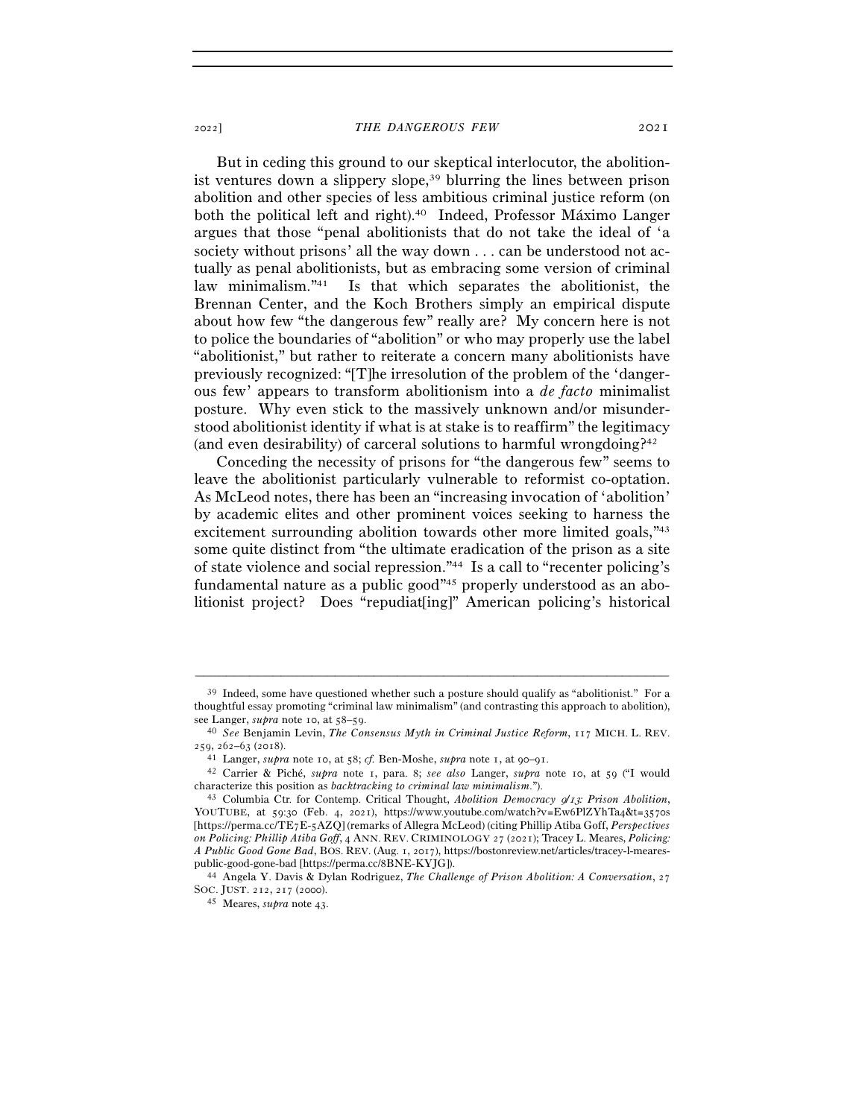But in ceding this ground to our skeptical interlocutor, the abolitionist ventures down a slippery slope,39 blurring the lines between prison abolition and other species of less ambitious criminal justice reform (on both the political left and right).40 Indeed, Professor Máximo Langer argues that those "penal abolitionists that do not take the ideal of 'a society without prisons' all the way down . . . can be understood not actually as penal abolitionists, but as embracing some version of criminal law minimalism."41 Is that which separates the abolitionist, the Brennan Center, and the Koch Brothers simply an empirical dispute about how few "the dangerous few" really are? My concern here is not to police the boundaries of "abolition" or who may properly use the label "abolitionist," but rather to reiterate a concern many abolitionists have previously recognized: "[T]he irresolution of the problem of the 'dangerous few' appears to transform abolitionism into a *de facto* minimalist posture. Why even stick to the massively unknown and/or misunderstood abolitionist identity if what is at stake is to reaffirm" the legitimacy (and even desirability) of carceral solutions to harmful wrongdoing?42

Conceding the necessity of prisons for "the dangerous few" seems to leave the abolitionist particularly vulnerable to reformist co-optation. As McLeod notes, there has been an "increasing invocation of 'abolition' by academic elites and other prominent voices seeking to harness the excitement surrounding abolition towards other more limited goals,  $\frac{1}{4}$ some quite distinct from "the ultimate eradication of the prison as a site of state violence and social repression."44 Is a call to "recenter policing's fundamental nature as a public good"45 properly understood as an abolitionist project? Does "repudiat[ing]" American policing's historical

 $39$  Indeed, some have questioned whether such a posture should qualify as "abolitionist." For a thoughtful essay promoting "criminal law minimalism" (and contrasting this approach to abolition),

see Langer, *supra* note 10, at 58–59.<br><sup>40</sup> *See* Benjamin Levin, *The Consensus Myth in Criminal Justice Reform*, 117 MICH. L. REV.<br>259, 262–63 (2018).

<sup>&</sup>lt;sup>41</sup> Langer, *supra* note 10, at 58; *cf.* Ben-Moshe, *supra* note 1, at 90-91.

<sup>42</sup> Carrier & Piché, *supra* note 1, para. 8; *see also* Langer, *supra* note 10, at 59 ("I would characterize this position as *backtracking to criminal law minimalism*."). 43 Columbia Ctr. for Contemp. Critical Thought, *Abolition Democracy* 9*/*13*: Prison Abolition*,

YOUTUBE, at 59:30 (Feb. 4, 2021), https://www.youtube.com/watch?v=Ew6PlZYhTa4&t=3570s [https://perma.cc/TE7E-5AZQ] (remarks of Allegra McLeod) (citing Phillip Atiba Goff, *Perspectives on Policing: Phillip Atiba Goff*, 4 ANN. REV. CRIMINOLOGY 27 (2021); Tracey L. Meares, *Policing: A Public Good Gone Bad*, BOS. REV. (Aug. 1, 2017), https://bostonreview.net/articles/tracey-l-mearespublic-good-gone-bad [https://perma.cc/<sup>8</sup>BNE-KYJG]). 44 Angela Y. Davis & Dylan Rodriguez, *The Challenge of Prison Abolition: A Conversation*, <sup>27</sup>

SOC. JUST. 212, 217 (<sup>2000</sup>). 45 Meares, *supra* note 43.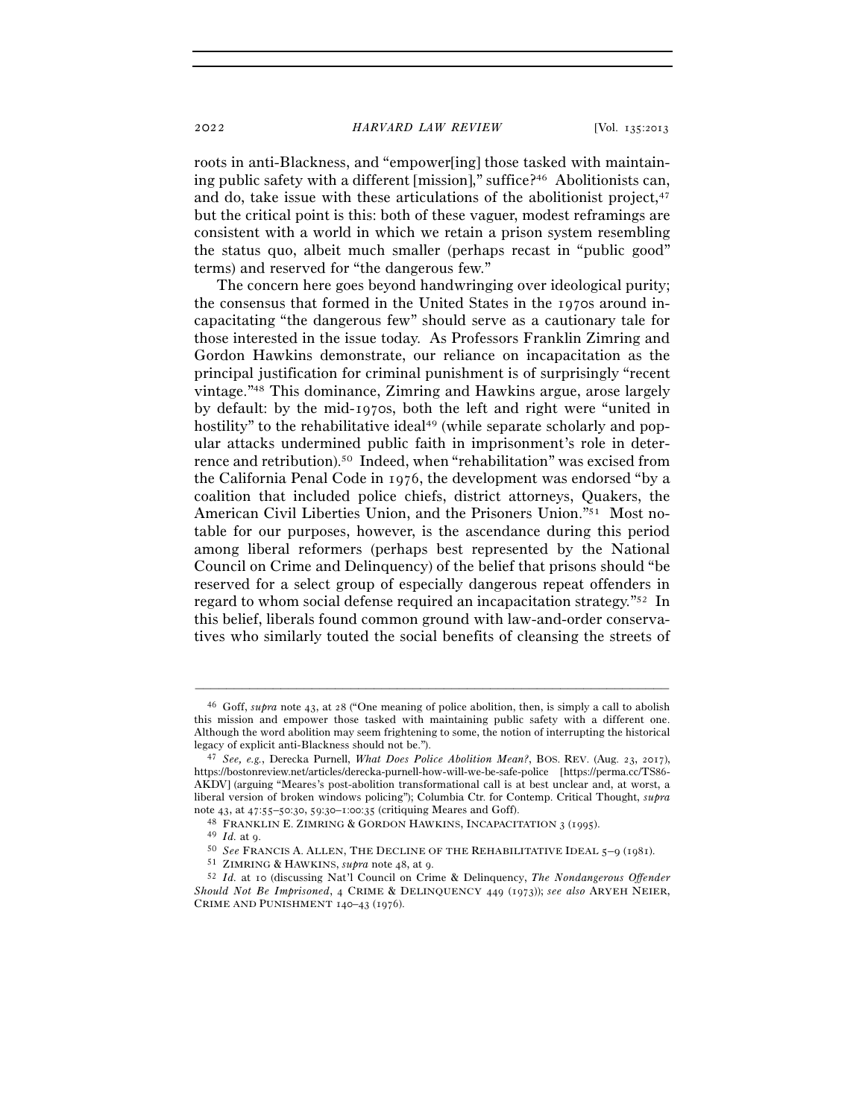roots in anti-Blackness, and "empower[ing] those tasked with maintaining public safety with a different [mission]," suffice?46 Abolitionists can, and do, take issue with these articulations of the abolitionist project, $47$ but the critical point is this: both of these vaguer, modest reframings are consistent with a world in which we retain a prison system resembling the status quo, albeit much smaller (perhaps recast in "public good" terms) and reserved for "the dangerous few."

The concern here goes beyond handwringing over ideological purity; the consensus that formed in the United States in the 1970s around incapacitating "the dangerous few" should serve as a cautionary tale for those interested in the issue today. As Professors Franklin Zimring and Gordon Hawkins demonstrate, our reliance on incapacitation as the principal justification for criminal punishment is of surprisingly "recent vintage."48 This dominance, Zimring and Hawkins argue, arose largely by default: by the mid-1970s, both the left and right were "united in hostility" to the rehabilitative ideal<sup>49</sup> (while separate scholarly and popular attacks undermined public faith in imprisonment's role in deterrence and retribution).50 Indeed, when "rehabilitation" was excised from the California Penal Code in 1976, the development was endorsed "by a coalition that included police chiefs, district attorneys, Quakers, the American Civil Liberties Union, and the Prisoners Union."51 Most notable for our purposes, however, is the ascendance during this period among liberal reformers (perhaps best represented by the National Council on Crime and Delinquency) of the belief that prisons should "be reserved for a select group of especially dangerous repeat offenders in regard to whom social defense required an incapacitation strategy."52 In this belief, liberals found common ground with law-and-order conservatives who similarly touted the social benefits of cleansing the streets of

<sup>46</sup> Goff, *supra* note 43, at 28 ("One meaning of police abolition, then, is simply a call to abolish this mission and empower those tasked with maintaining public safety with a different one. Although the word abolition may seem frightening to some, the notion of interrupting the historical

<sup>&</sup>lt;sup>47</sup> See, e.g., Derecka Purnell, *What Does Police Abolition Mean?*, BOS. REV. (Aug. 23, 2017), https://bostonreview.net/articles/derecka-purnell-how-will-we-be-safe-police [https://perma.cc/TS86- AKDV] (arguing "Meares's post-abolition transformational call is at best unclear and, at worst, a liberal version of broken windows policing"); Columbia Ctr. for Contemp. Critical Thought, *supra*

note 43, at 47:55–50:30, 59:30–1:00:35 (critiquing Meares and Goff).<br>
<sup>48</sup> FRANKLIN E. ZIMRING & GORDON HAWKINS, INCAPACITATION 3 (1995).<br>
<sup>49</sup> *Id.* at 9.<br>
<sup>50</sup> *See* FRANCIS A. ALLEN, THE DECLINE OF THE REHABILITATIVE I *Should Not Be Imprisoned*, 4 CRIME & DELINQUENCY 449 (1973)); *see also* ARYEH NEIER, CRIME AND PUNISHMENT 140–43 (1976).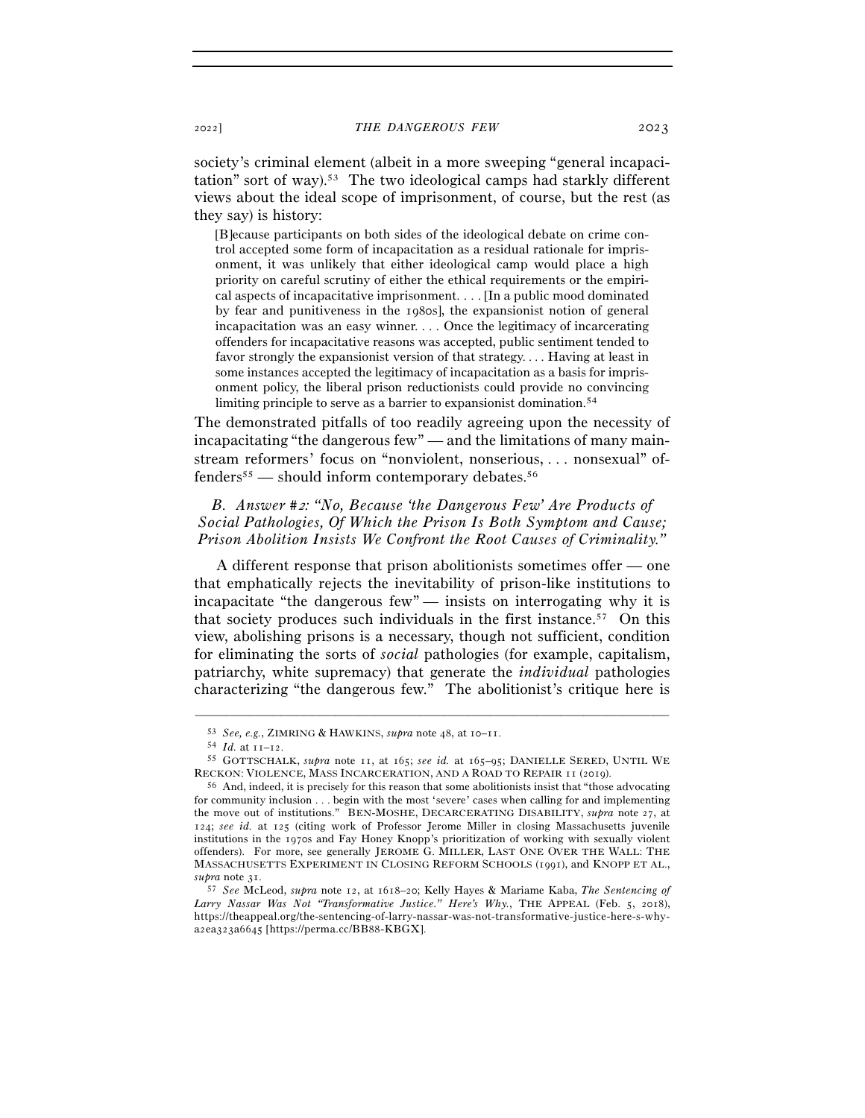society's criminal element (albeit in a more sweeping "general incapacitation" sort of way).53 The two ideological camps had starkly different views about the ideal scope of imprisonment, of course, but the rest (as they say) is history:

[B]ecause participants on both sides of the ideological debate on crime control accepted some form of incapacitation as a residual rationale for imprisonment, it was unlikely that either ideological camp would place a high priority on careful scrutiny of either the ethical requirements or the empirical aspects of incapacitative imprisonment. . . . [In a public mood dominated by fear and punitiveness in the 1980s], the expansionist notion of general incapacitation was an easy winner. . . . Once the legitimacy of incarcerating offenders for incapacitative reasons was accepted, public sentiment tended to favor strongly the expansionist version of that strategy. . . . Having at least in some instances accepted the legitimacy of incapacitation as a basis for imprisonment policy, the liberal prison reductionists could provide no convincing limiting principle to serve as a barrier to expansionist domination.54

The demonstrated pitfalls of too readily agreeing upon the necessity of incapacitating "the dangerous few" — and the limitations of many mainstream reformers' focus on "nonviolent, nonserious, . . . nonsexual" offenders55 — should inform contemporary debates.56

# *B. Answer #*2*: "No, Because 'the Dangerous Few' Are Products of Social Pathologies, Of Which the Prison Is Both Symptom and Cause; Prison Abolition Insists We Confront the Root Causes of Criminality."*

A different response that prison abolitionists sometimes offer — one that emphatically rejects the inevitability of prison-like institutions to incapacitate "the dangerous few" — insists on interrogating why it is that society produces such individuals in the first instance.57 On this view, abolishing prisons is a necessary, though not sufficient, condition for eliminating the sorts of *social* pathologies (for example, capitalism, patriarchy, white supremacy) that generate the *individual* pathologies characterizing "the dangerous few." The abolitionist's critique here is

<sup>53</sup> *See, e.g.*, ZIMRING & HAWKINS, *supra* note 48, at 10–<sup>11</sup>. 54 *Id.* at 11–<sup>12</sup>. 55 GOTTSCHALK, *supra* note 11, at 165; *see id.* at 165–95; DANIELLE SERED, UNTIL WE RECKON: VIOLENCE, MASS INCARCERATION, AND A ROAD TO REPAIR 11 (2019).<br><sup>56</sup> And, indeed, it is precisely for this reason that some abolitionists insist that "those advocating

for community inclusion . . . begin with the most 'severe' cases when calling for and implementing the move out of institutions." BEN-MOSHE, DECARCERATING DISABILITY, *supra* note 27, at 124; *see id.* at 125 (citing work of Professor Jerome Miller in closing Massachusetts juvenile institutions in the 1970s and Fay Honey Knopp's prioritization of working with sexually violent offenders). For more, see generally JEROME G. MILLER, LAST ONE OVER THE WALL: THE MASSACHUSETTS EXPERIMENT IN CLOSING REFORM SCHOOLS (1991), and KNOPP ET AL., *supra* note <sup>31</sup>. 57 *See* McLeod, *supra* note 12, at 1618–20; Kelly Hayes & Mariame Kaba, *The Sentencing of* 

*Larry Nassar Was Not "Transformative Justice." Here's Why.*, THE APPEAL (Feb. 5, 2018), https://theappeal.org/the-sentencing-of-larry-nassar-was-not-transformative-justice-here-s-whya2ea323a6645 [https://perma.cc/BB88-KBGX].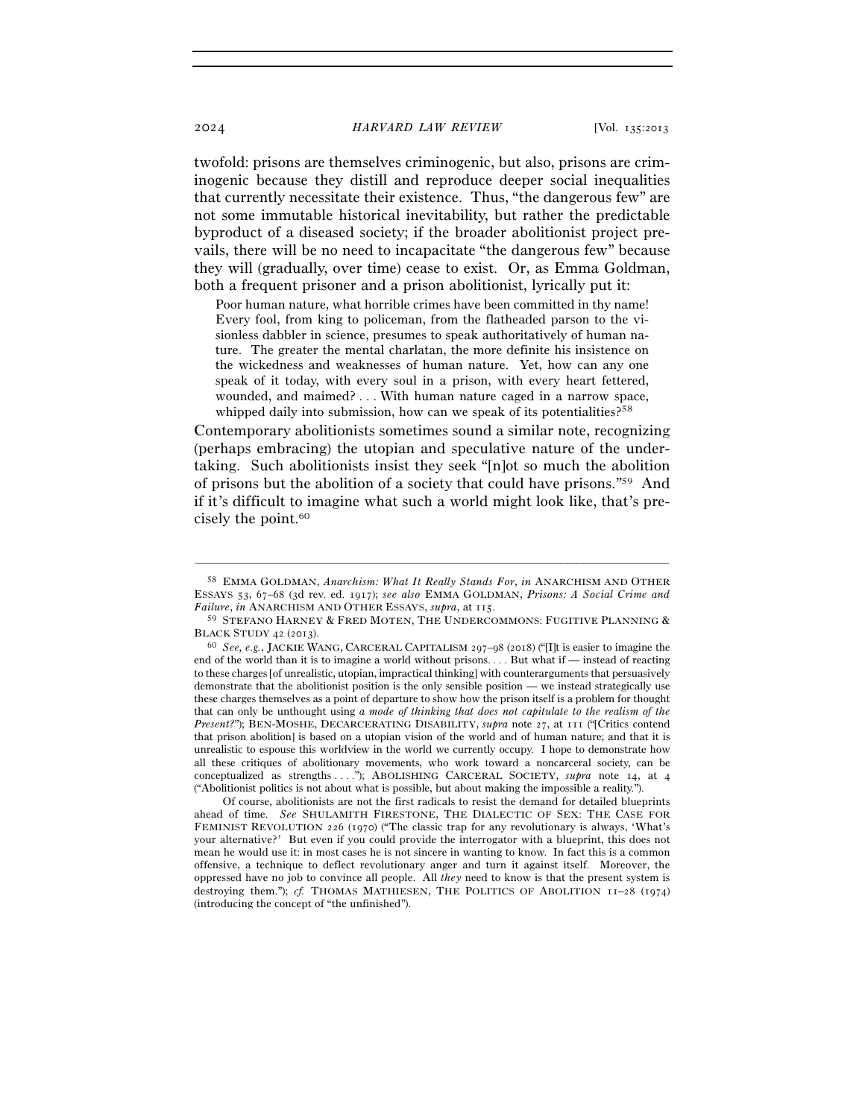twofold: prisons are themselves criminogenic, but also, prisons are criminogenic because they distill and reproduce deeper social inequalities that currently necessitate their existence. Thus, "the dangerous few" are not some immutable historical inevitability, but rather the predictable byproduct of a diseased society; if the broader abolitionist project prevails, there will be no need to incapacitate "the dangerous few" because they will (gradually, over time) cease to exist. Or, as Emma Goldman, both a frequent prisoner and a prison abolitionist, lyrically put it:

Poor human nature, what horrible crimes have been committed in thy name! Every fool, from king to policeman, from the flatheaded parson to the visionless dabbler in science, presumes to speak authoritatively of human nature. The greater the mental charlatan, the more definite his insistence on the wickedness and weaknesses of human nature. Yet, how can any one speak of it today, with every soul in a prison, with every heart fettered, wounded, and maimed? . . . With human nature caged in a narrow space, whipped daily into submission, how can we speak of its potentialities?<sup>58</sup>

Contemporary abolitionists sometimes sound a similar note, recognizing (perhaps embracing) the utopian and speculative nature of the undertaking. Such abolitionists insist they seek "[n]ot so much the abolition of prisons but the abolition of a society that could have prisons."59 And if it's difficult to imagine what such a world might look like, that's precisely the point.<sup>60</sup>

–––––––––––––––––––––––––––––––––––––––––––––––––––––––––––––

 Of course, abolitionists are not the first radicals to resist the demand for detailed blueprints ahead of time. *See* SHULAMITH FIRESTONE, THE DIALECTIC OF SEX: THE CASE FOR FEMINIST REVOLUTION 226 (1970) ("The classic trap for any revolutionary is always, 'What's your alternative?' But even if you could provide the interrogator with a blueprint, this does not mean he would use it: in most cases he is not sincere in wanting to know. In fact this is a common offensive, a technique to deflect revolutionary anger and turn it against itself. Moreover, the oppressed have no job to convince all people. All *they* need to know is that the present system is destroying them."); *cf.* THOMAS MATHIESEN, THE POLITICS OF ABOLITION  $I1-28$  (1974) (introducing the concept of "the unfinished").

<sup>58</sup> EMMA GOLDMAN, *Anarchism: What It Really Stands For*, *in* ANARCHISM AND OTHER ESSAYS 53, 67–68 (3d rev. ed. 1917); *see also* EMMA GOLDMAN, *Prisons: A Social Crime and Failure*, *in* ANARCHISM AND OTHER ESSAYS, *supra*, at <sup>115</sup>. 59 STEFANO HARNEY & FRED MOTEN, THE UNDERCOMMONS: FUGITIVE PLANNING &

BLACK STUDY <sup>42</sup> (<sup>2013</sup>). 60 *See, e.g.*, JACKIE WANG, CARCERAL CAPITALISM <sup>297</sup>–98 (2018) ("[I]t is easier to imagine the

end of the world than it is to imagine a world without prisons. . . . But what if — instead of reacting to these charges [of unrealistic, utopian, impractical thinking] with counterarguments that persuasively demonstrate that the abolitionist position is the only sensible position — we instead strategically use these charges themselves as a point of departure to show how the prison itself is a problem for thought that can only be unthought using *a mode of thinking that does not capitulate to the realism of the Present?*"); BEN-MOSHE, DECARCERATING DISABILITY, *supra* note 27, at 111 ("[Critics contend that prison abolition] is based on a utopian vision of the world and of human nature; and that it is unrealistic to espouse this worldview in the world we currently occupy. I hope to demonstrate how all these critiques of abolitionary movements, who work toward a noncarceral society, can be conceptualized as strengths . . . ."); ABOLISHING CARCERAL SOCIETY, *supra* note 14, at 4 ("Abolitionist politics is not about what is possible, but about making the impossible a reality.").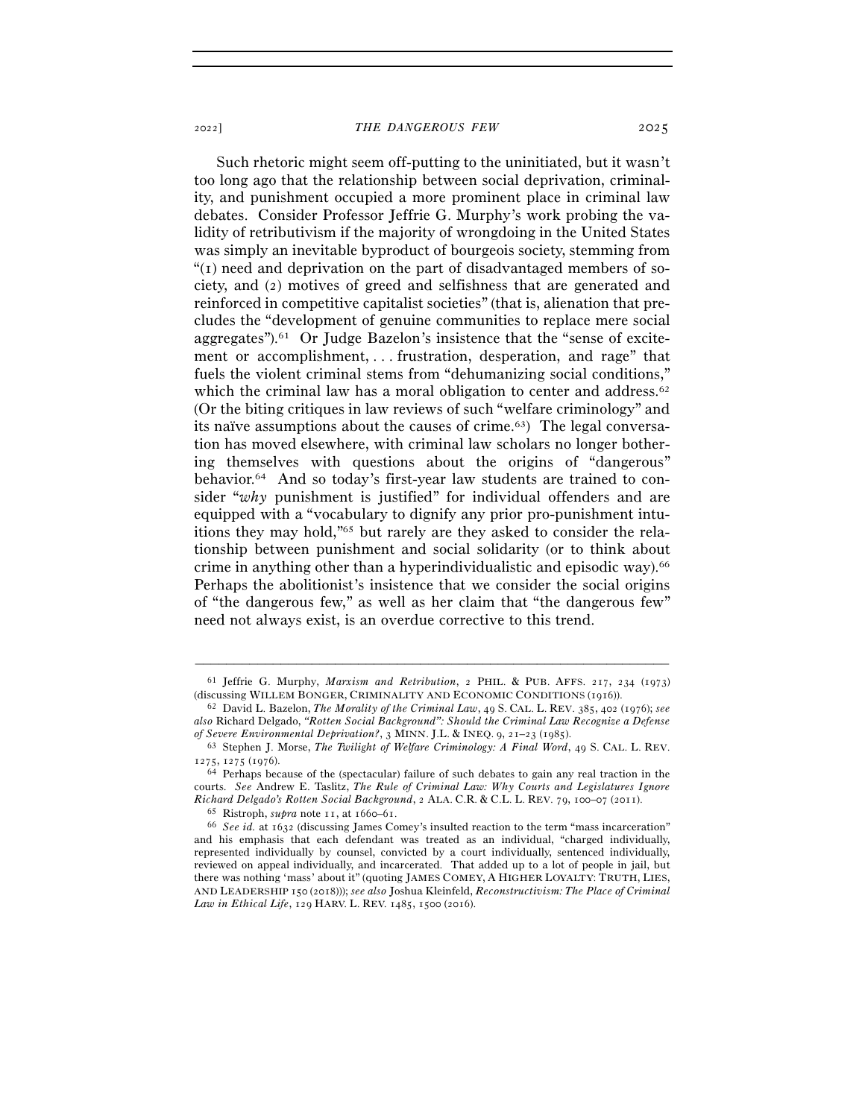Such rhetoric might seem off-putting to the uninitiated, but it wasn't too long ago that the relationship between social deprivation, criminality, and punishment occupied a more prominent place in criminal law debates. Consider Professor Jeffrie G. Murphy's work probing the validity of retributivism if the majority of wrongdoing in the United States was simply an inevitable byproduct of bourgeois society, stemming from "(1) need and deprivation on the part of disadvantaged members of society, and (2) motives of greed and selfishness that are generated and reinforced in competitive capitalist societies" (that is, alienation that precludes the "development of genuine communities to replace mere social aggregates").61 Or Judge Bazelon's insistence that the "sense of excitement or accomplishment, . . . frustration, desperation, and rage" that fuels the violent criminal stems from "dehumanizing social conditions," which the criminal law has a moral obligation to center and address.<sup>62</sup> (Or the biting critiques in law reviews of such "welfare criminology" and its naïve assumptions about the causes of crime.63) The legal conversation has moved elsewhere, with criminal law scholars no longer bother-

ing themselves with questions about the origins of "dangerous" behavior.64 And so today's first-year law students are trained to consider "*why* punishment is justified" for individual offenders and are equipped with a "vocabulary to dignify any prior pro-punishment intuitions they may hold,"65 but rarely are they asked to consider the relationship between punishment and social solidarity (or to think about crime in anything other than a hyperindividualistic and episodic way).66 Perhaps the abolitionist's insistence that we consider the social origins of "the dangerous few," as well as her claim that "the dangerous few" need not always exist, is an overdue corrective to this trend.

<sup>–––––––––––––––––––––––––––––––––––––––––––––––––––––––––––––</sup> <sup>61</sup> Jeffrie G. Murphy, *Marxism and Retribution*, 2 PHIL. & PUB. AFFS. 217, 234 (1973) (discussing WILLEM BONGER, CRIMINALITY AND ECONOMIC CONDITIONS (<sup>1916</sup>)). 62 David L. Bazelon, *The Morality of the Criminal Law*, 49 S. CAL. L. REV. 385, 402 (1976); *see* 

*also* Richard Delgado, *"Rotten Social Background": Should the Criminal Law Recognize a Defense* 

*of Severe Environmental Deprivation?*, <sup>3</sup> MINN. J.L. & INEQ. <sup>9</sup>, 21–23 (<sup>1985</sup>). 63 Stephen J. Morse, *The Twilight of Welfare Criminology: A Final Word*, 49 S. CAL. L. REV. <sup>1275</sup>, 1275 (<sup>1976</sup>). 64 Perhaps because of the (spectacular) failure of such debates to gain any real traction in the

courts. *See* Andrew E. Taslitz, *The Rule of Criminal Law: Why Courts and Legislatures Ignore Richard Delgado's Rotten Social Background*, 2 ALA. C.R. & C.L. L. REV. 79, 100–07 (2011).<br><sup>65</sup> Ristroph, *supra* note 11, at 1660–61.<br><sup>66</sup> See id. at 1632 (discussing James Comev's insulted reaction to the term "mass inc

and his emphasis that each defendant was treated as an individual, "charged individually, represented individually by counsel, convicted by a court individually, sentenced individually, reviewed on appeal individually, and incarcerated. That added up to a lot of people in jail, but there was nothing 'mass' about it" (quoting JAMES COMEY, A HIGHER LOYALTY: TRUTH, LIES, AND LEADERSHIP 150 (2018))); *see also* Joshua Kleinfeld, *Reconstructivism: The Place of Criminal Law in Ethical Life*, 129 HARV. L. REV. 1485, 1500 (2016).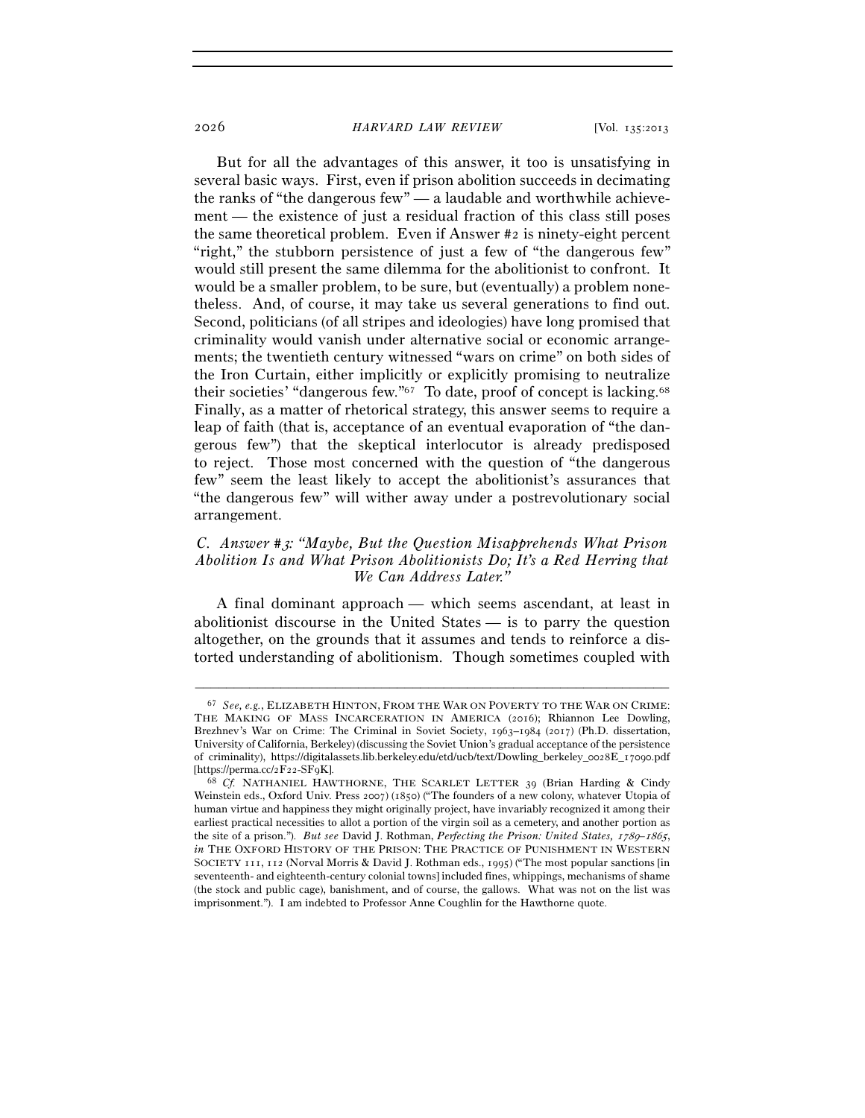But for all the advantages of this answer, it too is unsatisfying in several basic ways. First, even if prison abolition succeeds in decimating the ranks of "the dangerous few" — a laudable and worthwhile achievement — the existence of just a residual fraction of this class still poses the same theoretical problem. Even if Answer #2 is ninety-eight percent "right," the stubborn persistence of just a few of "the dangerous few" would still present the same dilemma for the abolitionist to confront. It would be a smaller problem, to be sure, but (eventually) a problem nonetheless. And, of course, it may take us several generations to find out. Second, politicians (of all stripes and ideologies) have long promised that criminality would vanish under alternative social or economic arrangements; the twentieth century witnessed "wars on crime" on both sides of the Iron Curtain, either implicitly or explicitly promising to neutralize their societies' "dangerous few."67 To date, proof of concept is lacking.68 Finally, as a matter of rhetorical strategy, this answer seems to require a leap of faith (that is, acceptance of an eventual evaporation of "the dangerous few") that the skeptical interlocutor is already predisposed to reject. Those most concerned with the question of "the dangerous few" seem the least likely to accept the abolitionist's assurances that "the dangerous few" will wither away under a postrevolutionary social arrangement.

# *C. Answer #*3*: "Maybe, But the Question Misapprehends What Prison Abolition Is and What Prison Abolitionists Do; It's a Red Herring that We Can Address Later."*

A final dominant approach — which seems ascendant, at least in abolitionist discourse in the United States — is to parry the question altogether, on the grounds that it assumes and tends to reinforce a distorted understanding of abolitionism. Though sometimes coupled with

<sup>67</sup> *See, e.g.*, ELIZABETH HINTON, FROM THE WAR ON POVERTY TO THE WAR ON CRIME: THE MAKING OF MASS INCARCERATION IN AMERICA (2016); Rhiannon Lee Dowling, Brezhnev's War on Crime: The Criminal in Soviet Society, 1963–1984 (2017) (Ph.D. dissertation, University of California, Berkeley) (discussing the Soviet Union's gradual acceptance of the persistence of criminality), https://digitalassets.lib.berkeley.edu/etd/ucb/text/Dowling\_berkeley\_0028E\_17090.pdf [https://perma.cc/2F22-SF<sup>9</sup>K]. 68 *Cf.* NATHANIEL HAWTHORNE, THE SCARLET LETTER 39 (Brian Harding & Cindy

Weinstein eds., Oxford Univ. Press 2007) (1850) ("The founders of a new colony, whatever Utopia of human virtue and happiness they might originally project, have invariably recognized it among their earliest practical necessities to allot a portion of the virgin soil as a cemetery, and another portion as the site of a prison."). *But see* David J. Rothman, *Perfecting the Prison: United States,* 1789–1865, *in* THE OXFORD HISTORY OF THE PRISON: THE PRACTICE OF PUNISHMENT IN WESTERN SOCIETY 111, 112 (Norval Morris & David J. Rothman eds., 1995) ("The most popular sanctions [in seventeenth- and eighteenth-century colonial towns] included fines, whippings, mechanisms of shame (the stock and public cage), banishment, and of course, the gallows. What was not on the list was imprisonment."). I am indebted to Professor Anne Coughlin for the Hawthorne quote.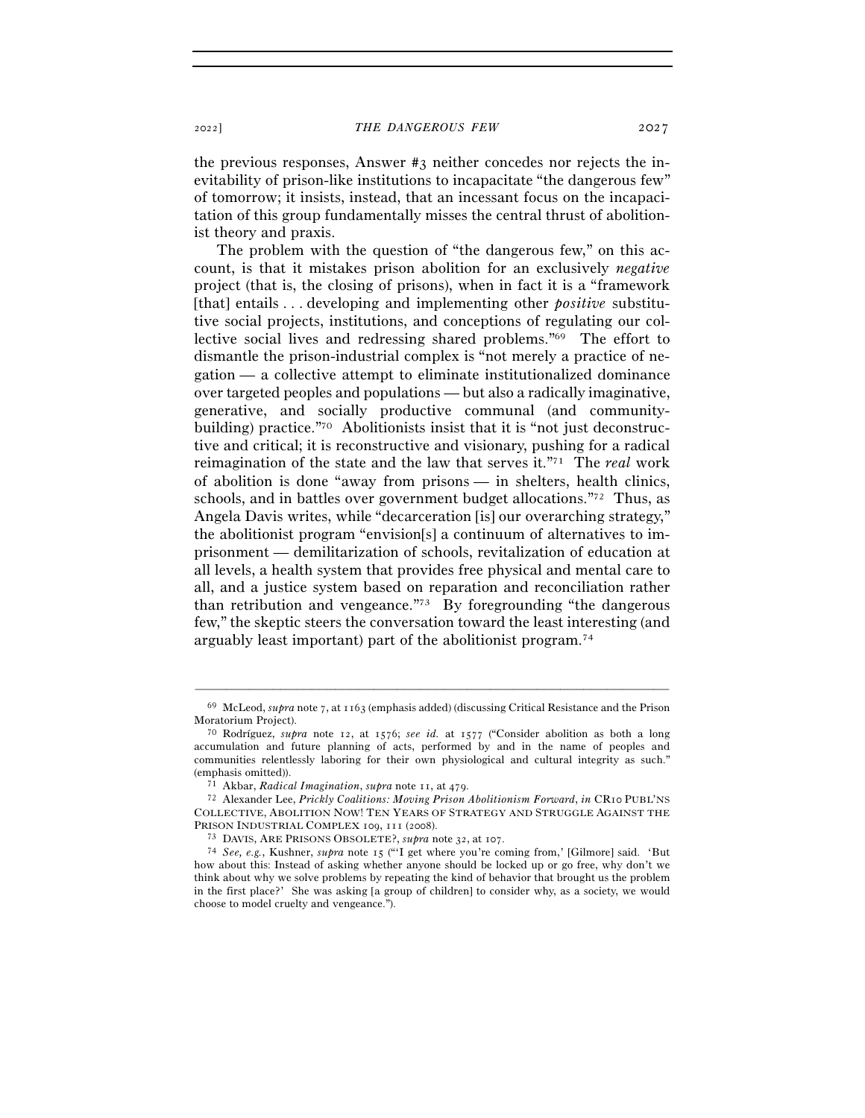the previous responses, Answer #3 neither concedes nor rejects the inevitability of prison-like institutions to incapacitate "the dangerous few" of tomorrow; it insists, instead, that an incessant focus on the incapacitation of this group fundamentally misses the central thrust of abolitionist theory and praxis.

The problem with the question of "the dangerous few," on this account, is that it mistakes prison abolition for an exclusively *negative*  project (that is, the closing of prisons), when in fact it is a "framework [that] entails . . . developing and implementing other *positive* substitutive social projects, institutions, and conceptions of regulating our collective social lives and redressing shared problems."69 The effort to dismantle the prison-industrial complex is "not merely a practice of negation — a collective attempt to eliminate institutionalized dominance over targeted peoples and populations — but also a radically imaginative, generative, and socially productive communal (and communitybuilding) practice."70 Abolitionists insist that it is "not just deconstructive and critical; it is reconstructive and visionary, pushing for a radical reimagination of the state and the law that serves it."71 The *real* work of abolition is done "away from prisons — in shelters, health clinics, schools, and in battles over government budget allocations."72 Thus, as Angela Davis writes, while "decarceration [is] our overarching strategy," the abolitionist program "envision[s] a continuum of alternatives to imprisonment — demilitarization of schools, revitalization of education at all levels, a health system that provides free physical and mental care to all, and a justice system based on reparation and reconciliation rather than retribution and vengeance."73 By foregrounding "the dangerous few," the skeptic steers the conversation toward the least interesting (and arguably least important) part of the abolitionist program.74

<sup>–––––––––––––––––––––––––––––––––––––––––––––––––––––––––––––</sup> <sup>69</sup> McLeod, *supra* note 7, at 1163 (emphasis added) (discussing Critical Resistance and the Prison Moratorium Project). 70 Rodríguez, *supra* note 12, at 1576; *see id.* at 1577 ("Consider abolition as both a long

accumulation and future planning of acts, performed by and in the name of peoples and communities relentlessly laboring for their own physiological and cultural integrity as such."

<sup>(</sup>emphasis omitted)). 71 Akbar, *Radical Imagination*, *supra* note 11, at <sup>479</sup>. 72 Alexander Lee, *Prickly Coalitions: Moving Prison Abolitionism Forward*, *in* CR<sup>10</sup> PUBL'NS COLLECTIVE, ABOLITION NOW! TEN YEARS OF STRATEGY AND STRUGGLE AGAINST THE

<sup>&</sup>lt;sup>73</sup> DAVIS, ARE PRISONS OBSOLETE?, *supra* note 32, at 107.<br><sup>74</sup> *See, e.g.*, Kushner, *supra* note 15 ("'I get where you're coming from,' [Gilmore] said. 'But how about this: Instead of asking whether anyone should be locked up or go free, why don't we think about why we solve problems by repeating the kind of behavior that brought us the problem in the first place?' She was asking [a group of children] to consider why, as a society, we would choose to model cruelty and vengeance.").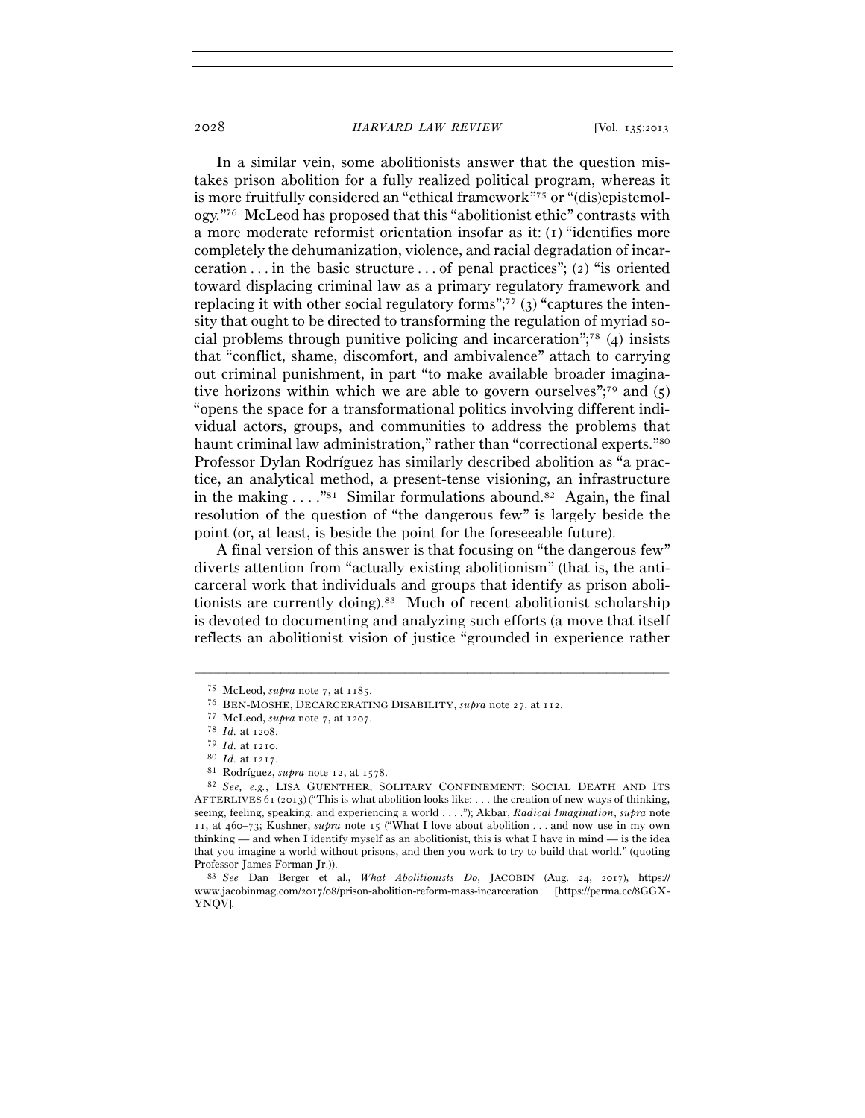In a similar vein, some abolitionists answer that the question mistakes prison abolition for a fully realized political program, whereas it is more fruitfully considered an "ethical framework"75 or "(dis)epistemology."76 McLeod has proposed that this "abolitionist ethic" contrasts with a more moderate reformist orientation insofar as it: (1) "identifies more completely the dehumanization, violence, and racial degradation of incarceration  $\dots$  in the basic structure  $\dots$  of penal practices"; (2) "is oriented toward displacing criminal law as a primary regulatory framework and replacing it with other social regulatory forms"; $77$  (3) "captures the intensity that ought to be directed to transforming the regulation of myriad social problems through punitive policing and incarceration";78 (4) insists that "conflict, shame, discomfort, and ambivalence" attach to carrying out criminal punishment, in part "to make available broader imaginative horizons within which we are able to govern ourselves";<sup>79</sup> and  $(5)$ "opens the space for a transformational politics involving different individual actors, groups, and communities to address the problems that haunt criminal law administration," rather than "correctional experts."80 Professor Dylan Rodríguez has similarly described abolition as "a practice, an analytical method, a present-tense visioning, an infrastructure in the making  $\dots$ ."<sup>81</sup> Similar formulations abound.<sup>82</sup> Again, the final resolution of the question of "the dangerous few" is largely beside the point (or, at least, is beside the point for the foreseeable future).

A final version of this answer is that focusing on "the dangerous few" diverts attention from "actually existing abolitionism" (that is, the anticarceral work that individuals and groups that identify as prison abolitionists are currently doing).83 Much of recent abolitionist scholarship is devoted to documenting and analyzing such efforts (a move that itself reflects an abolitionist vision of justice "grounded in experience rather

<sup>&</sup>lt;sup>75</sup> McLeod, *supra* note 7, at 1185.<br>
<sup>76</sup> BEN-MOSHE, DECARCERATING DISABILITY, *supra* note 27, at 112.<br>
<sup>77</sup> McLeod, *supra* note 7, at 1207.<br>
<sup>78</sup> Id. at 1210.<br>
<sup>80</sup> Id. at 1217.<br>
<sup>81</sup> Rodríguez, *supra* note 12, at 1 AFTERLIVES 61 (2013) ("This is what abolition looks like: . . . the creation of new ways of thinking, seeing, feeling, speaking, and experiencing a world . . . ."); Akbar, *Radical Imagination*, *supra* note 11, at 460–73; Kushner, *supra* note 15 ("What I love about abolition . . . and now use in my own thinking — and when I identify myself as an abolitionist, this is what I have in mind — is the idea that you imagine a world without prisons, and then you work to try to build that world." (quoting Professor James Forman Jr.)). 83 *See* Dan Berger et al., *What Abolitionists Do*, JACOBIN (Aug. 24, 2017), https://

www.jacobinmag.com/2017/08/prison-abolition-reform-mass-incarceration [https://perma.cc/8GGX-YNQV].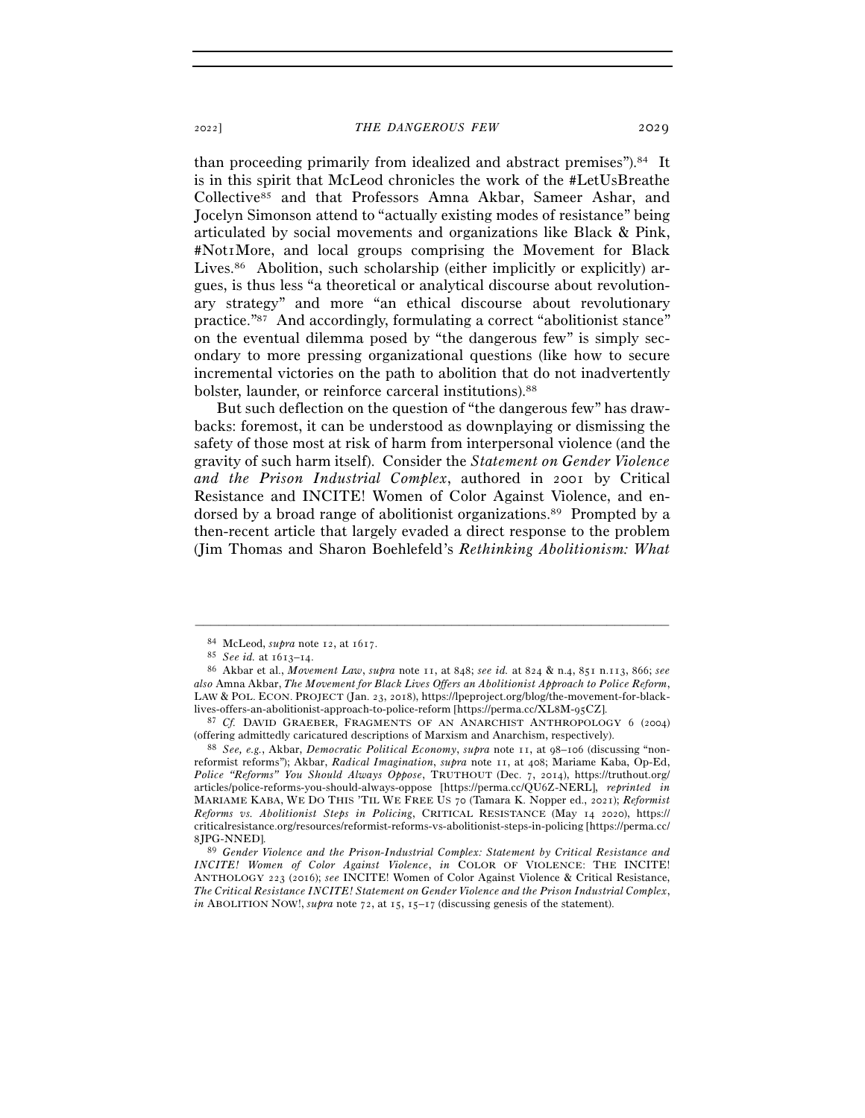than proceeding primarily from idealized and abstract premises").84 It is in this spirit that McLeod chronicles the work of the #LetUsBreathe Collective85 and that Professors Amna Akbar, Sameer Ashar, and Jocelyn Simonson attend to "actually existing modes of resistance" being articulated by social movements and organizations like Black & Pink, #Not1More, and local groups comprising the Movement for Black Lives.86 Abolition, such scholarship (either implicitly or explicitly) argues, is thus less "a theoretical or analytical discourse about revolutionary strategy" and more "an ethical discourse about revolutionary practice."87 And accordingly, formulating a correct "abolitionist stance" on the eventual dilemma posed by "the dangerous few" is simply secondary to more pressing organizational questions (like how to secure incremental victories on the path to abolition that do not inadvertently bolster, launder, or reinforce carceral institutions).88

But such deflection on the question of "the dangerous few" has drawbacks: foremost, it can be understood as downplaying or dismissing the safety of those most at risk of harm from interpersonal violence (and the gravity of such harm itself). Consider the *Statement on Gender Violence and the Prison Industrial Complex*, authored in 2001 by Critical Resistance and INCITE! Women of Color Against Violence, and endorsed by a broad range of abolitionist organizations.<sup>89</sup> Prompted by a then-recent article that largely evaded a direct response to the problem (Jim Thomas and Sharon Boehlefeld's *Rethinking Abolitionism: What* 

–––––––––––––––––––––––––––––––––––––––––––––––––––––––––––––

(offering admittedly caricatured descriptions of Marxism and Anarchism, respectively). 88 *See, e.g.*, Akbar, *Democratic Political Economy*, *supra* note 11, at 98–106 (discussing "nonreformist reforms"); Akbar, *Radical Imagination*, *supra* note 11, at 408; Mariame Kaba, Op-Ed, *Police "Reforms" You Should Always Oppose*, TRUTHOUT (Dec. 7, 2014), https://truthout.org/ articles/police-reforms-you-should-always-oppose [https://perma.cc/QU6Z-NERL], *reprinted in* MARIAME KABA, WE DO THIS 'TIL WE FREE US 70 (Tamara K. Nopper ed., 2021); *Reformist Reforms vs. Abolitionist Steps in Policing*, CRITICAL RESISTANCE (May 14 2020), https:// criticalresistance.org/resources/reformist-reforms-vs-abolitionist-steps-in-policing [https://perma.cc/ 8JPG-NNED].

89 *Gender Violence and the Prison-Industrial Complex: Statement by Critical Resistance and INCITE! Women of Color Against Violence*, *in* COLOR OF VIOLENCE: THE INCITE! ANTHOLOGY 223 (2016); *see* INCITE! Women of Color Against Violence & Critical Resistance, *The Critical Resistance INCITE! Statement on Gender Violence and the Prison Industrial Complex*, *in* ABOLITION NOW!, *supra* note 72, at 15, 15–17 (discussing genesis of the statement).

<sup>84</sup> McLeod, *supra* note 12, at <sup>1617</sup>. 85 *See id.* at 1613–<sup>14</sup>. 86 Akbar et al., *Movement Law*, *supra* note 11, at 848; *see id.* at 824 & n.4, 851 n.113, 866; *see also* Amna Akbar, *The Movement for Black Lives Offers an Abolitionist Approach to Police Reform*, LAW & POL. ECON. PROJECT (Jan. 23, 2018), https://lpeproject.org/blog/the-movement-for-black-

lives-offers-an-abolitionist-approach-to-police-reform [https://perma.cc/XL8M-95CZ].<br><sup>87</sup> *Cf.* DAVID GRAEBER, FRAGMENTS OF AN ANARCHIST ANTHROPOLOGY 6 (2004) (offering admittedly caricatured descriptions of Marxism and An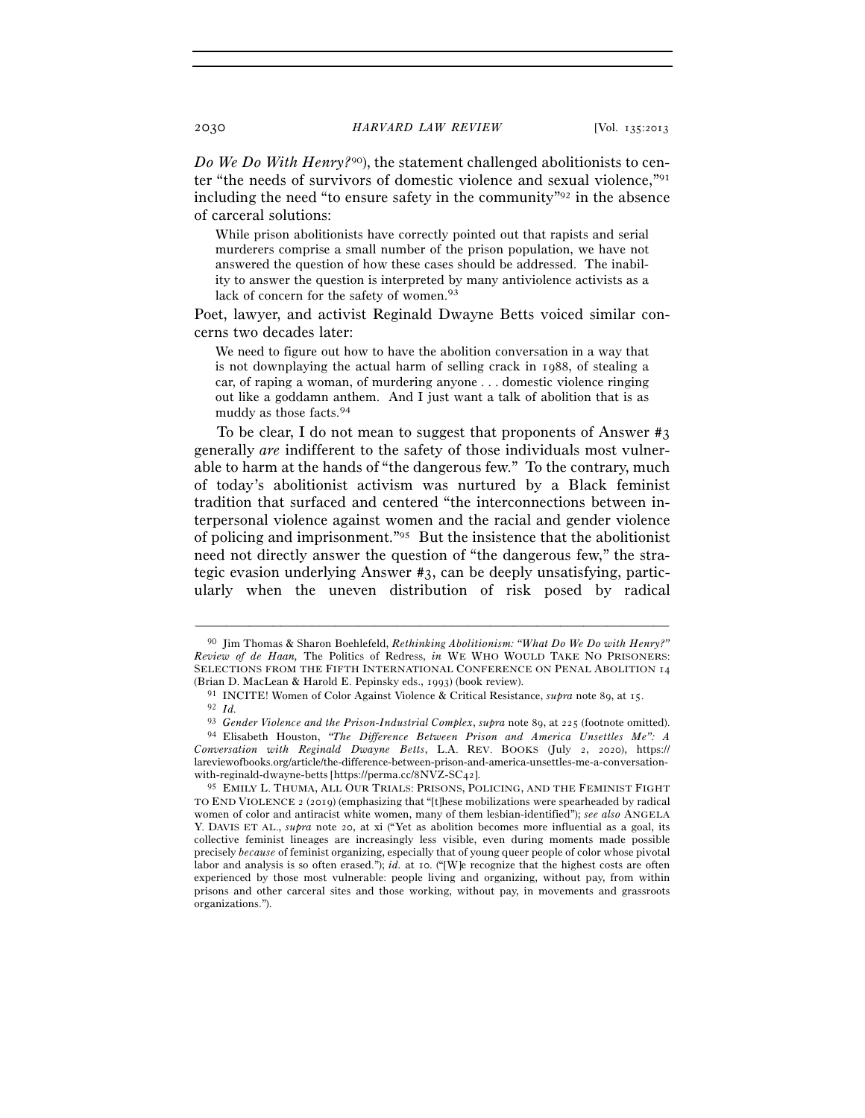*Do We Do With Henry?*90), the statement challenged abolitionists to center "the needs of survivors of domestic violence and sexual violence,"91 including the need "to ensure safety in the community"92 in the absence of carceral solutions:

While prison abolitionists have correctly pointed out that rapists and serial murderers comprise a small number of the prison population, we have not answered the question of how these cases should be addressed. The inability to answer the question is interpreted by many antiviolence activists as a lack of concern for the safety of women.<sup>93</sup>

Poet, lawyer, and activist Reginald Dwayne Betts voiced similar concerns two decades later:

We need to figure out how to have the abolition conversation in a way that is not downplaying the actual harm of selling crack in 1988, of stealing a car, of raping a woman, of murdering anyone . . . domestic violence ringing out like a goddamn anthem. And I just want a talk of abolition that is as muddy as those facts.94

To be clear, I do not mean to suggest that proponents of Answer #3 generally *are* indifferent to the safety of those individuals most vulnerable to harm at the hands of "the dangerous few." To the contrary, much of today's abolitionist activism was nurtured by a Black feminist tradition that surfaced and centered "the interconnections between interpersonal violence against women and the racial and gender violence of policing and imprisonment."95 But the insistence that the abolitionist need not directly answer the question of "the dangerous few," the strategic evasion underlying Answer #3, can be deeply unsatisfying, particularly when the uneven distribution of risk posed by radical

<sup>90</sup> Jim Thomas & Sharon Boehlefeld, *Rethinking Abolitionism: "What Do We Do with Henry?" Review of de Haan,* The Politics of Redress, *in* WE WHO WOULD TAKE NO PRISONERS: SELECTIONS FROM THE FIFTH INTERNATIONAL CONFERENCE ON PENAL ABOLITION 14 (Brian D. MacLean & Harold E. Pepinsky eds., 1993) (book review).<br>
<sup>91</sup> INCITE! Women of Color Against Violence & Critical Resistance, *supra* note 89, at 15.<br>
<sup>92</sup> Id.<br>
<sup>93</sup> Gender Violence and the Prison-Industrial Comp

*Conversation with Reginald Dwayne Betts*, L.A. REV. BOOKS (July 2, 2020), https:// lareviewofbooks.org/article/the-difference-between-prison-and-america-unsettles-me-a-conversationwith-reginald-dwayne-betts [https://perma.cc/8NVZ-SC42].

<sup>95</sup> EMILY L. THUMA, ALL OUR TRIALS: PRISONS, POLICING, AND THE FEMINIST FIGHT TO END VIOLENCE 2 (2019) (emphasizing that "[t]hese mobilizations were spearheaded by radical women of color and antiracist white women, many of them lesbian-identified"); *see also* ANGELA Y. DAVIS ET AL., *supra* note 20, at xi ("Yet as abolition becomes more influential as a goal, its collective feminist lineages are increasingly less visible, even during moments made possible precisely *because* of feminist organizing, especially that of young queer people of color whose pivotal labor and analysis is so often erased."); *id.* at 10. ("[W]e recognize that the highest costs are often experienced by those most vulnerable: people living and organizing, without pay, from within prisons and other carceral sites and those working, without pay, in movements and grassroots organizations.").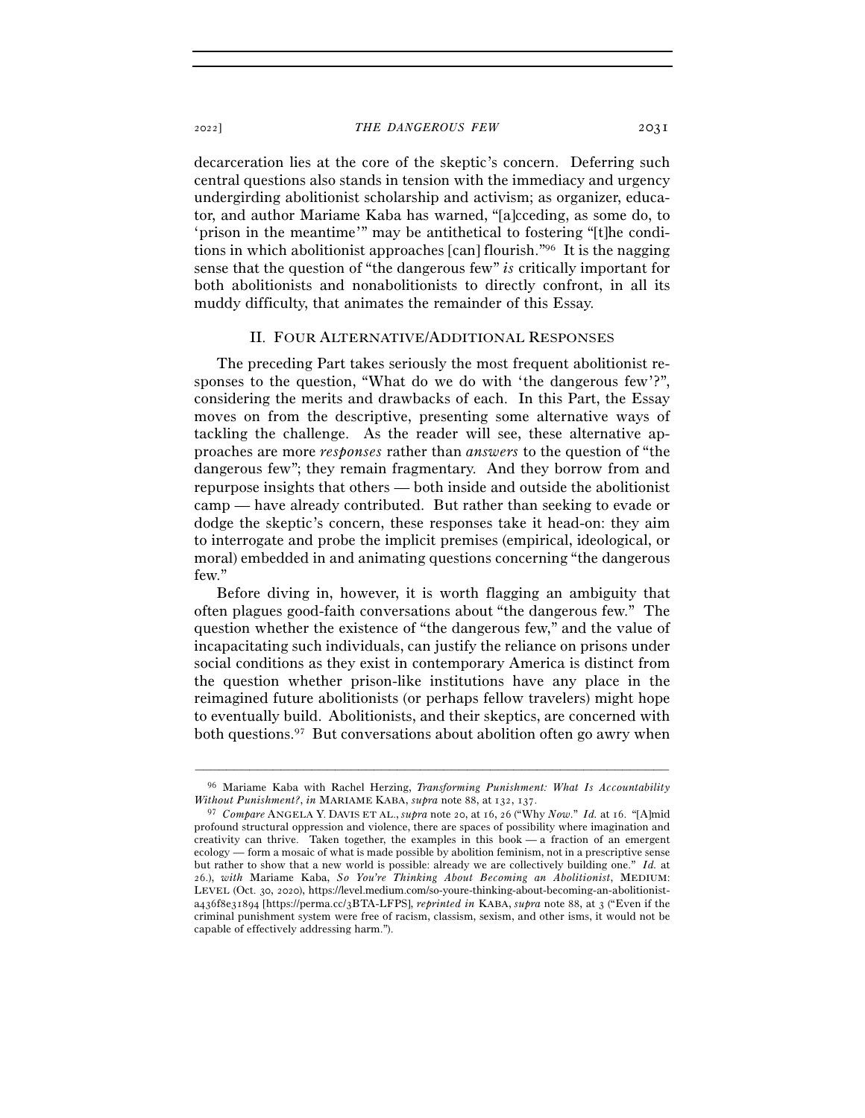decarceration lies at the core of the skeptic's concern. Deferring such central questions also stands in tension with the immediacy and urgency undergirding abolitionist scholarship and activism; as organizer, educator, and author Mariame Kaba has warned, "[a]cceding, as some do, to 'prison in the meantime'" may be antithetical to fostering "[t]he conditions in which abolitionist approaches [can] flourish."96 It is the nagging sense that the question of "the dangerous few" *is* critically important for both abolitionists and nonabolitionists to directly confront, in all its muddy difficulty, that animates the remainder of this Essay.

#### II. FOUR ALTERNATIVE/ADDITIONAL RESPONSES

The preceding Part takes seriously the most frequent abolitionist responses to the question, "What do we do with 'the dangerous few'?", considering the merits and drawbacks of each. In this Part, the Essay moves on from the descriptive, presenting some alternative ways of tackling the challenge. As the reader will see, these alternative approaches are more *responses* rather than *answers* to the question of "the dangerous few"; they remain fragmentary. And they borrow from and repurpose insights that others — both inside and outside the abolitionist camp — have already contributed. But rather than seeking to evade or dodge the skeptic's concern, these responses take it head-on: they aim to interrogate and probe the implicit premises (empirical, ideological, or moral) embedded in and animating questions concerning "the dangerous few."

Before diving in, however, it is worth flagging an ambiguity that often plagues good-faith conversations about "the dangerous few." The question whether the existence of "the dangerous few," and the value of incapacitating such individuals, can justify the reliance on prisons under social conditions as they exist in contemporary America is distinct from the question whether prison-like institutions have any place in the reimagined future abolitionists (or perhaps fellow travelers) might hope to eventually build. Abolitionists, and their skeptics, are concerned with both questions.97 But conversations about abolition often go awry when

<sup>–––––––––––––––––––––––––––––––––––––––––––––––––––––––––––––</sup> 96 Mariame Kaba with Rachel Herzing, *Transforming Punishment: What Is Accountability Without Punishment?*, *in* MARIAME KABA, *supra* note 88, at 132, 137.<br><sup>97</sup> *Compare* ANGELA Y. DAVIS ET AL., *supra* note 20, at 16, 26 ("Why *Now." Id.* at 16. "[A]mid

profound structural oppression and violence, there are spaces of possibility where imagination and creativity can thrive. Taken together, the examples in this book — a fraction of an emergent ecology — form a mosaic of what is made possible by abolition feminism, not in a prescriptive sense but rather to show that a new world is possible: already we are collectively building one." *Id.* at 26.), *with* Mariame Kaba, *So You're Thinking About Becoming an Abolitionist*, MEDIUM: LEVEL (Oct. 30, 2020), https://level.medium.com/so-youre-thinking-about-becoming-an-abolitionista436f8e31894 [https://perma.cc/3BTA-LFPS], *reprinted in* KABA, *supra* note 88, at 3 ("Even if the criminal punishment system were free of racism, classism, sexism, and other isms, it would not be capable of effectively addressing harm.").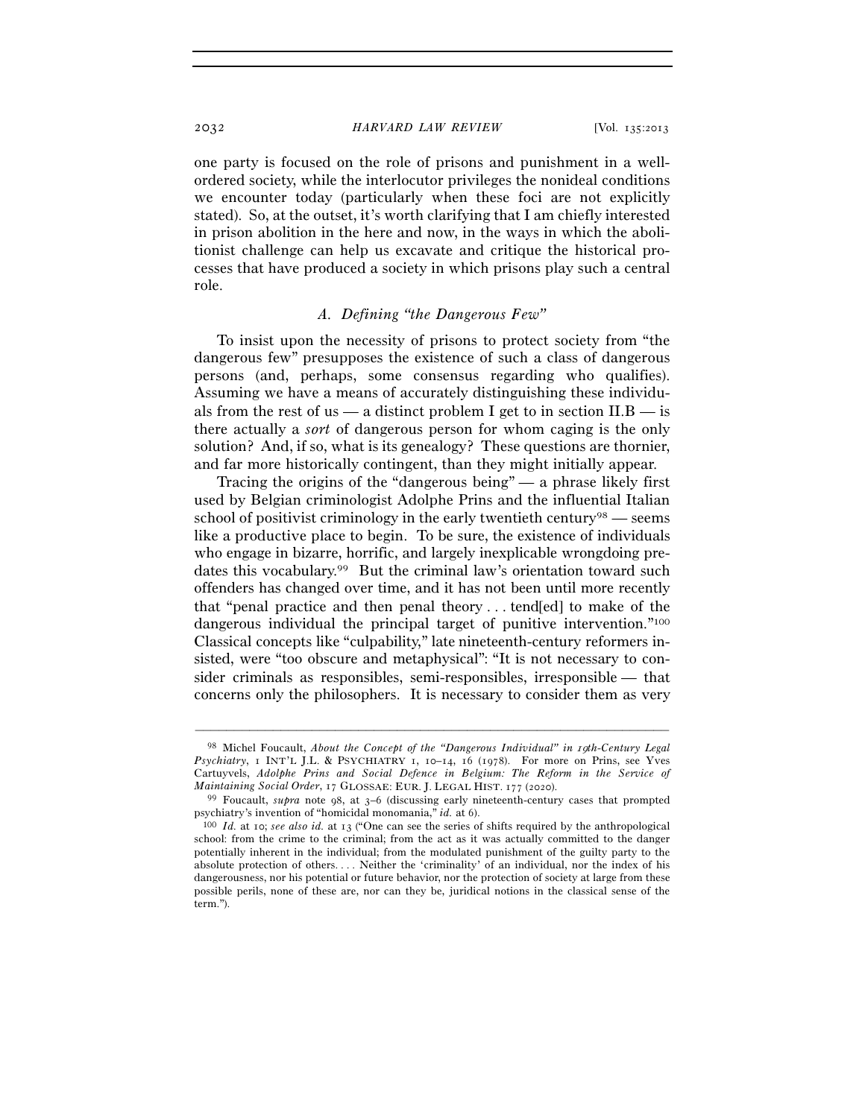one party is focused on the role of prisons and punishment in a wellordered society, while the interlocutor privileges the nonideal conditions we encounter today (particularly when these foci are not explicitly stated). So, at the outset, it's worth clarifying that I am chiefly interested in prison abolition in the here and now, in the ways in which the abolitionist challenge can help us excavate and critique the historical processes that have produced a society in which prisons play such a central role.

# *A. Defining "the Dangerous Few"*

To insist upon the necessity of prisons to protect society from "the dangerous few" presupposes the existence of such a class of dangerous persons (and, perhaps, some consensus regarding who qualifies). Assuming we have a means of accurately distinguishing these individuals from the rest of us — a distinct problem I get to in section  $II.B$  — is there actually a *sort* of dangerous person for whom caging is the only solution? And, if so, what is its genealogy? These questions are thornier, and far more historically contingent, than they might initially appear.

Tracing the origins of the "dangerous being" — a phrase likely first used by Belgian criminologist Adolphe Prins and the influential Italian school of positivist criminology in the early twentieth century<sup>98</sup> — seems like a productive place to begin. To be sure, the existence of individuals who engage in bizarre, horrific, and largely inexplicable wrongdoing predates this vocabulary.99 But the criminal law's orientation toward such offenders has changed over time, and it has not been until more recently that "penal practice and then penal theory . . . tend[ed] to make of the dangerous individual the principal target of punitive intervention."100 Classical concepts like "culpability," late nineteenth-century reformers insisted, were "too obscure and metaphysical": "It is not necessary to consider criminals as responsibles, semi-responsibles, irresponsible — that concerns only the philosophers. It is necessary to consider them as very

<sup>98</sup> Michel Foucault, *About the Concept of the "Dangerous Individual" in* <sup>19</sup>*th-Century Legal Psychiatry*, 1 INT'L J.L. & PSYCHIATRY 1, 10–14, 16 (1978). For more on Prins, see Yves Cartuyvels, *Adolphe Prins and Social Defence in Belgium: The Reform in the Service of* 

*Maintaining Social Order*, 17 GLOSSAE: EUR. J. LEGAL HIST. 177 (2020).<br><sup>99</sup> Foucault, *supra* note 98, at 3–6 (discussing early nineteenth-century cases that prompted<br>psychiatry's invention of "homicidal monomania," *id.* 

<sup>&</sup>lt;sup>100</sup> *Id.* at 10; *see also id.* at 13 ("One can see the series of shifts required by the anthropological school: from the crime to the criminal; from the act as it was actually committed to the danger potentially inherent in the individual; from the modulated punishment of the guilty party to the absolute protection of others. . . . Neither the 'criminality' of an individual, nor the index of his dangerousness, nor his potential or future behavior, nor the protection of society at large from these possible perils, none of these are, nor can they be, juridical notions in the classical sense of the term.").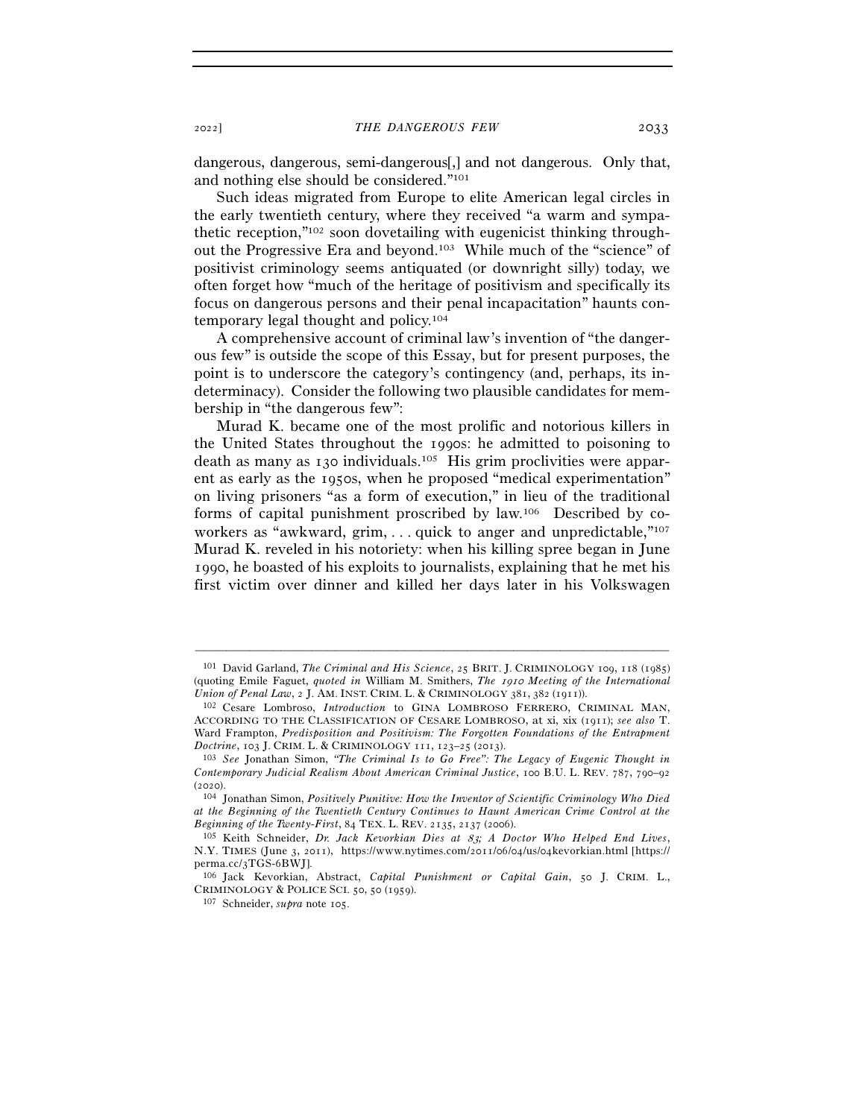dangerous, dangerous, semi-dangerous[,] and not dangerous. Only that, and nothing else should be considered."101

Such ideas migrated from Europe to elite American legal circles in the early twentieth century, where they received "a warm and sympathetic reception,"102 soon dovetailing with eugenicist thinking throughout the Progressive Era and beyond.103 While much of the "science" of positivist criminology seems antiquated (or downright silly) today, we often forget how "much of the heritage of positivism and specifically its focus on dangerous persons and their penal incapacitation" haunts contemporary legal thought and policy.104

A comprehensive account of criminal law's invention of "the dangerous few" is outside the scope of this Essay, but for present purposes, the point is to underscore the category's contingency (and, perhaps, its indeterminacy). Consider the following two plausible candidates for membership in "the dangerous few":

Murad K. became one of the most prolific and notorious killers in the United States throughout the 1990s: he admitted to poisoning to death as many as 130 individuals.105 His grim proclivities were apparent as early as the 1950s, when he proposed "medical experimentation" on living prisoners "as a form of execution," in lieu of the traditional forms of capital punishment proscribed by law.106 Described by coworkers as "awkward, grim,  $\ldots$  quick to anger and unpredictable,  $\lceil n^{107} \rceil$ Murad K. reveled in his notoriety: when his killing spree began in June 1990, he boasted of his exploits to journalists, explaining that he met his first victim over dinner and killed her days later in his Volkswagen

<sup>101</sup> David Garland, *The Criminal and His Science*, 25 BRIT. J. CRIMINOLOGY 109, 118 (1985) (quoting Emile Faguet, *quoted in* William M. Smithers, *The* 1910 *Meeting of the International Union of Penal Law*, 2 J. AM. INST. CRIM. L. & CRIMINOLOGY 381, 382 (1911)).<br><sup>102</sup> Cesare Lombroso, *Introduction* to GINA LOMBROSO FERRERO, CRIMINAL MAN,

ACCORDING TO THE CLASSIFICATION OF CESARE LOMBROSO, at xi, xix (1911); *see also* T. Ward Frampton, *Predisposition and Positivism: The Forgotten Foundations of the Entrapment Doctrine*, 103 J. CRIM. L. & CRIMINOLOGY <sup>111</sup>, 123–25 (<sup>2013</sup>). 103 *See* Jonathan Simon, *"The Criminal Is to Go Free": The Legacy of Eugenic Thought in* 

*Contemporary Judicial Realism About American Criminal Justice*, 100 B.U. L. REV. 787, 790–92 (<sup>2020</sup>). 104 Jonathan Simon, *Positively Punitive: How the Inventor of Scientific Criminology Who Died* 

*at the Beginning of the Twentieth Century Continues to Haunt American Crime Control at the* 

<sup>&</sup>lt;sup>105</sup> Keith Schneider, *Dr. Jack Kevorkian Dies at 83; A Doctor Who Helped End Lives*, N.Y. TIMES (June 3, 2011), https://www.nytimes.com/2011/06/04/us/04kevorkian.html [https:// perma.cc/3TGS-6BWJ].

<sup>106</sup> Jack Kevorkian, Abstract, *Capital Punishment or Capital Gain*, 50 J. CRIM. L., CRIMINOLOGY & POLICE SCI. 50, 50 (<sup>1959</sup>). 107 Schneider, *supra* note 105.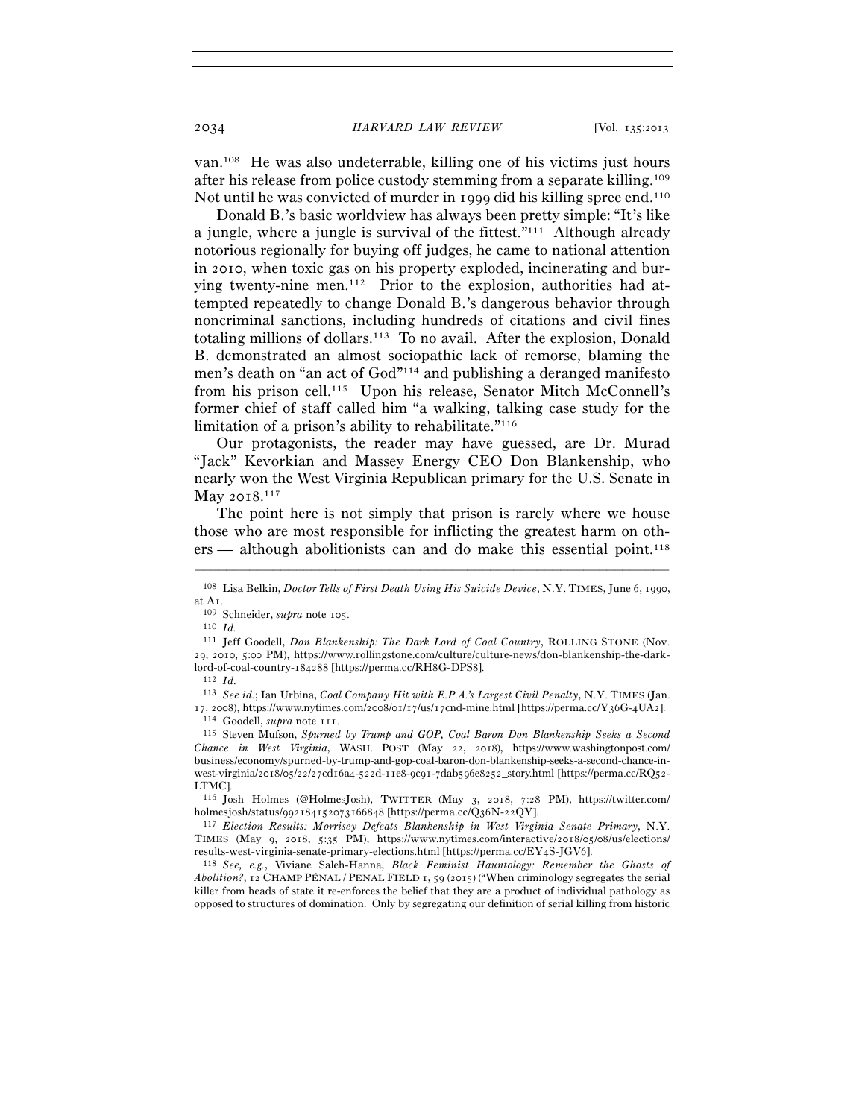van.108 He was also undeterrable, killing one of his victims just hours after his release from police custody stemming from a separate killing.109 Not until he was convicted of murder in 1999 did his killing spree end.110

Donald B.'s basic worldview has always been pretty simple: "It's like a jungle, where a jungle is survival of the fittest."111 Although already notorious regionally for buying off judges, he came to national attention in 2010, when toxic gas on his property exploded, incinerating and burying twenty-nine men.112 Prior to the explosion, authorities had attempted repeatedly to change Donald B.'s dangerous behavior through noncriminal sanctions, including hundreds of citations and civil fines totaling millions of dollars.113 To no avail. After the explosion, Donald B. demonstrated an almost sociopathic lack of remorse, blaming the men's death on "an act of God"114 and publishing a deranged manifesto from his prison cell.115 Upon his release, Senator Mitch McConnell's former chief of staff called him "a walking, talking case study for the limitation of a prison's ability to rehabilitate."116

Our protagonists, the reader may have guessed, are Dr. Murad "Jack" Kevorkian and Massey Energy CEO Don Blankenship, who nearly won the West Virginia Republican primary for the U.S. Senate in May 2018. 117

The point here is not simply that prison is rarely where we house those who are most responsible for inflicting the greatest harm on others — although abolitionists can and do make this essential point.<sup>118</sup>

<sup>–––––––––––––––––––––––––––––––––––––––––––––––––––––––––––––</sup> <sup>108</sup> Lisa Belkin, *Doctor Tells of First Death Using His Suicide Device*, N.Y. TIMES, June 6, 1990, at A<sub>1</sub>.<br><sup>109</sup> Schneider, *supra* note 105.<br><sup>110</sup> *Id.* 

<sup>111</sup> Jeff Goodell, *Don Blankenship: The Dark Lord of Coal Country*, ROLLING STONE (Nov. 29, 2010, 5:00 PM), https://www.rollingstone.com/culture/culture-news/don-blankenship-the-darklord-of-coal-country-184288 [https://perma.cc/RH8G-DPS8]. 112 *Id.* 

<sup>113</sup> *See id.*; Ian Urbina, *Coal Company Hit with E.P.A.'s Largest Civil Penalty*, N.Y. TIMES (Jan. 17, 2008), https://www.nytimes.com/2008/01/17/us/17cnd-mine.html [https://perma.cc/Y36G-4UA2].<br>
<sup>114</sup> Goodell, *supra* note 111.<br>
<sup>115</sup> Steven Mufson, *Spurned by Trump and GOP*, *Coal Baron Don Blankenship Seeks a Second* 

*Chance in West Virginia*, WASH. POST (May 22, 2018), https://www.washingtonpost.com/ business/economy/spurned-by-trump-and-gop-coal-baron-don-blankenship-seeks-a-second-chance-inwest-virginia/2018/05/22/27cd16a4-522d-11e8-9c91-7dab596e8252\_story.html [https://perma.cc/RQ52- LTMC].

<sup>116</sup> Josh Holmes (@HolmesJosh), TWITTER (May 3, 2018, 7:28 PM), https://twitter.com/ holmesjosh/status/992184152073166848 [https://perma.cc/Q36N-22QY].

<sup>117</sup> *Election Results: Morrisey Defeats Blankenship in West Virginia Senate Primary*, N.Y. TIMES (May 9, 2018, 5:35 PM), https://www.nytimes.com/interactive/2018/05/08/us/elections/ results-west-virginia-senate-primary-elections.html [https://perma.cc/EY4S-JGV<sup>6</sup>]. 118 *See, e.g.*, Viviane Saleh-Hanna, *Black Feminist Hauntology: Remember the Ghosts of* 

*Abolition?*, 12 CHAMP PÉNAL / PENAL FIELD 1, 59 (2015) ("When criminology segregates the serial killer from heads of state it re-enforces the belief that they are a product of individual pathology as opposed to structures of domination. Only by segregating our definition of serial killing from historic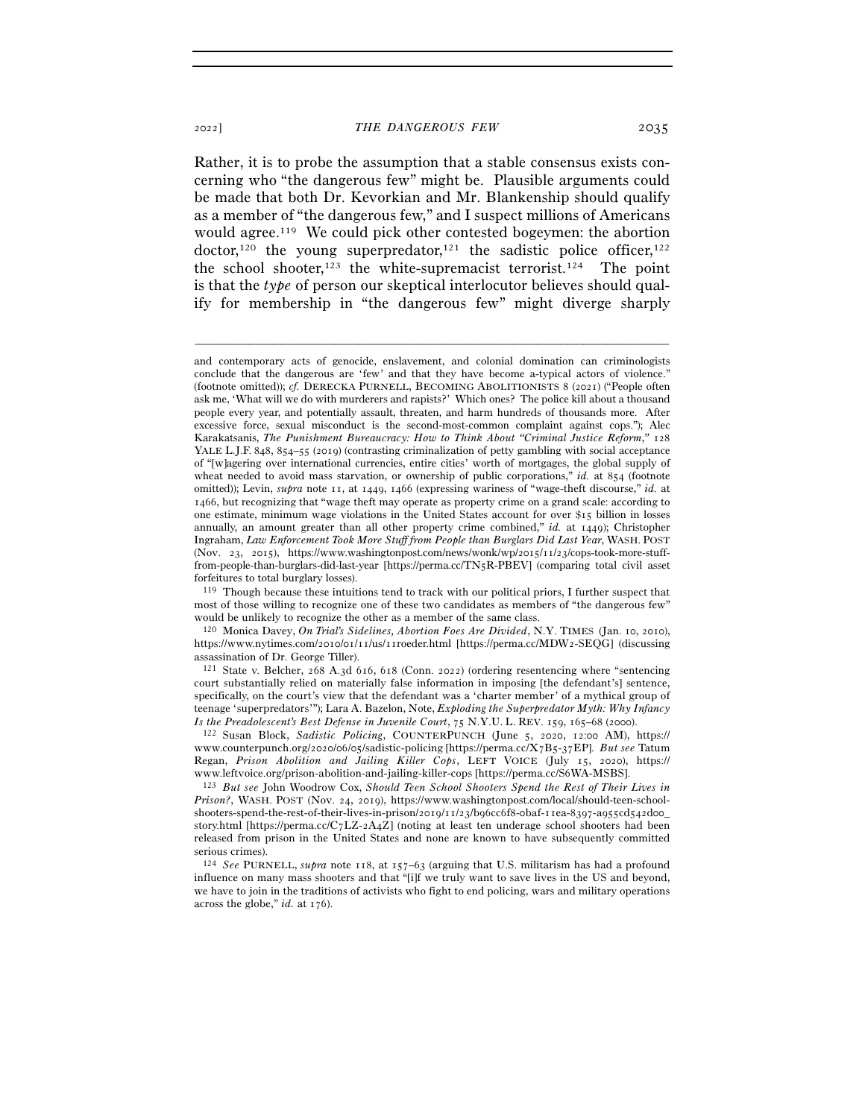Rather, it is to probe the assumption that a stable consensus exists concerning who "the dangerous few" might be. Plausible arguments could be made that both Dr. Kevorkian and Mr. Blankenship should qualify as a member of "the dangerous few," and I suspect millions of Americans would agree.119 We could pick other contested bogeymen: the abortion doctor,<sup>120</sup> the young superpredator,<sup>121</sup> the sadistic police officer,<sup>122</sup> the school shooter,<sup>123</sup> the white-supremacist terrorist.<sup>124</sup> The point is that the *type* of person our skeptical interlocutor believes should qualify for membership in "the dangerous few" might diverge sharply

–––––––––––––––––––––––––––––––––––––––––––––––––––––––––––––

<sup>120</sup> Monica Davey, *On Trial's Sidelines, Abortion Foes Are Divided*, N.Y. TIMES (Jan. 10, 2010), https://www.nytimes.com/2010/01/11/us/11roeder.html [https://perma.cc/MDW2-SEQG] (discussing assassination of Dr. George Tiller).

www.counterpunch.org/2020/06/05/sadistic-policing [https://perma.cc/X7B5-37EP]. *But see* Tatum Regan, *Prison Abolition and Jailing Killer Cops*, LEFT VOICE (July 15, 2020), https:// www.leftvoice.org/prison-abolition-and-jailing-killer-cops [https://perma.cc/S<sup>6</sup>WA-MSBS]. 123 *But see* John Woodrow Cox, *Should Teen School Shooters Spend the Rest of Their Lives in* 

*Prison?*, WASH. POST (Nov. 24, 2019), https://www.washingtonpost.com/local/should-teen-schoolshooters-spend-the-rest-of-their-lives-in-prison/2019/11/23/b96cc6f8-0baf-11ea-8397-a955cd542d00\_ story.html [https://perma.cc/C7LZ-2A4Z] (noting at least ten underage school shooters had been released from prison in the United States and none are known to have subsequently committed serious crimes).

<sup>124</sup> *See* PURNELL, *supra* note 118, at 157–63 (arguing that U.S. militarism has had a profound influence on many mass shooters and that "[i]f we truly want to save lives in the US and beyond, we have to join in the traditions of activists who fight to end policing, wars and military operations across the globe," *id.* at 176).

and contemporary acts of genocide, enslavement, and colonial domination can criminologists conclude that the dangerous are 'few' and that they have become a-typical actors of violence." (footnote omitted)); *cf.* DERECKA PURNELL, BECOMING ABOLITIONISTS 8 (2021) ("People often ask me, 'What will we do with murderers and rapists?' Which ones? The police kill about a thousand people every year, and potentially assault, threaten, and harm hundreds of thousands more. After excessive force, sexual misconduct is the second-most-common complaint against cops."); Alec Karakatsanis, *The Punishment Bureaucracy: How to Think About "Criminal Justice Reform*,*"* 128 YALE L.J.F. 848, 854–55 (2019) (contrasting criminalization of petty gambling with social acceptance of "[w]agering over international currencies, entire cities' worth of mortgages, the global supply of wheat needed to avoid mass starvation, or ownership of public corporations," *id.* at 854 (footnote omitted)); Levin, *supra* note 11, at 1449, 1466 (expressing wariness of "wage-theft discourse," *id.* at 1466, but recognizing that "wage theft may operate as property crime on a grand scale: according to one estimate, minimum wage violations in the United States account for over \$15 billion in losses annually, an amount greater than all other property crime combined," *id.* at 1449); Christopher Ingraham, *Law Enforcement Took More Stuff from People than Burglars Did Last Year*, WASH. POST (Nov. 23, 2015), https://www.washingtonpost.com/news/wonk/wp/2015/11/23/cops-took-more-stufffrom-people-than-burglars-did-last-year [https://perma.cc/TN5R-PBEV] (comparing total civil asset forfeitures to total burglary losses).

<sup>119</sup> Though because these intuitions tend to track with our political priors, I further suspect that most of those willing to recognize one of these two candidates as members of "the dangerous few" would be unlikely to recognize the other as a member of the same class.

<sup>121</sup> State v. Belcher, 268 A.3d 616, 618 (Conn. 2022) (ordering resentencing where "sentencing court substantially relied on materially false information in imposing [the defendant's] sentence, specifically, on the court's view that the defendant was a 'charter member' of a mythical group of teenage 'superpredators'"); Lara A. Bazelon, Note, *Exploding the Superpredator Myth: Why Infancy Is the Preadolescent's Best Defense in Juvenile Court*, 75 N.Y.U. L. REV. 159, 165–68 (<sup>2000</sup>). 122 Susan Block, *Sadistic Policing*, COUNTERPUNCH (June 5, 2020, 12:00 AM), https://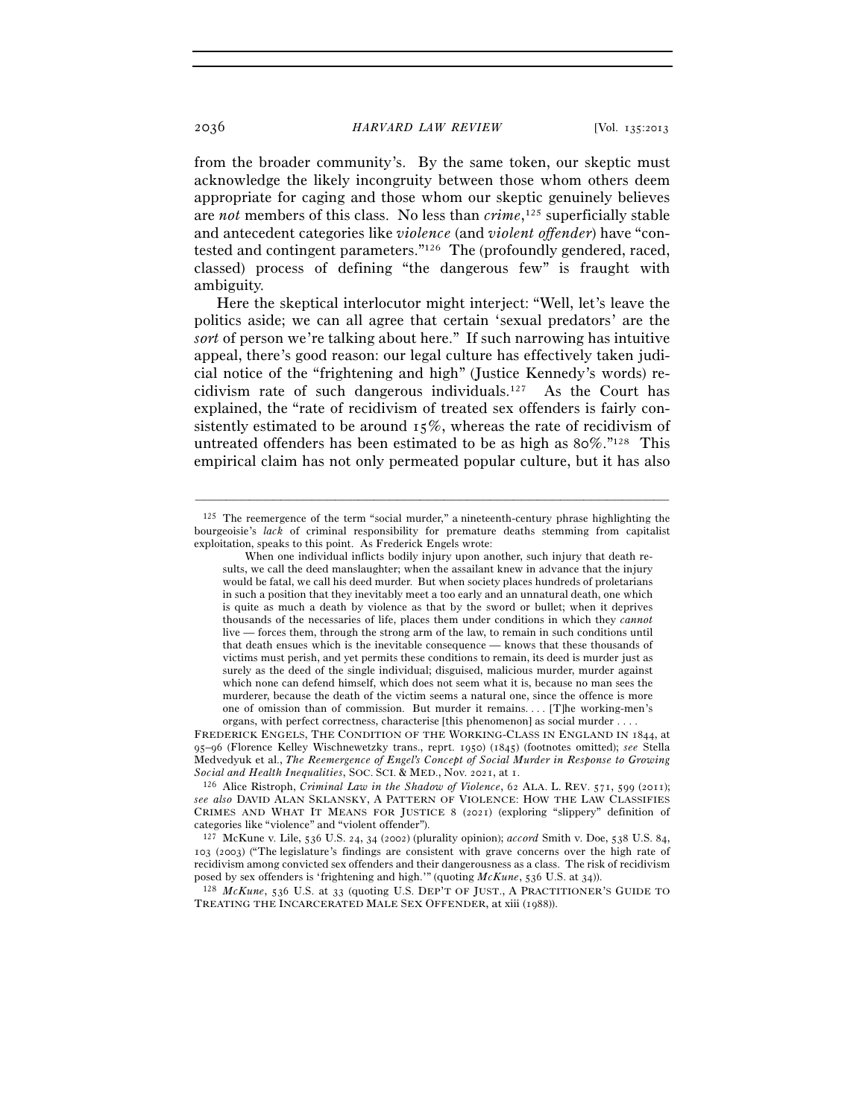from the broader community's. By the same token, our skeptic must acknowledge the likely incongruity between those whom others deem appropriate for caging and those whom our skeptic genuinely believes are *not* members of this class. No less than *crime*, 125 superficially stable and antecedent categories like *violence* (and *violent offender*) have "contested and contingent parameters."126 The (profoundly gendered, raced, classed) process of defining "the dangerous few" is fraught with ambiguity.

Here the skeptical interlocutor might interject: "Well, let's leave the politics aside; we can all agree that certain 'sexual predators' are the *sort* of person we're talking about here." If such narrowing has intuitive appeal, there's good reason: our legal culture has effectively taken judicial notice of the "frightening and high" (Justice Kennedy's words) recidivism rate of such dangerous individuals.127 As the Court has explained, the "rate of recidivism of treated sex offenders is fairly consistently estimated to be around  $15\%$ , whereas the rate of recidivism of untreated offenders has been estimated to be as high as 80%."128 This empirical claim has not only permeated popular culture, but it has also

 $125$  The reemergence of the term "social murder," a nineteenth-century phrase highlighting the bourgeoisie's *lack* of criminal responsibility for premature deaths stemming from capitalist exploitation, speaks to this point. As Frederick Engels wrote:

When one individual inflicts bodily injury upon another, such injury that death results, we call the deed manslaughter; when the assailant knew in advance that the injury would be fatal, we call his deed murder. But when society places hundreds of proletarians in such a position that they inevitably meet a too early and an unnatural death, one which is quite as much a death by violence as that by the sword or bullet; when it deprives thousands of the necessaries of life, places them under conditions in which they *cannot* live — forces them, through the strong arm of the law, to remain in such conditions until that death ensues which is the inevitable consequence — knows that these thousands of victims must perish, and yet permits these conditions to remain, its deed is murder just as surely as the deed of the single individual; disguised, malicious murder, murder against which none can defend himself, which does not seem what it is, because no man sees the murderer, because the death of the victim seems a natural one, since the offence is more one of omission than of commission. But murder it remains. . . . [T]he working-men's organs, with perfect correctness, characterise [this phenomenon] as social murder . . . .

FREDERICK ENGELS, THE CONDITION OF THE WORKING-CLASS IN ENGLAND IN 1844, at 95–96 (Florence Kelley Wischnewetzky trans., reprt. 1950) (1845) (footnotes omitted); *see* Stella Medvedyuk et al., *The Reemergence of Engel's Concept of Social Murder in Response to Growing* 

<sup>&</sup>lt;sup>126</sup> Alice Ristroph, *Criminal Law in the Shadow of Violence*, 62 ALA. L. REV. 571, 599 (2011); *see also* DAVID ALAN SKLANSKY, A PATTERN OF VIOLENCE: HOW THE LAW CLASSIFIES CRIMES AND WHAT IT MEANS FOR JUSTICE 8 (2021) (exploring "slippery" definition of categories like "violence" and "violent offender").

<sup>127</sup> McKune v. Lile, 536 U.S. 24, 34 (2002) (plurality opinion); *accord* Smith v. Doe, 538 U.S. 84, 103 (2003) ("The legislature's findings are consistent with grave concerns over the high rate of recidivism among convicted sex offenders and their dangerousness as a class. The risk of recidivism posed by sex offenders is 'frightening and high.'" (quoting *McKune*, 536 U.S. at <sup>34</sup>)). 128 *McKune*, 536 U.S. at 33 (quoting U.S. DEP'T OF JUST., <sup>A</sup> PRACTITIONER'S GUIDE TO

TREATING THE INCARCERATED MALE SEX OFFENDER, at xiii (1988)).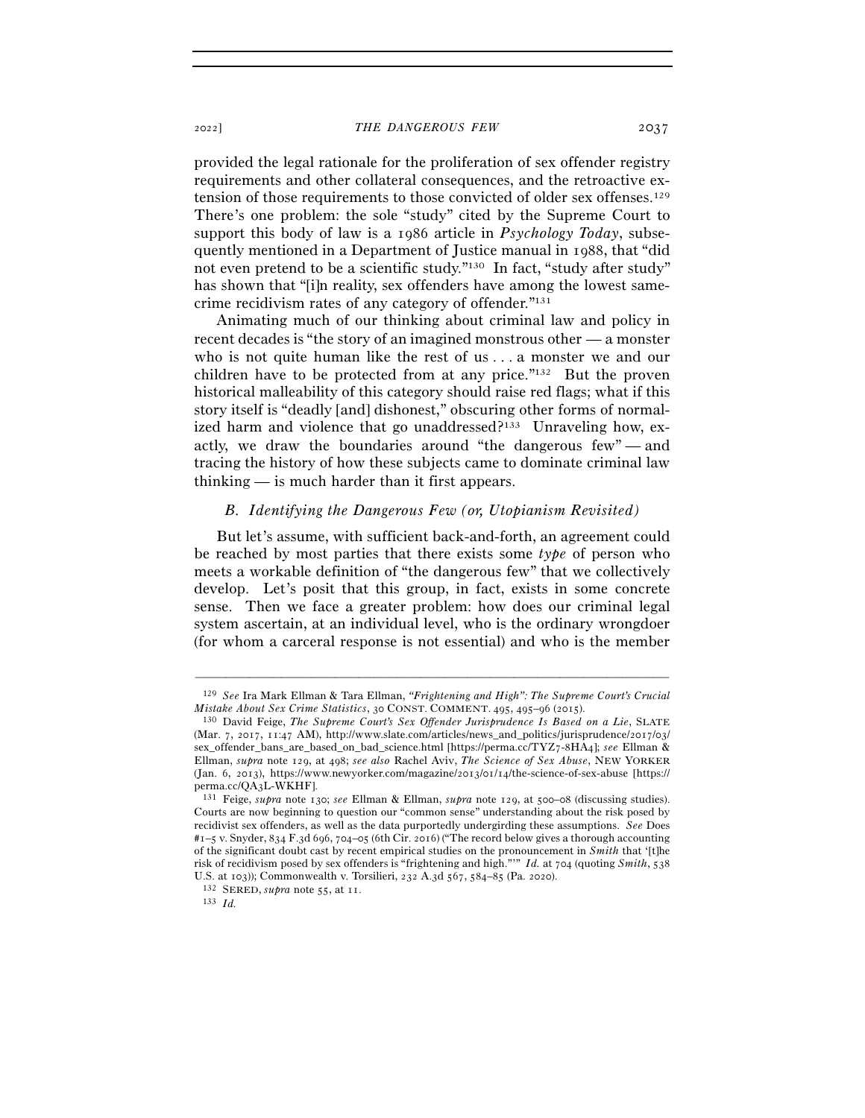provided the legal rationale for the proliferation of sex offender registry requirements and other collateral consequences, and the retroactive extension of those requirements to those convicted of older sex offenses.129 There's one problem: the sole "study" cited by the Supreme Court to support this body of law is a 1986 article in *Psychology Today*, subsequently mentioned in a Department of Justice manual in 1988, that "did not even pretend to be a scientific study."130 In fact, "study after study" has shown that "[i]n reality, sex offenders have among the lowest samecrime recidivism rates of any category of offender."131

Animating much of our thinking about criminal law and policy in recent decades is "the story of an imagined monstrous other — a monster who is not quite human like the rest of us . . . a monster we and our children have to be protected from at any price."132 But the proven historical malleability of this category should raise red flags; what if this story itself is "deadly [and] dishonest," obscuring other forms of normalized harm and violence that go unaddressed?<sup>133</sup> Unraveling how, exactly, we draw the boundaries around "the dangerous few" — and tracing the history of how these subjects came to dominate criminal law thinking — is much harder than it first appears.

## *B. Identifying the Dangerous Few (or, Utopianism Revisited)*

But let's assume, with sufficient back-and-forth, an agreement could be reached by most parties that there exists some *type* of person who meets a workable definition of "the dangerous few" that we collectively develop. Let's posit that this group, in fact, exists in some concrete sense. Then we face a greater problem: how does our criminal legal system ascertain, at an individual level, who is the ordinary wrongdoer (for whom a carceral response is not essential) and who is the member

<sup>–––––––––––––––––––––––––––––––––––––––––––––––––––––––––––––</sup> 129 *See* Ira Mark Ellman & Tara Ellman, *"Frightening and High": The Supreme Court's Crucial Mistake About Sex Crime Statistics*, <sup>30</sup> CONST. COMMENT. <sup>495</sup>, 495–96 (<sup>2015</sup>). 130 David Feige, *The Supreme Court's Sex Offender Jurisprudence Is Based on a Lie*, SLATE

<sup>(</sup>Mar. 7, 2017, 11:47 AM), http://www.slate.com/articles/news\_and\_politics/jurisprudence/2017/03/ sex\_offender\_bans\_are\_based\_on\_bad\_science.html [https://perma.cc/TYZ7-8HA4]; *see* Ellman & Ellman, *supra* note 129, at 498; *see also* Rachel Aviv, *The Science of Sex Abuse*, NEW YORKER (Jan. 6, 2013), https://www.newyorker.com/magazine/2013/01/14/the-science-of-sex-abuse [https:// perma.cc/QA3L-WKHF].

<sup>131</sup> Feige, *supra* note 130; *see* Ellman & Ellman, *supra* note 129, at 500–08 (discussing studies). Courts are now beginning to question our "common sense" understanding about the risk posed by recidivist sex offenders, as well as the data purportedly undergirding these assumptions. *See* Does #1–5 v. Snyder, 834 F.3d 696, 704–05 (6th Cir. 2016) ("The record below gives a thorough accounting of the significant doubt cast by recent empirical studies on the pronouncement in *Smith* that '[t]he risk of recidivism posed by sex offenders is "frightening and high."'" *Id.* at 704 (quoting *Smith*, 538 U.S. at 103)); Commonwealth v. Torsilieri, 232 A.3d 567, 584–85 (Pa. <sup>2020</sup>). 132 SERED, *supra* note 55, at <sup>11</sup>. 133 *Id.*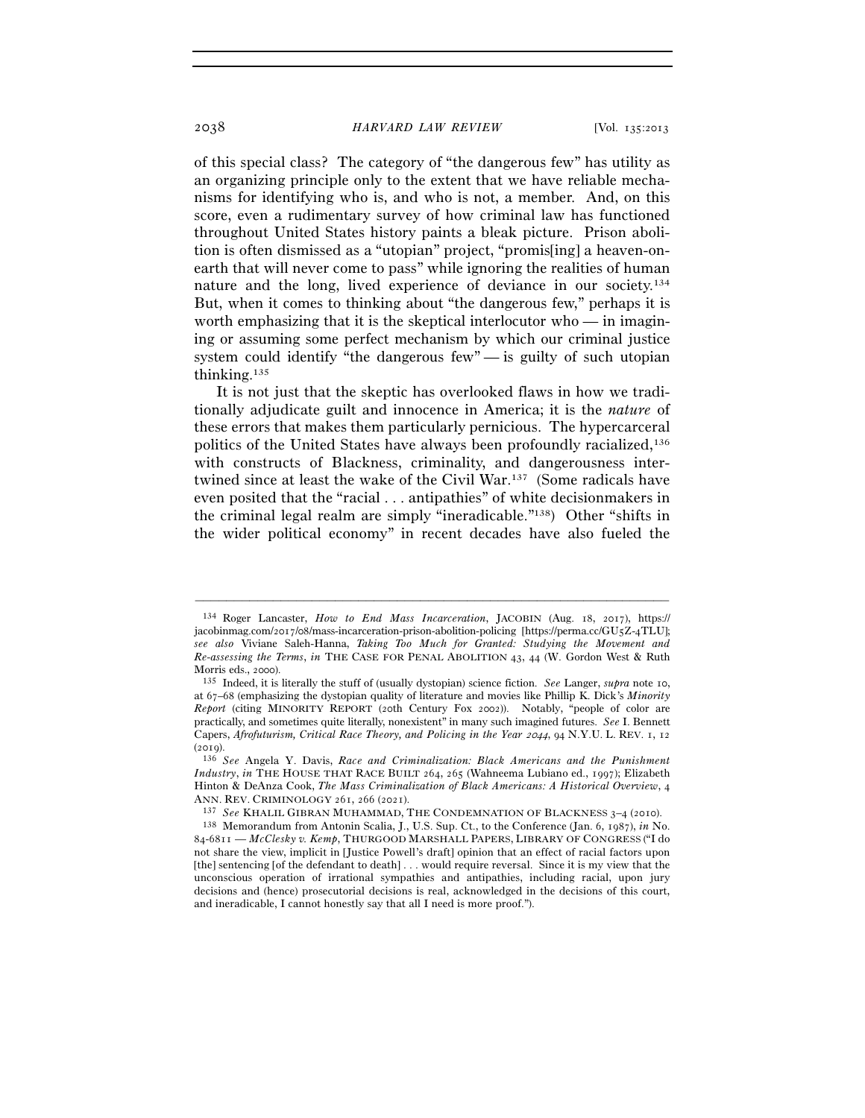of this special class? The category of "the dangerous few" has utility as an organizing principle only to the extent that we have reliable mechanisms for identifying who is, and who is not, a member. And, on this score, even a rudimentary survey of how criminal law has functioned throughout United States history paints a bleak picture. Prison abolition is often dismissed as a "utopian" project, "promis[ing] a heaven-onearth that will never come to pass" while ignoring the realities of human nature and the long, lived experience of deviance in our society.134 But, when it comes to thinking about "the dangerous few," perhaps it is worth emphasizing that it is the skeptical interlocutor who — in imagining or assuming some perfect mechanism by which our criminal justice system could identify "the dangerous few"  $\frac{1}{x}$  is guilty of such utopian thinking.135

It is not just that the skeptic has overlooked flaws in how we traditionally adjudicate guilt and innocence in America; it is the *nature* of these errors that makes them particularly pernicious. The hypercarceral politics of the United States have always been profoundly racialized,136 with constructs of Blackness, criminality, and dangerousness intertwined since at least the wake of the Civil War.137 (Some radicals have even posited that the "racial . . . antipathies" of white decisionmakers in the criminal legal realm are simply "ineradicable."138) Other "shifts in the wider political economy" in recent decades have also fueled the

–––––––––––––––––––––––––––––––––––––––––––––––––––––––––––––

137 See KHALIL GIBRAN MUHAMMAD, THE CONDEMNATION OF BLACKNESS 3-4 (2010).

<sup>134</sup> Roger Lancaster, *How to End Mass Incarceration*, JACOBIN (Aug. 18, 2017), https:// jacobinmag.com/2017/08/mass-incarceration-prison-abolition-policing [https://perma.cc/GU5Z-4TLU]; *see also* Viviane Saleh-Hanna, *Taking Too Much for Granted: Studying the Movement and Re-assessing the Terms*, *in* THE CASE FOR PENAL ABOLITION 43, 44 (W. Gordon West & Ruth Morris eds., 2000).

<sup>135</sup> Indeed, it is literally the stuff of (usually dystopian) science fiction. *See* Langer, *supra* note 10, at 67–68 (emphasizing the dystopian quality of literature and movies like Phillip K. Dick's *Minority Report* (citing MINORITY REPORT (20th Century Fox 2002)). Notably, "people of color are practically, and sometimes quite literally, nonexistent" in many such imagined futures. *See* I. Bennett Capers, *Afrofuturism, Critical Race Theory, and Policing in the Year 2044*, 94 N.Y.U. L. REV. 1, 12

<sup>(</sup><sup>2019</sup>). 136 *See* Angela Y. Davis, *Race and Criminalization: Black Americans and the Punishment Industry*, *in* THE HOUSE THAT RACE BUILT 264, 265 (Wahneema Lubiano ed., 1997); Elizabeth Hinton & DeAnza Cook, *The Mass Criminalization of Black Americans: A Historical Overview*, 4

<sup>138</sup> Memorandum from Antonin Scalia, J., U.S. Sup. Ct., to the Conference (Jan. 6, 1987), *in* No. 84-6811 — *McClesky v. Kemp*, THURGOOD MARSHALL PAPERS, LIBRARY OF CONGRESS ("I do not share the view, implicit in [Justice Powell's draft] opinion that an effect of racial factors upon [the] sentencing [of the defendant to death] . . . would require reversal. Since it is my view that the unconscious operation of irrational sympathies and antipathies, including racial, upon jury decisions and (hence) prosecutorial decisions is real, acknowledged in the decisions of this court, and ineradicable, I cannot honestly say that all I need is more proof.").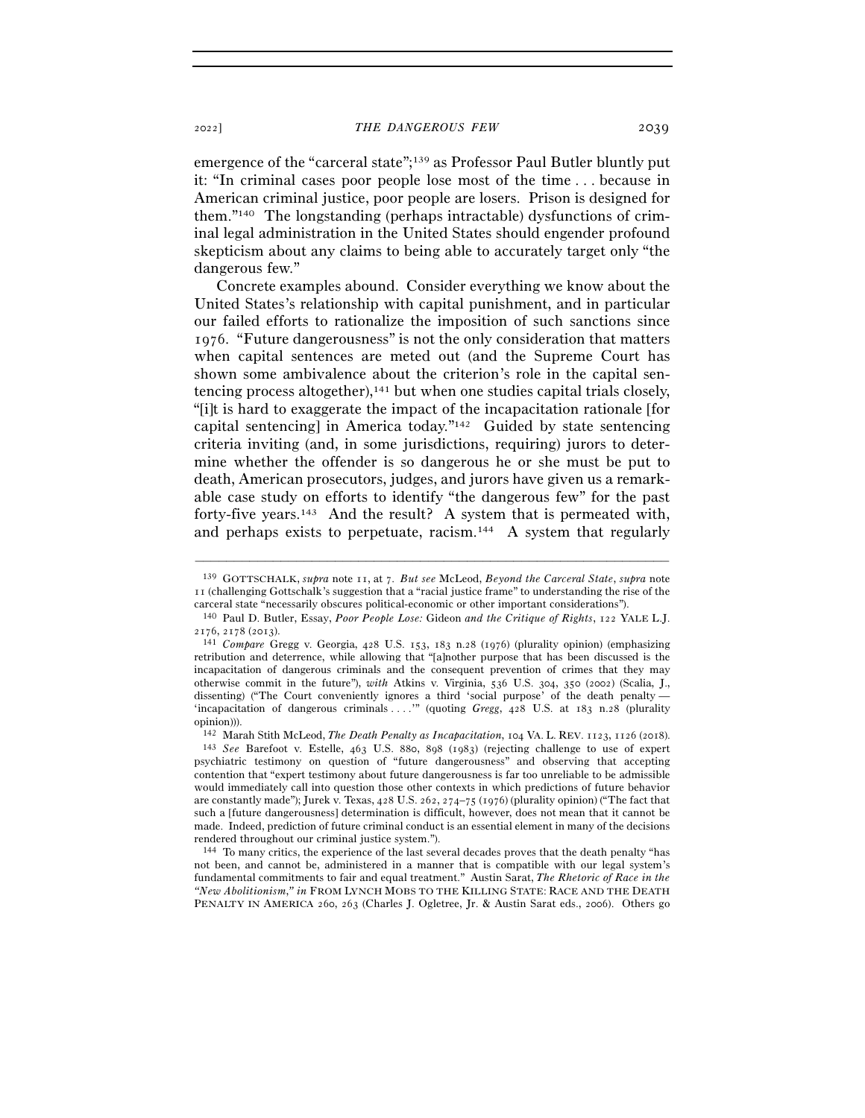emergence of the "carceral state";139 as Professor Paul Butler bluntly put it: "In criminal cases poor people lose most of the time . . . because in American criminal justice, poor people are losers. Prison is designed for them."140 The longstanding (perhaps intractable) dysfunctions of criminal legal administration in the United States should engender profound skepticism about any claims to being able to accurately target only "the dangerous few."

Concrete examples abound. Consider everything we know about the United States's relationship with capital punishment, and in particular our failed efforts to rationalize the imposition of such sanctions since 1976. "Future dangerousness" is not the only consideration that matters when capital sentences are meted out (and the Supreme Court has shown some ambivalence about the criterion's role in the capital sentencing process altogether), $141$  but when one studies capital trials closely, "[i]t is hard to exaggerate the impact of the incapacitation rationale [for capital sentencing] in America today."142 Guided by state sentencing criteria inviting (and, in some jurisdictions, requiring) jurors to determine whether the offender is so dangerous he or she must be put to death, American prosecutors, judges, and jurors have given us a remarkable case study on efforts to identify "the dangerous few" for the past forty-five years.143 And the result? A system that is permeated with, and perhaps exists to perpetuate, racism.<sup>144</sup> A system that regularly

<sup>139</sup> GOTTSCHALK, *supra* note 11, at 7. *But see* McLeod, *Beyond the Carceral State*, *supra* note 11 (challenging Gottschalk's suggestion that a "racial justice frame" to understanding the rise of the carceral state "necessarily obscures political-economic or other important considerations").

<sup>140</sup> Paul D. Butler, Essay, *Poor People Lose:* Gideon *and the Critique of Rights*, 122 YALE L.J. <sup>2176</sup>, 2178 (<sup>2013</sup>). 141 *Compare* Gregg v. Georgia, 428 U.S. 153, 183 n.28 (1976) (plurality opinion) (emphasizing

retribution and deterrence, while allowing that "[a]nother purpose that has been discussed is the incapacitation of dangerous criminals and the consequent prevention of crimes that they may otherwise commit in the future"), *with* Atkins v. Virginia, 536 U.S. 304, 350 (2002) (Scalia, J., dissenting) ("The Court conveniently ignores a third 'social purpose' of the death penalty — 'incapacitation of dangerous criminals . . . .'" (quoting *Gregg*, 428 U.S. at 183 n.28 (plurality opinion))).

<sup>142</sup> Marah Stith McLeod, *The Death Penalty as Incapacitation*, 104 VA. L. REV. 1123, 1126 (<sup>2018</sup>). 143 *See* Barefoot v. Estelle, 463 U.S. 880, 898 (1983) (rejecting challenge to use of expert

psychiatric testimony on question of "future dangerousness" and observing that accepting contention that "expert testimony about future dangerousness is far too unreliable to be admissible would immediately call into question those other contexts in which predictions of future behavior are constantly made"); Jurek v. Texas, 428 U.S. 262, 274–75 (1976) (plurality opinion) ("The fact that such a [future dangerousness] determination is difficult, however, does not mean that it cannot be made. Indeed, prediction of future criminal conduct is an essential element in many of the decisions rendered throughout our criminal justice system.").

<sup>144</sup> To many critics, the experience of the last several decades proves that the death penalty "has not been, and cannot be, administered in a manner that is compatible with our legal system's fundamental commitments to fair and equal treatment." Austin Sarat, *The Rhetoric of Race in the "New Abolitionism*,*" in* FROM LYNCH MOBS TO THE KILLING STATE: RACE AND THE DEATH PENALTY IN AMERICA 260, 263 (Charles J. Ogletree, Jr. & Austin Sarat eds., 2006). Others go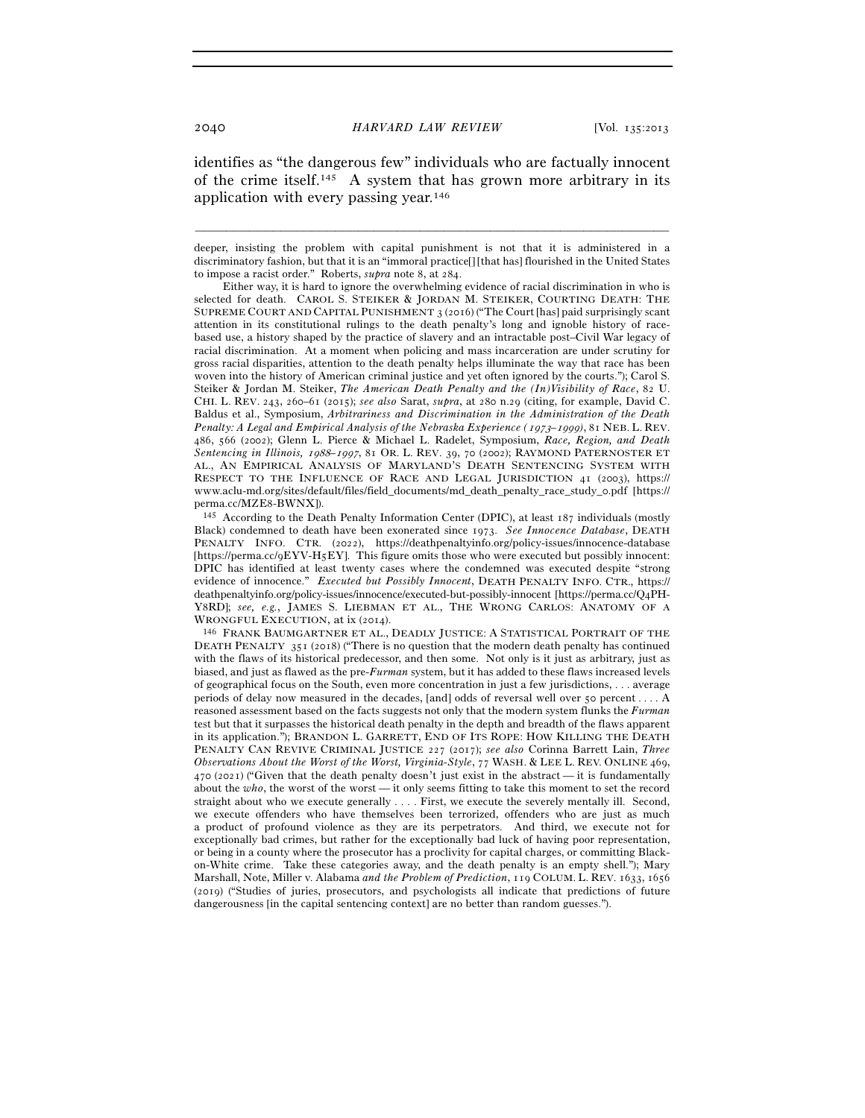identifies as "the dangerous few" individuals who are factually innocent of the crime itself.145 A system that has grown more arbitrary in its application with every passing year.146

deeper, insisting the problem with capital punishment is not that it is administered in a discriminatory fashion, but that it is an "immoral practice[] [that has] flourished in the United States to impose a racist order." Roberts, *supra* note 8, at 284.

–––––––––––––––––––––––––––––––––––––––––––––––––––––––––––––

 Either way, it is hard to ignore the overwhelming evidence of racial discrimination in who is selected for death. CAROL S. STEIKER & JORDAN M. STEIKER, COURTING DEATH: THE SUPREME COURT AND CAPITAL PUNISHMENT 3 (2016) ("The Court [has] paid surprisingly scant attention in its constitutional rulings to the death penalty's long and ignoble history of racebased use, a history shaped by the practice of slavery and an intractable post–Civil War legacy of racial discrimination. At a moment when policing and mass incarceration are under scrutiny for gross racial disparities, attention to the death penalty helps illuminate the way that race has been woven into the history of American criminal justice and yet often ignored by the courts."); Carol S. Steiker & Jordan M. Steiker, *The American Death Penalty and the (In)Visibility of Race*, 82 U. CHI. L. REV. 243, 260–61 (2015); *see also* Sarat, *supra*, at 280 n.29 (citing, for example, David C. Baldus et al., Symposium, *Arbitrariness and Discrimination in the Administration of the Death Penalty: A Legal and Empirical Analysis of the Nebraska Experience (*1973*–*1999*)*, 81 NEB. L. REV. 486, 566 (2002); Glenn L. Pierce & Michael L. Radelet, Symposium, *Race, Region, and Death Sentencing in Illinois,* 1988*–*1997, 81 OR. L. REV. 39, 70 (2002); RAYMOND PATERNOSTER ET AL., AN EMPIRICAL ANALYSIS OF MARYLAND'S DEATH SENTENCING SYSTEM WITH RESPECT TO THE INFLUENCE OF RACE AND LEGAL JURISDICTION 41 (2003), https:// www.aclu-md.org/sites/default/files/field\_documents/md\_death\_penalty\_race\_study\_0.pdf [https://

 $145$  According to the Death Penalty Information Center (DPIC), at least 187 individuals (mostly Black) condemned to death have been exonerated since 1973. *See Innocence Database*, DEATH PENALTY INFO. CTR. (2022), https://deathpenaltyinfo.org/policy-issues/innocence-database [https://perma.cc/9EYV-H5EY]. This figure omits those who were executed but possibly innocent: DPIC has identified at least twenty cases where the condemned was executed despite "strong evidence of innocence." *Executed but Possibly Innocent*, DEATH PENALTY INFO. CTR., https:// deathpenaltyinfo.org/policy-issues/innocence/executed-but-possibly-innocent [https://perma.cc/Q4PH-Y8RD]; *see, e.g.*, JAMES S. LIEBMAN ET AL., THE WRONG CARLOS: ANATOMY OF A WRONGFUL EXECUTION, at ix (2014). 146 FRANK BAUMGARTNER ET AL., DEADLY JUSTICE: A STATISTICAL PORTRAIT OF THE

DEATH PENALTY 351 (2018) ("There is no question that the modern death penalty has continued with the flaws of its historical predecessor, and then some. Not only is it just as arbitrary, just as biased, and just as flawed as the pre-*Furman* system, but it has added to these flaws increased levels of geographical focus on the South, even more concentration in just a few jurisdictions, . . . average periods of delay now measured in the decades, [and] odds of reversal well over 50 percent . . . . A reasoned assessment based on the facts suggests not only that the modern system flunks the *Furman*  test but that it surpasses the historical death penalty in the depth and breadth of the flaws apparent in its application."); BRANDON L. GARRETT, END OF ITS ROPE: HOW KILLING THE DEATH PENALTY CAN REVIVE CRIMINAL JUSTICE 227 (2017); *see also* Corinna Barrett Lain, *Three Observations About the Worst of the Worst, Virginia-Style*, 77 WASH. & LEE L. REV. ONLINE 469,  $470$  (2021) ("Given that the death penalty doesn't just exist in the abstract — it is fundamentally about the *who*, the worst of the worst — it only seems fitting to take this moment to set the record straight about who we execute generally . . . . First, we execute the severely mentally ill. Second, we execute offenders who have themselves been terrorized, offenders who are just as much a product of profound violence as they are its perpetrators. And third, we execute not for exceptionally bad crimes, but rather for the exceptionally bad luck of having poor representation, or being in a county where the prosecutor has a proclivity for capital charges, or committing Blackon-White crime. Take these categories away, and the death penalty is an empty shell."); Mary Marshall, Note, Miller v. Alabama *and the Problem of Prediction*, 119 COLUM. L. REV. 1633, 1656 (2019) ("Studies of juries, prosecutors, and psychologists all indicate that predictions of future dangerousness [in the capital sentencing context] are no better than random guesses.").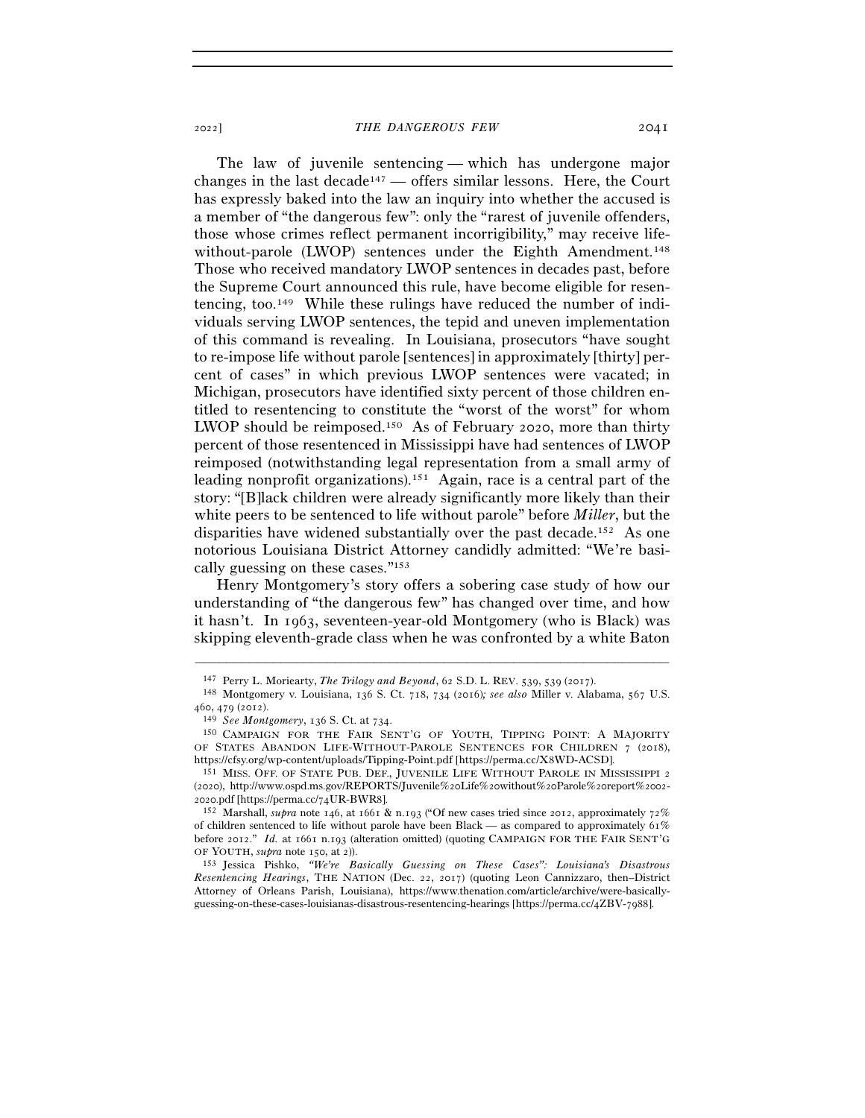The law of juvenile sentencing — which has undergone major changes in the last decade<sup>147</sup> — offers similar lessons. Here, the Court has expressly baked into the law an inquiry into whether the accused is a member of "the dangerous few": only the "rarest of juvenile offenders, those whose crimes reflect permanent incorrigibility," may receive lifewithout-parole (LWOP) sentences under the Eighth Amendment.<sup>148</sup> Those who received mandatory LWOP sentences in decades past, before the Supreme Court announced this rule, have become eligible for resentencing, too.149 While these rulings have reduced the number of individuals serving LWOP sentences, the tepid and uneven implementation of this command is revealing. In Louisiana, prosecutors "have sought to re-impose life without parole [sentences] in approximately [thirty] percent of cases" in which previous LWOP sentences were vacated; in Michigan, prosecutors have identified sixty percent of those children entitled to resentencing to constitute the "worst of the worst" for whom LWOP should be reimposed.150 As of February 2020, more than thirty percent of those resentenced in Mississippi have had sentences of LWOP reimposed (notwithstanding legal representation from a small army of leading nonprofit organizations).151 Again, race is a central part of the story: "[B]lack children were already significantly more likely than their white peers to be sentenced to life without parole" before *Miller*, but the disparities have widened substantially over the past decade.152 As one notorious Louisiana District Attorney candidly admitted: "We're basically guessing on these cases."153

Henry Montgomery's story offers a sobering case study of how our understanding of "the dangerous few" has changed over time, and how it hasn't. In 1963, seventeen-year-old Montgomery (who is Black) was skipping eleventh-grade class when he was confronted by a white Baton

–––––––––––––––––––––––––––––––––––––––––––––––––––––––––––––

151 MISS. OFF. OF STATE PUB. DEF., JUVENILE LIFE WITHOUT PAROLE IN MISSISSIPPI 2 (2020), http://www.ospd.ms.gov/REPORTS/Juvenile%20Life%20without%20Parole%20report%2002- <sup>2020</sup>.pdf [https://perma.cc/74UR-BWR<sup>8</sup>]. 152 Marshall, *supra* note 146, at 1661 & n.193 ("Of new cases tried since 2012, approximately 72%

of children sentenced to life without parole have been Black — as compared to approximately  $61\%$ before 2012." *Id.* at 1661 n.193 (alteration omitted) (quoting CAMPAIGN FOR THE FAIR SENT'G OF YOUTH, *supra* note 150, at <sup>2</sup>)). 153 Jessica Pishko, *"We're Basically Guessing on These Cases": Louisiana's Disastrous* 

*Resentencing Hearings*, THE NATION (Dec. 22, 2017) (quoting Leon Cannizzaro, then–District Attorney of Orleans Parish, Louisiana), https://www.thenation.com/article/archive/were-basicallyguessing-on-these-cases-louisianas-disastrous-resentencing-hearings [https://perma.cc/4ZBV-7988].

<sup>147</sup> Perry L. Moriearty, *The Trilogy and Beyond*, 62 S.D. L. REV. 539, 539 (<sup>2017</sup>). 148 Montgomery v. Louisiana, 136 S. Ct. 718, 734 (2016)*; see also* Miller v. Alabama, 567 U.S. <sup>460</sup>, 479 (<sup>2012</sup>). 149 *See Montgomery*, 136 S. Ct. at <sup>734</sup>. 150 CAMPAIGN FOR THE FAIR SENT'G OF YOUTH, TIPPING POINT: <sup>A</sup> MAJORITY

OF STATES ABANDON LIFE-WITHOUT-PAROLE SENTENCES FOR CHILDREN 7 (2018), https://cfsy.org/wp-content/uploads/Tipping-Point.pdf [https://perma.cc/X8WD-ACSD].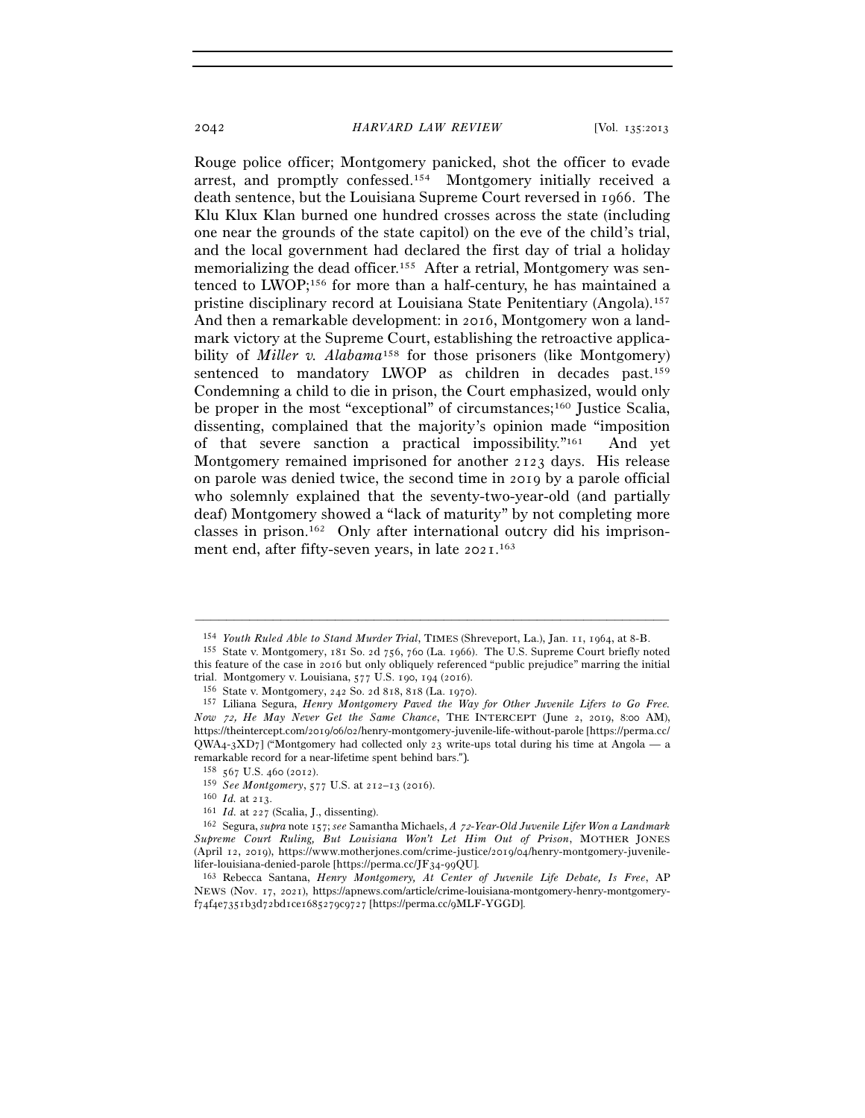Rouge police officer; Montgomery panicked, shot the officer to evade arrest, and promptly confessed.154 Montgomery initially received a death sentence, but the Louisiana Supreme Court reversed in 1966. The Klu Klux Klan burned one hundred crosses across the state (including one near the grounds of the state capitol) on the eve of the child's trial, and the local government had declared the first day of trial a holiday memorializing the dead officer.155 After a retrial, Montgomery was sentenced to LWOP;156 for more than a half-century, he has maintained a pristine disciplinary record at Louisiana State Penitentiary (Angola).157 And then a remarkable development: in 2016, Montgomery won a landmark victory at the Supreme Court, establishing the retroactive applicability of *Miller v. Alabama*<sup>158</sup> for those prisoners (like Montgomery) sentenced to mandatory LWOP as children in decades past.159 Condemning a child to die in prison, the Court emphasized, would only be proper in the most "exceptional" of circumstances;<sup>160</sup> Justice Scalia, dissenting, complained that the majority's opinion made "imposition of that severe sanction a practical impossibility."161 And yet Montgomery remained imprisoned for another 2123 days. His release on parole was denied twice, the second time in 2019 by a parole official who solemnly explained that the seventy-two-year-old (and partially deaf) Montgomery showed a "lack of maturity" by not completing more classes in prison.162 Only after international outcry did his imprisonment end, after fifty-seven years, in late 2021. 163

<sup>–––––––––––––––––––––––––––––––––––––––––––––––––––––––––––––</sup> <sup>154</sup> *Youth Ruled Able to Stand Murder Trial*, TIMES (Shreveport, La.), Jan. 11, 1964, at <sup>8</sup>-B. 155 State v. Montgomery, 181 So. 2d 756, 760 (La. 1966). The U.S. Supreme Court briefly noted

this feature of the case in 2016 but only obliquely referenced "public prejudice" marring the initial trial. Montgomery v. Louisiana, 577 U.S. 190, 194 (2016). <sup>156</sup> State v. Montgomery, 242 So. 2d 818, 818 (La. 1970).<br><sup>157</sup> Liliana Segura, *Henry Montgomery Paved the Way for Other Juvenile Lifers to Go Free.* 

*Now* 72, *He May Never Get the Same Chance*, THE INTERCEPT (June 2, 2019, 8:00 AM), https://theintercept.com/2019/06/02/henry-montgomery-juvenile-life-without-parole [https://perma.cc/  $QWA<sub>4</sub>-3ND<sub>7</sub>$  ("Montgomery had collected only 23 write-ups total during his time at Angola — a remarkable record for a near-lifetime spent behind bars.").

 $158$  567 U.S. 460 (2012).

<sup>&</sup>lt;sup>159</sup> See Montgomery, 577 U.S. at 212–13 (2016).<br><sup>160</sup> Id. at 213.<br><sup>161</sup> Id. at 227 (Scalia, J., dissenting).<br><sup>161</sup> Id. at 227 (Scalia, J., dissenting).<br><sup>162</sup> Segura, *supra* note 157; *see* Samantha Michaels, *A 72-Year-Supreme Court Ruling, But Louisiana Won't Let Him Out of Prison*, MOTHER JONES (April 12, 2019), https://www.motherjones.com/crime-justice/2019/04/henry-montgomery-juvenilelifer-louisiana-denied-parole [https://perma.cc/JF34-99QU].

<sup>163</sup> Rebecca Santana, *Henry Montgomery, At Center of Juvenile Life Debate, Is Free*, AP NEWS (Nov. 17, 2021), https://apnews.com/article/crime-louisiana-montgomery-henry-montgomeryf74f4e7351b3d72bd1ce1685279c9727 [https://perma.cc/9MLF-YGGD].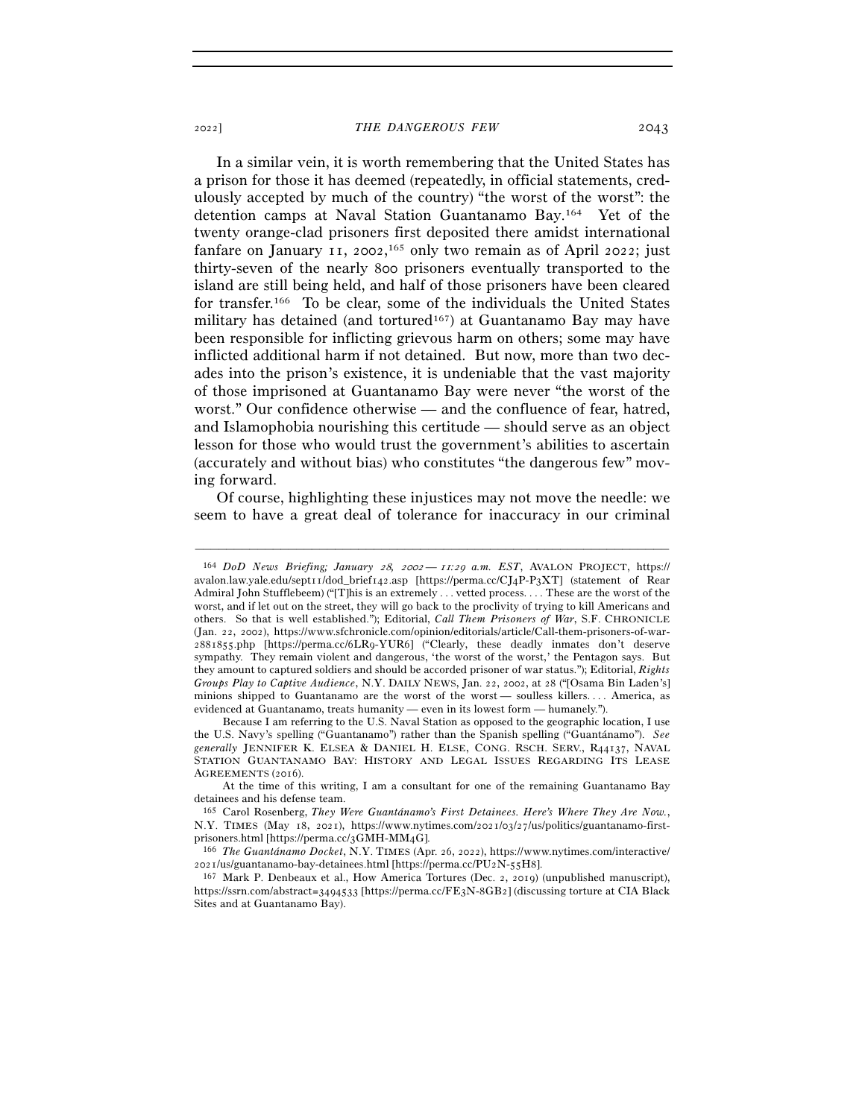In a similar vein, it is worth remembering that the United States has a prison for those it has deemed (repeatedly, in official statements, credulously accepted by much of the country) "the worst of the worst": the detention camps at Naval Station Guantanamo Bay.164 Yet of the twenty orange-clad prisoners first deposited there amidst international fanfare on January 11, 2002, 165 only two remain as of April 2022; just thirty-seven of the nearly 800 prisoners eventually transported to the island are still being held, and half of those prisoners have been cleared for transfer.166 To be clear, some of the individuals the United States military has detained (and tortured<sup>167</sup>) at Guantanamo Bay may have been responsible for inflicting grievous harm on others; some may have inflicted additional harm if not detained. But now, more than two decades into the prison's existence, it is undeniable that the vast majority of those imprisoned at Guantanamo Bay were never "the worst of the worst." Our confidence otherwise — and the confluence of fear, hatred, and Islamophobia nourishing this certitude — should serve as an object lesson for those who would trust the government's abilities to ascertain (accurately and without bias) who constitutes "the dangerous few" moving forward.

Of course, highlighting these injustices may not move the needle: we seem to have a great deal of tolerance for inaccuracy in our criminal

<sup>164</sup> *DoD News Briefing; January* 28*,* <sup>2002</sup> *—* <sup>11</sup>*:*29 *a.m. EST*, AVALON PROJECT, https:// avalon.law.yale.edu/sept11/dod\_brief142.asp [https://perma.cc/CJ4P-P3XT] (statement of Rear Admiral John Stufflebeem) ("[T]his is an extremely . . . vetted process. . . . These are the worst of the worst, and if let out on the street, they will go back to the proclivity of trying to kill Americans and others. So that is well established."); Editorial, *Call Them Prisoners of War*, S.F. CHRONICLE (Jan. 22, 2002), https://www.sfchronicle.com/opinion/editorials/article/Call-them-prisoners-of-war-2881855.php [https://perma.cc/6LR9-YUR6] ("Clearly, these deadly inmates don't deserve sympathy. They remain violent and dangerous, 'the worst of the worst,' the Pentagon says. But they amount to captured soldiers and should be accorded prisoner of war status."); Editorial, *Rights Groups Play to Captive Audience*, N.Y. DAILY NEWS, Jan. 22, 2002, at 28 ("[Osama Bin Laden's] minions shipped to Guantanamo are the worst of the worst — soulless killers. . . . America, as evidenced at Guantanamo, treats humanity — even in its lowest form — humanely.").

Because I am referring to the U.S. Naval Station as opposed to the geographic location, I use the U.S. Navy's spelling ("Guantanamo") rather than the Spanish spelling ("Guantánamo"). *See generally* JENNIFER K. ELSEA & DANIEL H. ELSE, CONG. RSCH. SERV., R44137, NAVAL STATION GUANTANAMO BAY: HISTORY AND LEGAL ISSUES REGARDING ITS LEASE AGREEMENTS (2016).

At the time of this writing, I am a consultant for one of the remaining Guantanamo Bay detainees and his defense team.

<sup>165</sup> Carol Rosenberg, *They Were Guantánamo's First Detainees. Here's Where They Are Now.*, N.Y. TIMES (May 18, 2021), https://www.nytimes.com/2021/03/27/us/politics/guantanamo-firstprisoners.html [https://perma.cc/3GMH-MM<sup>4</sup>G]. 166 *The Guantánamo Docket*, N.Y. TIMES (Apr. 26, 2022), https://www.nytimes.com/interactive/

 $2021/\text{us/guantanamo-bay-detainees.html}$  [https://perma.cc/PU2N-55H8].<br><sup>167</sup> Mark P. Denbeaux et al., How America Tortures (Dec. 2, 2019) (unpublished manuscript),

https://ssrn.com/abstract=3494533 [https://perma.cc/FE3N-8GB2] (discussing torture at CIA Black Sites and at Guantanamo Bay).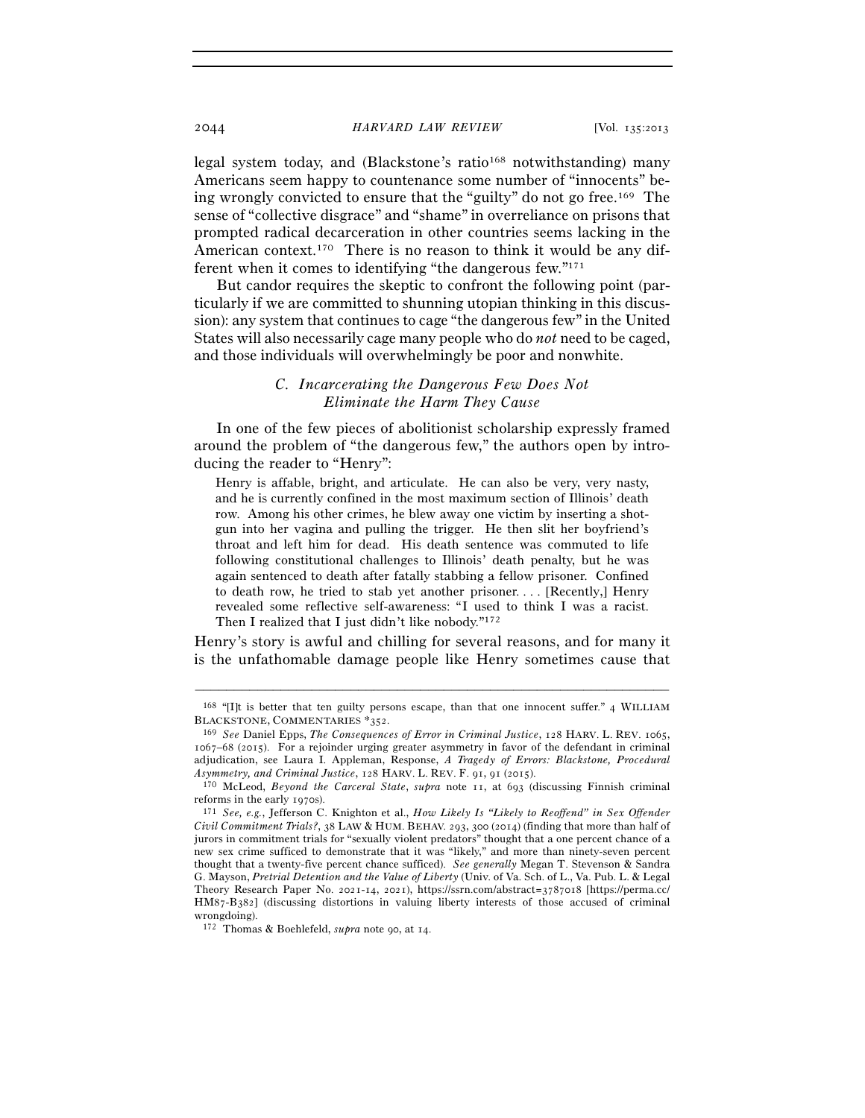legal system today, and (Blackstone's ratio<sup>168</sup> notwithstanding) many Americans seem happy to countenance some number of "innocents" being wrongly convicted to ensure that the "guilty" do not go free.169 The sense of "collective disgrace" and "shame" in overreliance on prisons that prompted radical decarceration in other countries seems lacking in the American context.<sup>170</sup> There is no reason to think it would be any different when it comes to identifying "the dangerous few."171

But candor requires the skeptic to confront the following point (particularly if we are committed to shunning utopian thinking in this discussion): any system that continues to cage "the dangerous few" in the United States will also necessarily cage many people who do *not* need to be caged, and those individuals will overwhelmingly be poor and nonwhite.

# *C. Incarcerating the Dangerous Few Does Not Eliminate the Harm They Cause*

In one of the few pieces of abolitionist scholarship expressly framed around the problem of "the dangerous few," the authors open by introducing the reader to "Henry":

Henry is affable, bright, and articulate. He can also be very, very nasty, and he is currently confined in the most maximum section of Illinois' death row. Among his other crimes, he blew away one victim by inserting a shotgun into her vagina and pulling the trigger. He then slit her boyfriend's throat and left him for dead. His death sentence was commuted to life following constitutional challenges to Illinois' death penalty, but he was again sentenced to death after fatally stabbing a fellow prisoner. Confined to death row, he tried to stab yet another prisoner. . . . [Recently,] Henry revealed some reflective self-awareness: "I used to think I was a racist. Then I realized that I just didn't like nobody."172

Henry's story is awful and chilling for several reasons, and for many it is the unfathomable damage people like Henry sometimes cause that

<sup>–––––––––––––––––––––––––––––––––––––––––––––––––––––––––––––</sup> 168 "[I]t is better that ten guilty persons escape, than that one innocent suffer." 4 WILLIAM BLACKSTONE, COMMENTARIES \*<sup>352</sup>. 169 *See* Daniel Epps, *The Consequences of Error in Criminal Justice*, 128 HARV. L. REV. 1065,

<sup>1067</sup>–68 (2015). For a rejoinder urging greater asymmetry in favor of the defendant in criminal adjudication, see Laura I. Appleman, Response, *A Tragedy of Errors: Blackstone, Procedural Asymmetry, and Criminal Justice*, 128 HARV. L. REV. F. 91, 91 (<sup>2015</sup>). 170 McLeod, *Beyond the Carceral State*, *supra* note 11, at 693 (discussing Finnish criminal

reforms in the early <sup>1970</sup>s). 171 *See, e.g.*, Jefferson C. Knighton et al., *How Likely Is "Likely to Reoffend" in Sex Offender* 

*Civil Commitment Trials?*, 38 LAW & HUM. BEHAV. 293, 300 (2014) (finding that more than half of jurors in commitment trials for "sexually violent predators" thought that a one percent chance of a new sex crime sufficed to demonstrate that it was "likely," and more than ninety-seven percent thought that a twenty-five percent chance sufficed). *See generally* Megan T. Stevenson & Sandra G. Mayson, *Pretrial Detention and the Value of Liberty* (Univ. of Va. Sch. of L., Va. Pub. L. & Legal Theory Research Paper No. 2021-14, 2021), https://ssrn.com/abstract=3787018 [https://perma.cc/ HM87-B382] (discussing distortions in valuing liberty interests of those accused of criminal wrongdoing).

<sup>172</sup> Thomas & Boehlefeld, *supra* note 90, at 14.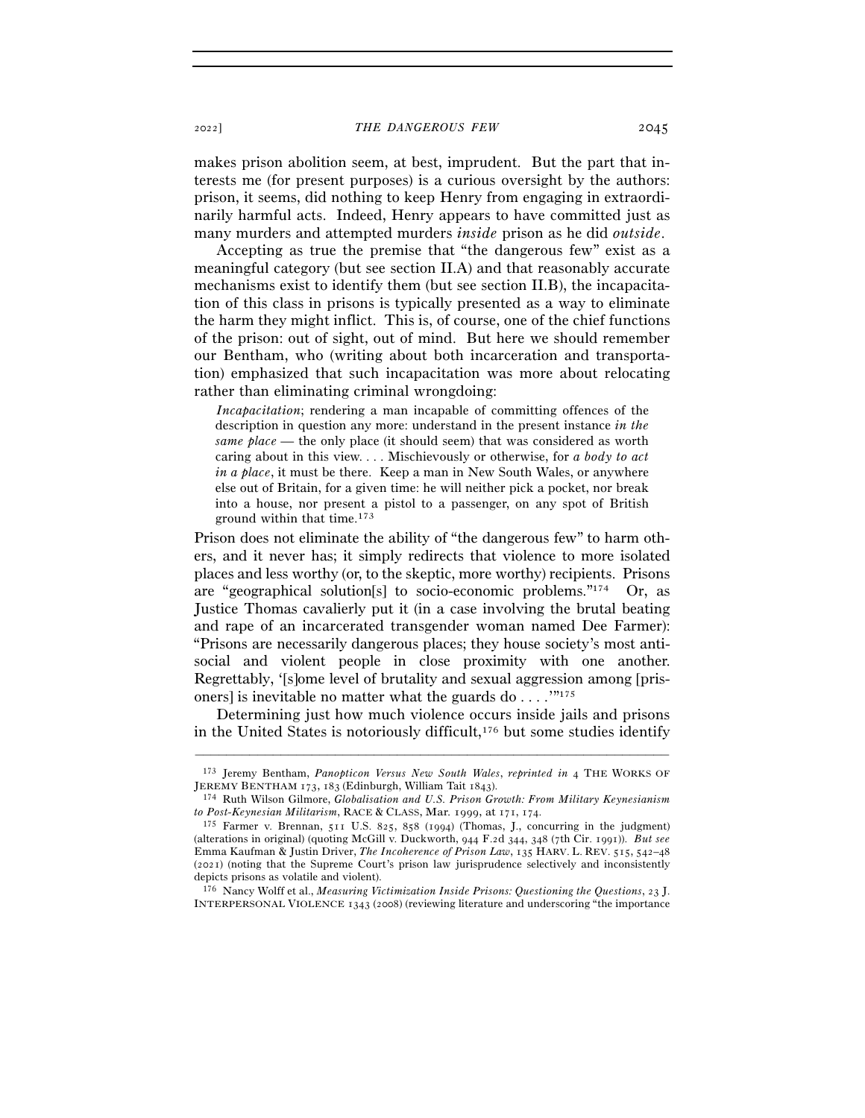makes prison abolition seem, at best, imprudent. But the part that interests me (for present purposes) is a curious oversight by the authors: prison, it seems, did nothing to keep Henry from engaging in extraordinarily harmful acts. Indeed, Henry appears to have committed just as many murders and attempted murders *inside* prison as he did *outside*.

Accepting as true the premise that "the dangerous few" exist as a meaningful category (but see section II.A) and that reasonably accurate mechanisms exist to identify them (but see section II.B), the incapacitation of this class in prisons is typically presented as a way to eliminate the harm they might inflict. This is, of course, one of the chief functions of the prison: out of sight, out of mind. But here we should remember our Bentham, who (writing about both incarceration and transportation) emphasized that such incapacitation was more about relocating rather than eliminating criminal wrongdoing:

*Incapacitation*; rendering a man incapable of committing offences of the description in question any more: understand in the present instance *in the same place* — the only place (it should seem) that was considered as worth caring about in this view. . . . Mischievously or otherwise, for *a body to act in a place*, it must be there. Keep a man in New South Wales, or anywhere else out of Britain, for a given time: he will neither pick a pocket, nor break into a house, nor present a pistol to a passenger, on any spot of British ground within that time.173

Prison does not eliminate the ability of "the dangerous few" to harm others, and it never has; it simply redirects that violence to more isolated places and less worthy (or, to the skeptic, more worthy) recipients. Prisons are "geographical solution[s] to socio-economic problems."174 Or, as Justice Thomas cavalierly put it (in a case involving the brutal beating and rape of an incarcerated transgender woman named Dee Farmer): "Prisons are necessarily dangerous places; they house society's most antisocial and violent people in close proximity with one another. Regrettably, '[s]ome level of brutality and sexual aggression among [prisoners] is inevitable no matter what the guards do  $\dots$ ."175

Determining just how much violence occurs inside jails and prisons in the United States is notoriously difficult,<sup>176</sup> but some studies identify

<sup>–––––––––––––––––––––––––––––––––––––––––––––––––––––––––––––</sup> <sup>173</sup> Jeremy Bentham, *Panopticon Versus New South Wales*, *reprinted in* 4 THE WORKS OF JEREMY BENTHAM 173, 183 (Edinburgh, William Tait 1843).

<sup>174</sup> Ruth Wilson Gilmore, *Globalisation and U.S. Prison Growth: From Military Keynesianism to Post-Keynesian Militarism*, RACE & CLASS, Mar. 1999, at 171, 174.

<sup>175</sup> Farmer v. Brennan, 511 U.S. 825, 858 (1994) (Thomas, J., concurring in the judgment) (alterations in original) (quoting McGill v. Duckworth, 944 F.2d 344, 348 (7th Cir. 1991)). *But see* Emma Kaufman & Justin Driver, *The Incoherence of Prison Law*, 135 HARV. L. REV. 515, 542–48 (2021) (noting that the Supreme Court's prison law jurisprudence selectively and inconsistently depicts prisons as volatile and violent).

<sup>176</sup> Nancy Wolff et al., *Measuring Victimization Inside Prisons: Questioning the Questions*, 23 J. INTERPERSONAL VIOLENCE 1343 (2008) (reviewing literature and underscoring "the importance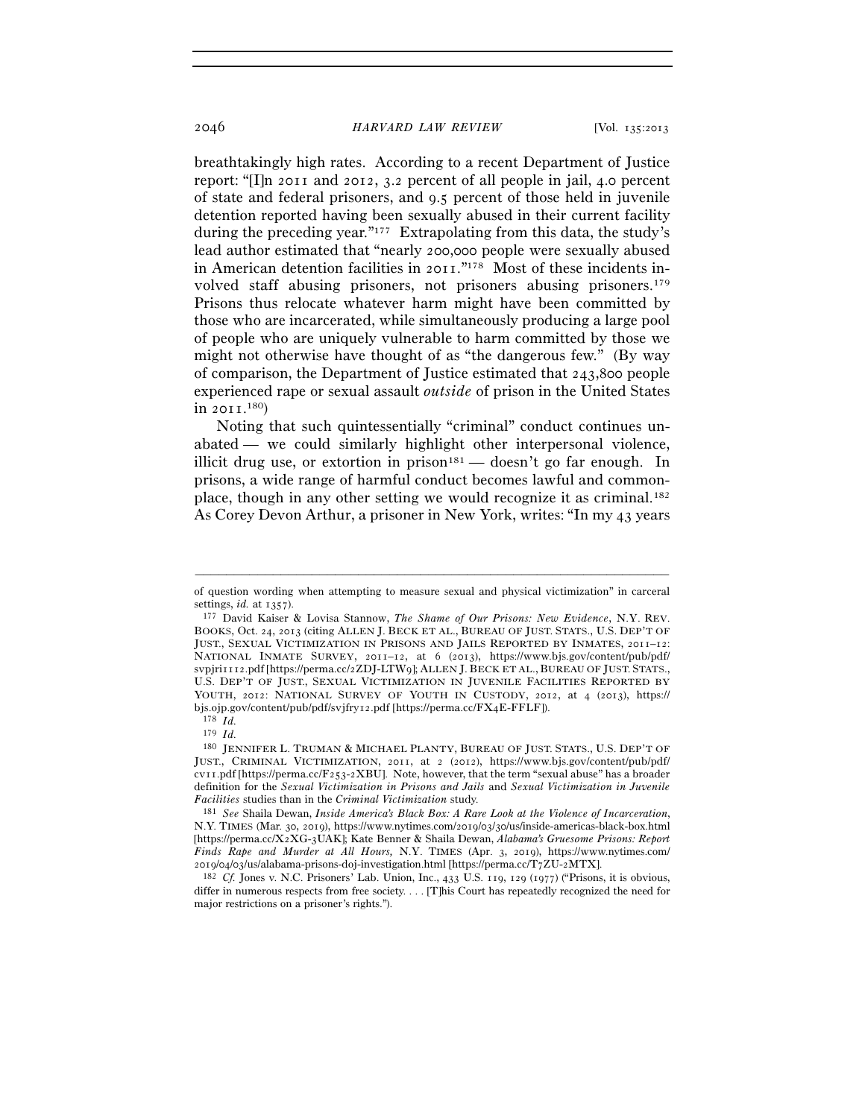breathtakingly high rates. According to a recent Department of Justice report: "[I]n 2011 and 2012, 3.2 percent of all people in jail, 4.0 percent of state and federal prisoners, and 9.5 percent of those held in juvenile detention reported having been sexually abused in their current facility during the preceding year."177 Extrapolating from this data, the study's lead author estimated that "nearly 200,000 people were sexually abused in American detention facilities in 2011."178 Most of these incidents involved staff abusing prisoners, not prisoners abusing prisoners.179 Prisons thus relocate whatever harm might have been committed by those who are incarcerated, while simultaneously producing a large pool of people who are uniquely vulnerable to harm committed by those we might not otherwise have thought of as "the dangerous few." (By way of comparison, the Department of Justice estimated that 243,800 people experienced rape or sexual assault *outside* of prison in the United States  $\ln 2$  011.<sup>180</sup> $)$ 

Noting that such quintessentially "criminal" conduct continues unabated — we could similarly highlight other interpersonal violence, illicit drug use, or extortion in prison<sup>181</sup> — doesn't go far enough. In prisons, a wide range of harmful conduct becomes lawful and commonplace, though in any other setting we would recognize it as criminal.182 As Corey Devon Arthur, a prisoner in New York, writes: "In my 43 years

<sup>–––––––––––––––––––––––––––––––––––––––––––––––––––––––––––––</sup> of question wording when attempting to measure sexual and physical victimization" in carceral settings,  $id.$  at  $1357$ ).

<sup>&</sup>lt;sup>177</sup> David Kaiser & Lovisa Stannow, *The Shame of Our Prisons: New Evidence*, N.Y. REV. BOOKS, Oct. 24, 2013 (citing ALLEN J. BECK ET AL., BUREAU OF JUST. STATS., U.S. DEP'T OF JUST., SEXUAL VICTIMIZATION IN PRISONS AND JAILS REPORTED BY INMATES, 2011–12: NATIONAL INMATE SURVEY, 2011–12, at 6 (2013), https://www.bjs.gov/content/pub/pdf/ svpjri1112.pdf [https://perma.cc/2ZDJ-LTW9]; ALLEN J. BECK ET AL., BUREAU OF JUST. STATS., U.S. DEP'T OF JUST., SEXUAL VICTIMIZATION IN JUVENILE FACILITIES REPORTED BY YOUTH, 2012: NATIONAL SURVEY OF YOUTH IN CUSTODY, 2012, at 4 (2013), https:// bjs.ojp.gov/content/pub/pdf/svjfry12.pdf [https://perma.cc/FX4E-FFLF]).<br><sup>178</sup> *Id.*<br><sup>179</sup> *Id.*<br><sup>180</sup> JENNIFER L. TRUMAN & MICHAEL PLANTY, BUREAU OF JUST. STATS., U.S. DEP'T OF

JUST., CRIMINAL VICTIMIZATION, 2011, at 2 (2012), https://www.bjs.gov/content/pub/pdf/ cv11.pdf [https://perma.cc/F253-2XBU]. Note, however, that the term "sexual abuse" has a broader definition for the *Sexual Victimization in Prisons and Jails* and *Sexual Victimization in Juvenile Facilities* studies than in the *Criminal Victimization* study. 181 *See* Shaila Dewan, *Inside America's Black Box: A Rare Look at the Violence of Incarceration*,

N.Y. TIMES (Mar. 30, 2019), https://www.nytimes.com/2019/03/30/us/inside-americas-black-box.html [https://perma.cc/X2XG-3UAK]; Kate Benner & Shaila Dewan, *Alabama's Gruesome Prisons: Report Finds Rape and Murder at All Hours,* N.Y. TIMES (Apr. 3, 2019), https://www.nytimes.com/ <sup>2019</sup>/04/03/us/alabama-prisons-doj-investigation.html [https://perma.cc/T7ZU-<sup>2</sup>MTX]. 182 *Cf.* Jones v. N.C. Prisoners' Lab. Union, Inc., 433 U.S. 119, 129 (1977) ("Prisons, it is obvious,

differ in numerous respects from free society. . . . [T]his Court has repeatedly recognized the need for major restrictions on a prisoner's rights.").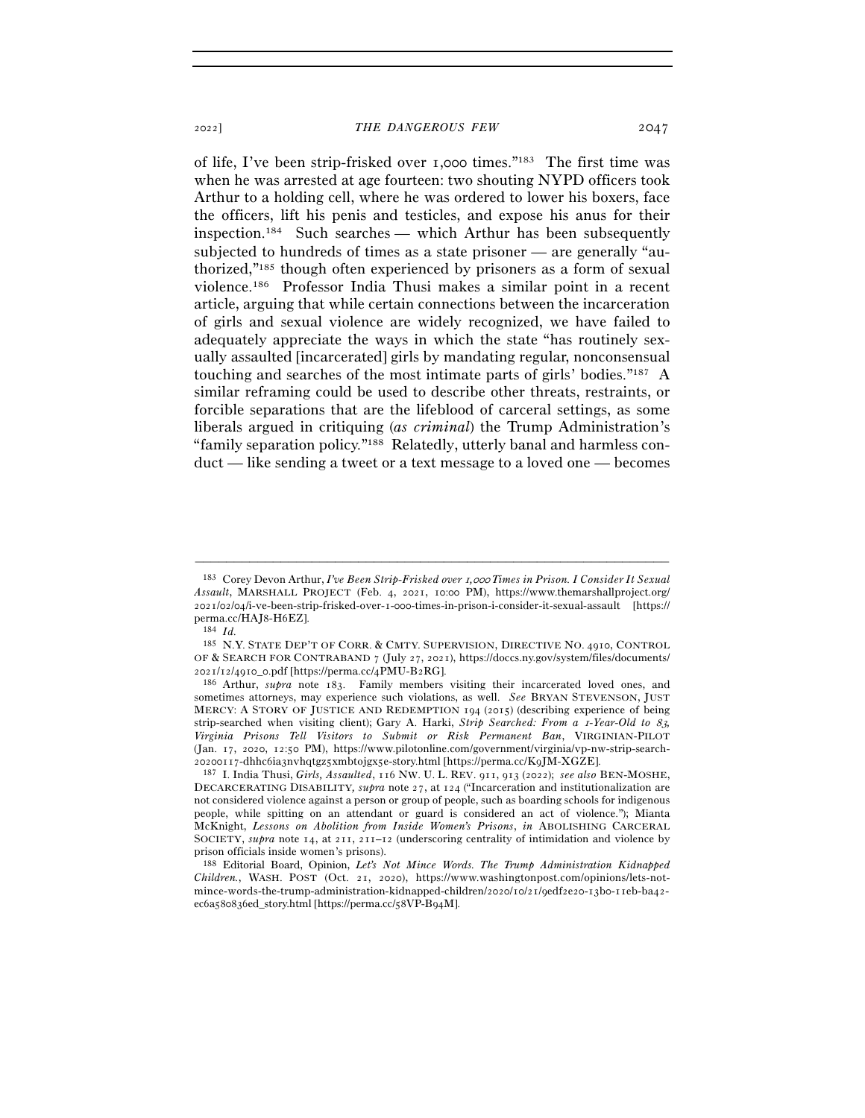of life, I've been strip-frisked over 1,000 times."183 The first time was

when he was arrested at age fourteen: two shouting NYPD officers took Arthur to a holding cell, where he was ordered to lower his boxers, face the officers, lift his penis and testicles, and expose his anus for their inspection.184 Such searches — which Arthur has been subsequently subjected to hundreds of times as a state prisoner — are generally "authorized,"185 though often experienced by prisoners as a form of sexual violence.186 Professor India Thusi makes a similar point in a recent article, arguing that while certain connections between the incarceration of girls and sexual violence are widely recognized, we have failed to adequately appreciate the ways in which the state "has routinely sexually assaulted [incarcerated] girls by mandating regular, nonconsensual touching and searches of the most intimate parts of girls' bodies."187 A similar reframing could be used to describe other threats, restraints, or forcible separations that are the lifeblood of carceral settings, as some liberals argued in critiquing (*as criminal*) the Trump Administration's "family separation policy."188 Relatedly, utterly banal and harmless conduct — like sending a tweet or a text message to a loved one — becomes

<sup>183</sup> Corey Devon Arthur, *I've Been Strip-Frisked over* 1*,*000 *Times in Prison. I Consider It Sexual Assault*, MARSHALL PROJECT (Feb. 4, 2021, 10:00 PM), https://www.themarshallproject.org/ 2021/02/04/i-ve-been-strip-frisked-over-1-000-times-in-prison-i-consider-it-sexual-assault [https:// perma.cc/HAJ8-H<sup>6</sup>EZ]. 184 *Id.*

<sup>185</sup> N.Y. STATE DEP'T OF CORR. & CMTY. SUPERVISION, DIRECTIVE NO. 4910, CONTROL OF & SEARCH FOR CONTRABAND 7 (July 27, 2021), https://doccs.ny.gov/system/files/documents/ <sup>2021</sup>/12/4910\_0.pdf [https://perma.cc/4PMU-B<sup>2</sup>RG]. 186 Arthur, *supra* note 183. Family members visiting their incarcerated loved ones, and

sometimes attorneys, may experience such violations, as well. *See* BRYAN STEVENSON, JUST MERCY: A STORY OF JUSTICE AND REDEMPTION 194 (2015) (describing experience of being strip-searched when visiting client); Gary A. Harki, *Strip Searched: From a* 1*-Year-Old to* 83*, Virginia Prisons Tell Visitors to Submit or Risk Permanent Ban*, VIRGINIAN-PILOT (Jan. 17, 2020, 12:50 PM), https://www.pilotonline.com/government/virginia/vp-nw-strip-search-

<sup>&</sup>lt;sup>187</sup> I. India Thusi, *Girls, Assaulted*, 116 NW. U. L. REV. 911, 913 (2022); *see also* BEN-MOSHE, DECARCERATING DISABILITY*, supra* note 27, at 124 ("Incarceration and institutionalization are not considered violence against a person or group of people, such as boarding schools for indigenous people, while spitting on an attendant or guard is considered an act of violence."); Mianta McKnight, *Lessons on Abolition from Inside Women's Prisons*, *in* ABOLISHING CARCERAL SOCIETY, *supra* note 14, at 211, 211–12 (underscoring centrality of intimidation and violence by prison officials inside women's prisons).

<sup>188</sup> Editorial Board, Opinion, *Let's Not Mince Words. The Trump Administration Kidnapped Children.*, WASH. POST (Oct. 21, 2020), https://www.washingtonpost.com/opinions/lets-notmince-words-the-trump-administration-kidnapped-children/2020/10/21/9edf2e20-13b0-11eb-ba42 ec6a580836ed\_story.html [https://perma.cc/58VP-B94M].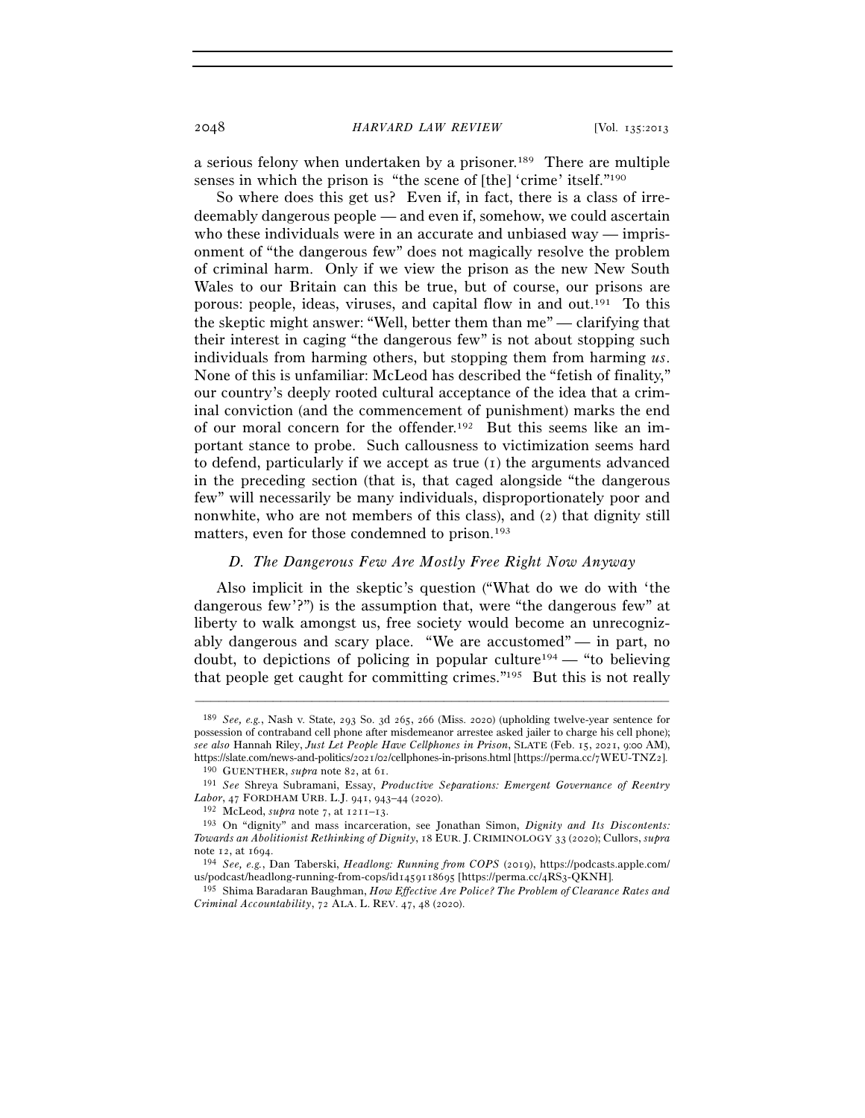a serious felony when undertaken by a prisoner.189 There are multiple senses in which the prison is "the scene of [the] 'crime' itself."190

So where does this get us? Even if, in fact, there is a class of irredeemably dangerous people — and even if, somehow, we could ascertain who these individuals were in an accurate and unbiased way — imprisonment of "the dangerous few" does not magically resolve the problem of criminal harm. Only if we view the prison as the new New South Wales to our Britain can this be true, but of course, our prisons are porous: people, ideas, viruses, and capital flow in and out.191 To this the skeptic might answer: "Well, better them than me" — clarifying that their interest in caging "the dangerous few" is not about stopping such individuals from harming others, but stopping them from harming *us*. None of this is unfamiliar: McLeod has described the "fetish of finality," our country's deeply rooted cultural acceptance of the idea that a criminal conviction (and the commencement of punishment) marks the end of our moral concern for the offender.192 But this seems like an important stance to probe. Such callousness to victimization seems hard to defend, particularly if we accept as true (1) the arguments advanced in the preceding section (that is, that caged alongside "the dangerous few" will necessarily be many individuals, disproportionately poor and nonwhite, who are not members of this class), and (2) that dignity still matters, even for those condemned to prison.193

## *D. The Dangerous Few Are Mostly Free Right Now Anyway*

Also implicit in the skeptic's question ("What do we do with 'the dangerous few'?") is the assumption that, were "the dangerous few" at liberty to walk amongst us, free society would become an unrecognizably dangerous and scary place. "We are accustomed" — in part, no doubt, to depictions of policing in popular culture<sup>194</sup> — "to believing that people get caught for committing crimes."195 But this is not really

<sup>189</sup> *See, e.g.*, Nash v. State, 293 So. 3d 265, 266 (Miss. 2020) (upholding twelve-year sentence for possession of contraband cell phone after misdemeanor arrestee asked jailer to charge his cell phone); *see also* Hannah Riley, *Just Let People Have Cellphones in Prison*, SLATE (Feb. 15, 2021, 9:00 AM),

<sup>&</sup>lt;sup>190</sup> GUENTHER, *supra* note 82, at 61.<br><sup>191</sup> See Shreya Subramani, Essay, *Productive Separations: Emergent Governance of Reentry*<br>*Labor*, 47 FORDHAM URB. L.J. 941, 943–44 (2020).

<sup>&</sup>lt;sup>192</sup> McLeod, *supra* note 7, at 1211–13.<br><sup>193</sup> On "dignity" and mass incarceration, see Jonathan Simon, *Dignity and Its Discontents: Towards an Abolitionist Rethinking of Dignity*, 18 EUR. J. CRIMINOLOGY 33 (2020); Cullors, *supra*

note 12, at <sup>1694</sup>. 194 *See, e.g.*, Dan Taberski, *Headlong: Running from COPS* (2019), https://podcasts.apple.com/ us/podcast/headlong-running-from-cops/id1459118695 [https://perma.cc/4RS3-QKNH]. 195 Shima Baradaran Baughman, *How Effective Are Police? The Problem of Clearance Rates and* 

*Criminal Accountability*, 72 ALA. L. REV. 47, 48 (2020).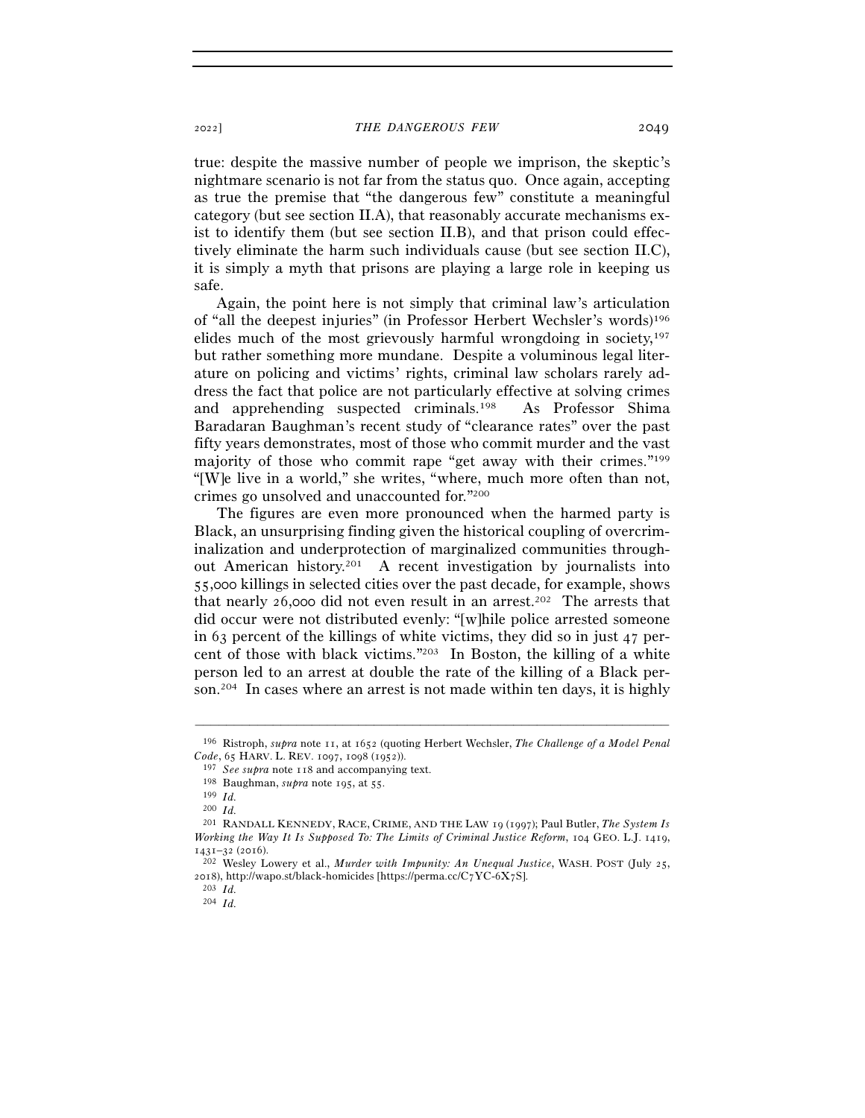true: despite the massive number of people we imprison, the skeptic's nightmare scenario is not far from the status quo. Once again, accepting as true the premise that "the dangerous few" constitute a meaningful category (but see section II.A), that reasonably accurate mechanisms exist to identify them (but see section II.B), and that prison could effectively eliminate the harm such individuals cause (but see section II.C), it is simply a myth that prisons are playing a large role in keeping us safe.

Again, the point here is not simply that criminal law's articulation of "all the deepest injuries" (in Professor Herbert Wechsler's words)196 elides much of the most grievously harmful wrongdoing in society,  $197$ but rather something more mundane. Despite a voluminous legal literature on policing and victims' rights, criminal law scholars rarely address the fact that police are not particularly effective at solving crimes and apprehending suspected criminals.198 As Professor Shima Baradaran Baughman's recent study of "clearance rates" over the past fifty years demonstrates, most of those who commit murder and the vast majority of those who commit rape "get away with their crimes."199 "[W]e live in a world," she writes, "where, much more often than not, crimes go unsolved and unaccounted for."200

The figures are even more pronounced when the harmed party is Black, an unsurprising finding given the historical coupling of overcriminalization and underprotection of marginalized communities throughout American history.201 A recent investigation by journalists into 55,000 killings in selected cities over the past decade, for example, shows that nearly 26,000 did not even result in an arrest.<sup>202</sup> The arrests that did occur were not distributed evenly: "[w]hile police arrested someone in 63 percent of the killings of white victims, they did so in just 47 percent of those with black victims."203 In Boston, the killing of a white person led to an arrest at double the rate of the killing of a Black person.204 In cases where an arrest is not made within ten days, it is highly

<sup>–––––––––––––––––––––––––––––––––––––––––––––––––––––––––––––</sup> <sup>196</sup> Ristroph, *supra* note 11, at 1652 (quoting Herbert Wechsler, *The Challenge of a Model Penal Code*, 65 HARV. L. REV. 1097, 1098 (1952)).

<sup>197</sup> *See supra* note <sup>118</sup> and accompanying text. 198 Baughman, *supra* note 195, at <sup>55</sup>. 199 *Id.*<sup>200</sup> *Id.*<sup>201</sup> RANDALL KENNEDY, RACE, CRIME, AND THE LAW <sup>19</sup> (1997); Paul Butler, *The System Is Working the Way It Is Supposed To: The Limits of Criminal Justice Reform*, 104 GEO. L.J. 1419, <sup>1431</sup>–32 (<sup>2016</sup>). 202 Wesley Lowery et al., *Murder with Impunity: An Unequal Justice*, WASH. POST (July 25,

<sup>2018),</sup> http://wapo.st/black-homicides [https://perma.cc/C7YC-6X7S].  $^{203}$   $\,$   $Id$ 

<sup>204</sup> *Id.*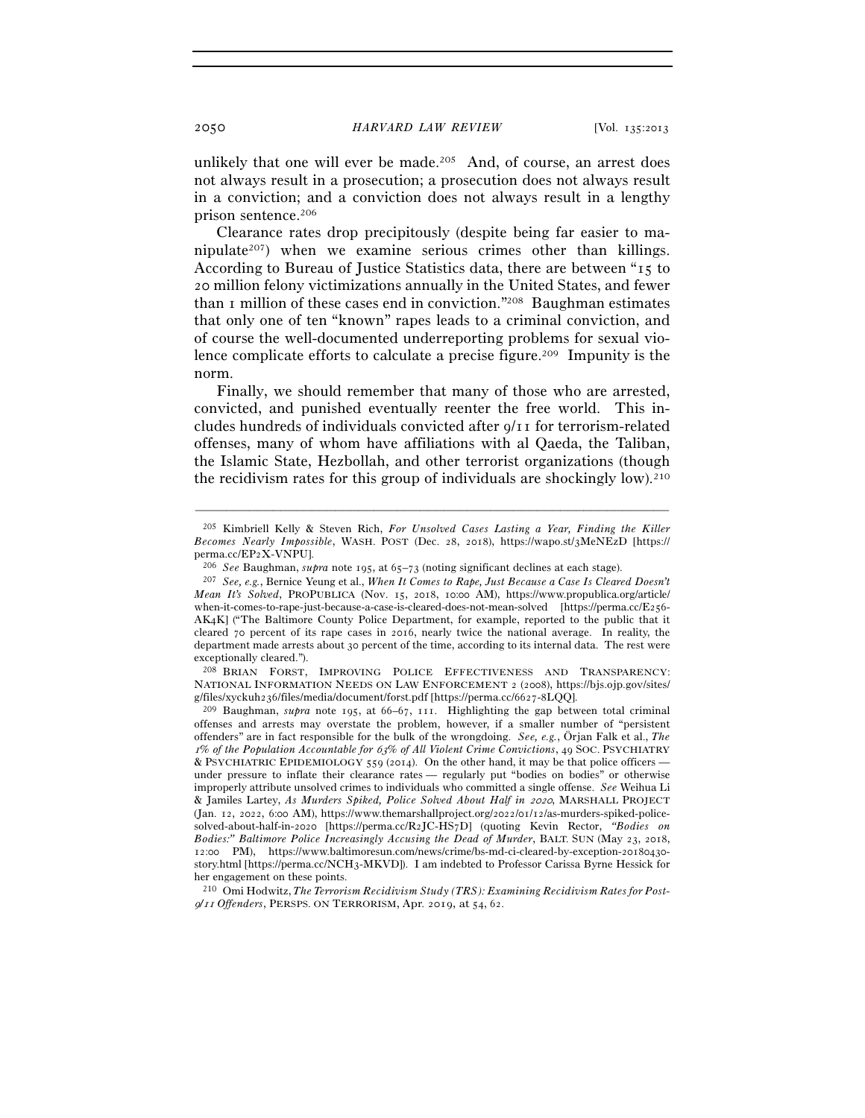unlikely that one will ever be made.<sup>205</sup> And, of course, an arrest does not always result in a prosecution; a prosecution does not always result in a conviction; and a conviction does not always result in a lengthy prison sentence.206

Clearance rates drop precipitously (despite being far easier to manipulate<sup>207</sup>) when we examine serious crimes other than killings. According to Bureau of Justice Statistics data, there are between "15 to 20 million felony victimizations annually in the United States, and fewer than 1 million of these cases end in conviction."208 Baughman estimates that only one of ten "known" rapes leads to a criminal conviction, and of course the well-documented underreporting problems for sexual violence complicate efforts to calculate a precise figure.209 Impunity is the norm.

Finally, we should remember that many of those who are arrested, convicted, and punished eventually reenter the free world. This includes hundreds of individuals convicted after 9/11 for terrorism-related offenses, many of whom have affiliations with al Qaeda, the Taliban, the Islamic State, Hezbollah, and other terrorist organizations (though the recidivism rates for this group of individuals are shockingly  $low$ . 210

<sup>205</sup> Kimbriell Kelly & Steven Rich, *For Unsolved Cases Lasting a Year, Finding the Killer Becomes Nearly Impossible*, WASH. POST (Dec. 28, 2018), https://wapo.st/3MeNEzD [https:// perma.cc/EP2X-VNPU].<br><sup>206</sup> See Baughman, *supra* note 195, at 65–73 (noting significant declines at each stage).<br><sup>207</sup> See, e.g., Bernice Yeung et al., *When It Comes to Rape, Just Because a Case Is Cleared Doesn't* 

*Mean It's Solved*, PROPUBLICA (Nov. 15, 2018, 10:00 AM), https://www.propublica.org/article/ when-it-comes-to-rape-just-because-a-case-is-cleared-does-not-mean-solved [https://perma.cc/E256- AK4K] ("The Baltimore County Police Department, for example, reported to the public that it cleared 70 percent of its rape cases in 2016, nearly twice the national average. In reality, the department made arrests about 30 percent of the time, according to its internal data. The rest were exceptionally cleared.").

<sup>208</sup> BRIAN FORST, IMPROVING POLICE EFFECTIVENESS AND TRANSPARENCY: NATIONAL INFORMATION NEEDS ON LAW ENFORCEMENT 2 (2008), https://bjs.ojp.gov/sites/ g/files/xyckuh236/files/media/document/forst.pdf [https://perma.cc/6627-<sup>8</sup>LQQ]. 209 Baughman, *supra* note 195, at 66–67, 111. Highlighting the gap between total criminal

offenses and arrests may overstate the problem, however, if a smaller number of "persistent offenders" are in fact responsible for the bulk of the wrongdoing. *See, e.g.*, Örjan Falk et al., *The*  <sup>1</sup>*% of the Population Accountable for* 63*% of All Violent Crime Convictions*, 49 SOC. PSYCHIATRY & PSYCHIATRIC EPIDEMIOLOGY 559 (2014). On the other hand, it may be that police officers under pressure to inflate their clearance rates — regularly put "bodies on bodies" or otherwise improperly attribute unsolved crimes to individuals who committed a single offense. *See* Weihua Li & Jamiles Lartey, *As Murders Spiked, Police Solved About Half in* 2020, MARSHALL PROJECT (Jan. 12, 2022, 6:00 AM), https://www.themarshallproject.org/2022/01/12/as-murders-spiked-policesolved-about-half-in-2020 [https://perma.cc/R2JC-HS7D] (quoting Kevin Rector, *"Bodies on Bodies:" Baltimore Police Increasingly Accusing the Dead of Murder*, BALT. SUN (May 23, 2018, 12:00 PM), https://www.baltimoresun.com/news/crime/bs-md-ci-cleared-by-exception-20180430 story.html [https://perma.cc/NCH3-MKVD]). I am indebted to Professor Carissa Byrne Hessick for her engagement on these points.

<sup>210</sup> Omi Hodwitz, *The Terrorism Recidivism Study (TRS): Examining Recidivism Rates for Post-*<sup>9</sup>*/*11 *Offenders*, PERSPS. ON TERRORISM, Apr. 2019, at 54, 62.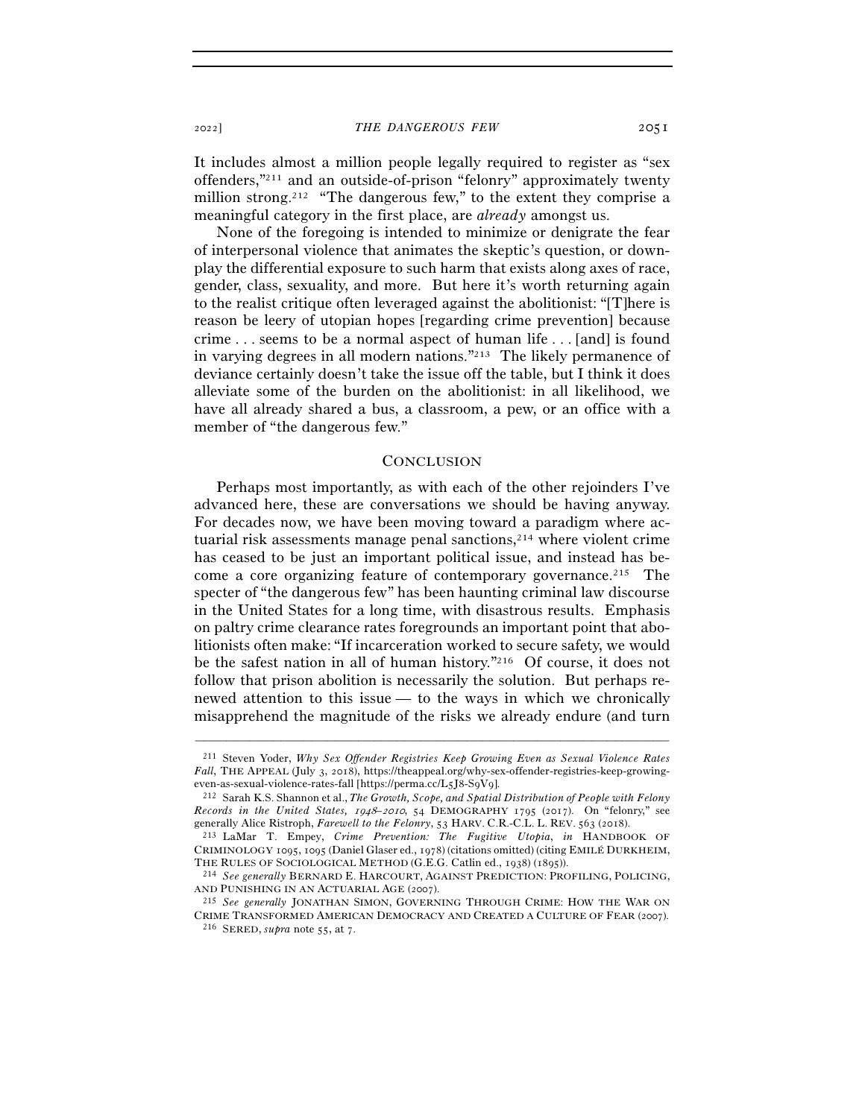It includes almost a million people legally required to register as "sex offenders,"211 and an outside-of-prison "felonry" approximately twenty million strong.<sup>212</sup> "The dangerous few," to the extent they comprise a meaningful category in the first place, are *already* amongst us.

None of the foregoing is intended to minimize or denigrate the fear of interpersonal violence that animates the skeptic's question, or downplay the differential exposure to such harm that exists along axes of race, gender, class, sexuality, and more. But here it's worth returning again to the realist critique often leveraged against the abolitionist: "[T]here is reason be leery of utopian hopes [regarding crime prevention] because crime . . . seems to be a normal aspect of human life . . . [and] is found in varying degrees in all modern nations."213 The likely permanence of deviance certainly doesn't take the issue off the table, but I think it does alleviate some of the burden on the abolitionist: in all likelihood, we have all already shared a bus, a classroom, a pew, or an office with a member of "the dangerous few."

#### **CONCLUSION**

Perhaps most importantly, as with each of the other rejoinders I've advanced here, these are conversations we should be having anyway. For decades now, we have been moving toward a paradigm where actuarial risk assessments manage penal sanctions, $214$  where violent crime has ceased to be just an important political issue, and instead has become a core organizing feature of contemporary governance.<sup>215</sup> The specter of "the dangerous few" has been haunting criminal law discourse in the United States for a long time, with disastrous results. Emphasis on paltry crime clearance rates foregrounds an important point that abolitionists often make: "If incarceration worked to secure safety, we would be the safest nation in all of human history."216 Of course, it does not follow that prison abolition is necessarily the solution. But perhaps renewed attention to this issue — to the ways in which we chronically misapprehend the magnitude of the risks we already endure (and turn

<sup>211</sup> Steven Yoder, *Why Sex Offender Registries Keep Growing Even as Sexual Violence Rates Fall*, THE APPEAL (July 3, 2018), https://theappeal.org/why-sex-offender-registries-keep-growing-even-as-sexual-violence-rates-fall [https://perma.cc/L5J8-S9V9].

<sup>&</sup>lt;sup>212</sup> Sarah K.S. Shannon et al., *The Growth, Scope, and Spatial Distribution of People with Felony Records in the United States,* 1948*–*2010, 54 DEMOGRAPHY 1795 (2017). On "felonry," see generally Alice Ristroph, *Farewell to the Felonry*, 53 HARV. C.R.-C.L. L. REV. 563 (2018).

<sup>213</sup> LaMar T. Empey, *Crime Prevention: The Fugitive Utopia*, *in* HANDBOOK OF CRIMINOLOGY 1095, 1095 (Daniel Glaser ed., 1978) (citations omitted) (citing EMILÉ DURKHEIM,

THE RULES OF SOCIOLOGICAL METHOD (G.E.G. Catlin ed., 1938) (1895)).<br><sup>214</sup> *See generally* BERNARD E. HARCOURT, AGAINST PREDICTION: PROFILING, POLICING,<br>AND PUNISHING IN AN ACTUARIAL AGE (2007).

<sup>&</sup>lt;sup>215</sup> See generally JONATHAN SIMON, GOVERNING THROUGH CRIME: HOW THE WAR ON CRIME TRANSFORMED AMERICAN DEMOCRACY AND CREATED <sup>A</sup> CULTURE OF FEAR (<sup>2007</sup>). 216 SERED, *supra* note 55, at 7.